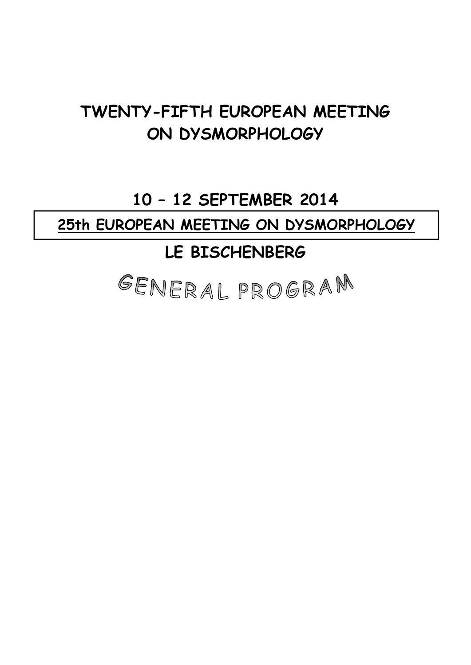# **TWENTY-FIFTH EUROPEAN MEETING ON DYSMORPHOLOGY**

# **10 – 12 SEPTEMBER 2014**

**25th EUROPEAN MEETING ON DYSMORPHOLOGY**

# **LE BISCHENBERG**

GENERAL PROGRAM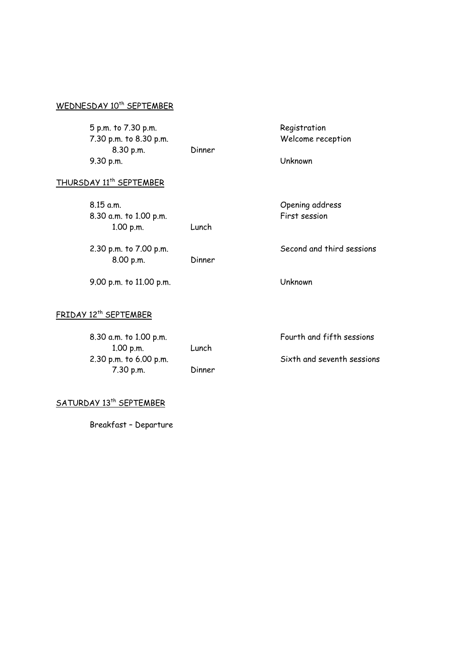# WEDNESDAY 10<sup>th</sup> SEPTEMBER

 5 p.m. to 7.30 p.m. Registration 7.30 p.m. to 8.30 p.m. Welcome reception 8.30 p.m. Dinner 9.30 p.m. Unknown

# THURSDAY 11<sup>th</sup> SEPTEMBER

 8.15 a.m. Opening address 8.30 a.m. to 1.00 p.m. The session First session 1.00 p.m. Lunch

8.00 p.m. Dinner

9.00 p.m. to 11.00 p.m. Unknown

# FRIDAY 12<sup>th</sup> SEPTEMBER

| 8.30 a.m. to 1.00 p.m. |        | Fourth and fifth sessions  |
|------------------------|--------|----------------------------|
| 1.00 p.m.              | Lunch  |                            |
| 2.30 p.m. to 6.00 p.m. |        | Sixth and seventh sessions |
| $7.30$ p.m.            | Dinner |                            |

# SATURDAY 13<sup>th</sup> SEPTEMBER

Breakfast – Departure

2.30 p.m. to 7.00 p.m. Second and third sessions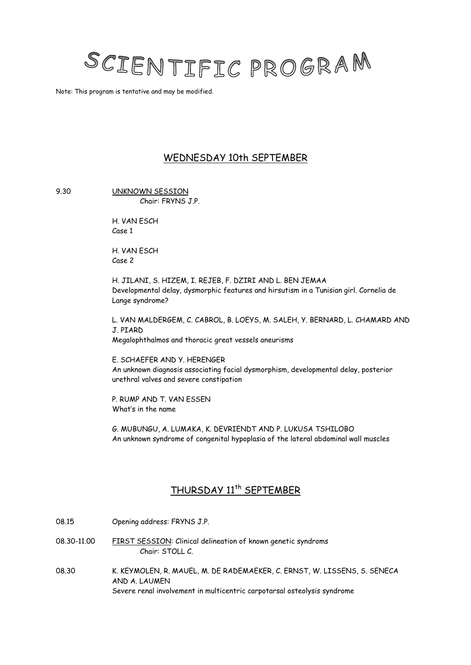

Note: This program is tentative and may be modified.

# WEDNESDAY 10th SEPTEMBER

9.30 UNKNOWN SESSION

Chair: FRYNS J.P.

H. VAN ESCH Case 1

H. VAN ESCH Case 2

H. JILANI, S. HIZEM, I. REJEB, F. DZIRI AND L. BEN JEMAA Developmental delay, dysmorphic features and hirsutism in a Tunisian girl. Cornelia de Lange syndrome?

L. VAN MALDERGEM, C. CABROL, B. LOEYS, M. SALEH, Y. BERNARD, L. CHAMARD AND J. PIARD Megalophthalmos and thoracic great vessels aneurisms

E. SCHAEFER AND Y. HERENGER An unknown diagnosis associating facial dysmorphism, developmental delay, posterior urethral valves and severe constipation

P. RUMP AND T. VAN ESSEN What's in the name

G. MUBUNGU, A. LUMAKA, K. DEVRIENDT AND P. LUKUSA TSHILOBO An unknown syndrome of congenital hypoplasia of the lateral abdominal wall muscles

# THURSDAY 11<sup>th</sup> SEPTEMBER

08.15 Opening address: FRYNS J.P. 08.30-11.00 FIRST SESSION: Clinical delineation of known genetic syndroms Chair: STOLL C. 08.30 K. KEYMOLEN, R. MAUEL, M. DE RADEMAEKER, C. ERNST, W. LISSENS, S. SENECA AND A. LAUMEN

Severe renal involvement in multicentric carpotarsal osteolysis syndrome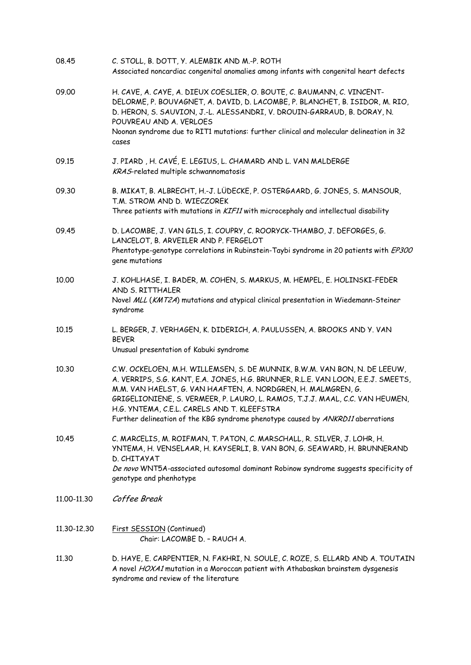| 08.45       | C. STOLL, B. DOTT, Y. ALEMBIK AND M.-P. ROTH<br>Associated noncardiac congenital anomalies among infants with congenital heart defects                                                                                                                                                                                                                                                                                                           |
|-------------|--------------------------------------------------------------------------------------------------------------------------------------------------------------------------------------------------------------------------------------------------------------------------------------------------------------------------------------------------------------------------------------------------------------------------------------------------|
| 09.00       | H. CAVE, A. CAVE, A. DIEUX COESLIER, O. BOUTE, C. BAUMANN, C. VINCENT-<br>DELORME, P. BOUVAGNET, A. DAVID, D. LACOMBE, P. BLANCHET, B. ISIDOR, M. RIO,<br>D. HERON, S. SAUVION, J.-L. ALESSANDRI, V. DROUIN-GARRAUD, B. DORAY, N.<br>POUVREAU AND A. VERLOES                                                                                                                                                                                     |
|             | Noonan syndrome due to RIT1 mutations: further clinical and molecular delineation in 32<br>cases                                                                                                                                                                                                                                                                                                                                                 |
| 09.15       | J. PIARD, H. CAVÉ, E. LEGIUS, L. CHAMARD AND L. VAN MALDERGE<br>KRAS-related multiple schwannomatosis                                                                                                                                                                                                                                                                                                                                            |
| 09.30       | B. MIKAT, B. ALBRECHT, H.-J. LÜDECKE, P. OSTERGAARD, G. JONES, S. MANSOUR,<br>T.M. STROM AND D. WIECZOREK<br>Three patients with mutations in KIF11 with microcephaly and intellectual disability                                                                                                                                                                                                                                                |
| 09.45       | D. LACOMBE, J. VAN GILS, I. COUPRY, C. ROORYCK-THAMBO, J. DEFORGES, G.<br>LANCELOT, B. ARVEILER AND P. FERGELOT                                                                                                                                                                                                                                                                                                                                  |
|             | Phentotype-genotype correlations in Rubinstein-Taybi syndrome in 20 patients with EP300<br>gene mutations                                                                                                                                                                                                                                                                                                                                        |
| 10.00       | J. KOHLHASE, I. BADER, M. COHEN, S. MARKUS, M. HEMPEL, E. HOLINSKI-FEDER<br>AND S. RITTHALER<br>Novel MLL (KMT2A) mutations and atypical clinical presentation in Wiedemann-Steiner<br>syndrome                                                                                                                                                                                                                                                  |
| 10.15       | L. BERGER, J. VERHAGEN, K. DIDERICH, A. PAULUSSEN, A. BROOKS AND Y. VAN<br><b>BEVER</b><br>Unusual presentation of Kabuki syndrome                                                                                                                                                                                                                                                                                                               |
| 10.30       | C.W. OCKELOEN, M.H. WILLEMSEN, S. DE MUNNIK, B.W.M. VAN BON, N. DE LEEUW,<br>A. VERRIPS, S.G. KANT, E.A. JONES, H.G. BRUNNER, R.L.E. VAN LOON, E.E.J. SMEETS,<br>M.M. VAN HAELST, G. VAN HAAFTEN, A. NORDGREN, H. MALMGREN, G.<br>GRIGELIONIENE, S. VERMEER, P. LAURO, L. RAMOS, T.J.J. MAAL, C.C. VAN HEUMEN,<br>H.G. YNTEMA, C.E.L. CARELS AND T. KLEEFSTRA<br>Further delineation of the KBG syndrome phenotype caused by ANKRD11 aberrations |
| 10.45       | C. MARCELIS, M. ROIFMAN, T. PATON, C. MARSCHALL, R. SILVER, J. LOHR, H.<br>YNTEMA, H. VENSELAAR, H. KAYSERLI, B. VAN BON, G. SEAWARD, H. BRUNNERAND<br>D. CHITAYAT<br>De novo WNT5A-associated autosomal dominant Robinow syndrome suggests specificity of<br>genotype and phenhotype                                                                                                                                                            |
| 11,00-11,30 | Coffee Break                                                                                                                                                                                                                                                                                                                                                                                                                                     |
| 11.30-12.30 | First SESSION (Continued)<br>Chair: LACOMBE D. - RAUCH A.                                                                                                                                                                                                                                                                                                                                                                                        |
| 11.30       | D. HAYE, E. CARPENTIER, N. FAKHRI, N. SOULE, C. ROZE, S. ELLARD AND A. TOUTAIN<br>A novel HOXA1 mutation in a Moroccan patient with Athabaskan brainstem dysgenesis<br>syndrome and review of the literature                                                                                                                                                                                                                                     |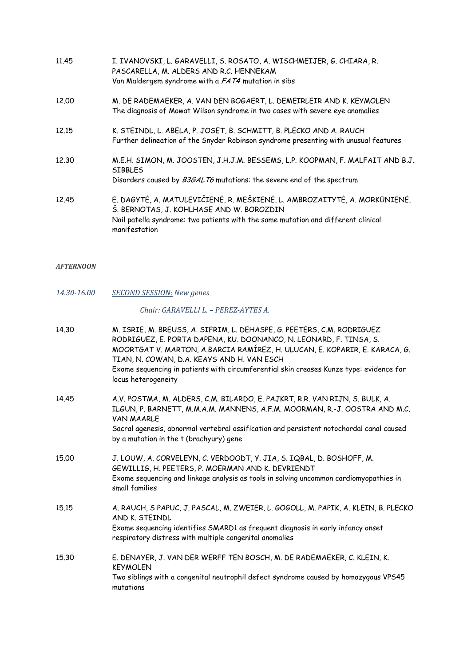- 11.45 I. IVANOVSKI, L. GARAVELLI, S. ROSATO, A. WISCHMEIJER, G. CHIARA, R. PASCARELLA, M. ALDERS AND R.C. HENNEKAM Van Maldergem syndrome with a FAT4 mutation in sibs
- 12.00 M. DE RADEMAEKER, A. VAN DEN BOGAERT, L. DEMEIRLEIR AND K. KEYMOLEN The diagnosis of Mowat Wilson syndrome in two cases with severe eye anomalies
- 12.15 K. STEINDL, L. ABELA, P. JOSET, B. SCHMITT, B. PLECKO AND A. RAUCH Further delineation of the Snyder Robinson syndrome presenting with unusual features
- 12.30 M.E.H. SIMON, M. JOOSTEN, J.H.J.M. BESSEMS, L.P. KOOPMAN, F. MALFAIT AND B.J. **SIBBLES** Disorders caused by B3GALT6 mutations: the severe end of the spectrum
- 12.45 E. DAGYTĖ, A. MATULEVIČIENĖ, R. MEŠKIENĖ, L. AMBROZAITYTĖ, A. MORKŪNIENĖ, Š. BERNOTAS, J. KOHLHASE AND W. BOROZDIN Nail patella syndrome: two patients with the same mutation and different clinical manifestation

#### *AFTERNOON*

*14.30‐16.00 SECOND SESSION: New genes*

#### *Chair: GARAVELLI L. – PEREZ‐AYTES A.*

| 14.30 | M. ISRIE, M. BREUSS, A. SIFRIM, L. DEHASPE, G. PEETERS, C.M. RODRIGUEZ<br>RODRIGUEZ, E. PORTA DAPENA, KU. DOONANCO, N. LEONARD, F. TINSA, S.<br>MOORTGAT V. MARTON, A.BARCIA RAMÍREZ, H. ULUCAN, E. KOPARIR, E. KARACA, G.<br>TIAN, N. COWAN, D.A. KEAYS AND H. VAN ESCH<br>Exome sequencing in patients with circumferential skin creases Kunze type: evidence for<br>locus heterogeneity |
|-------|--------------------------------------------------------------------------------------------------------------------------------------------------------------------------------------------------------------------------------------------------------------------------------------------------------------------------------------------------------------------------------------------|
| 14.45 | A.V. POSTMA, M. ALDERS, C.M. BILARDO, E. PAJKRT, R.R. VAN RIJN, S. BULK, A.<br>ILGUN, P. BARNETT, M.M.A.M. MANNENS, A.F.M. MOORMAN, R.-J. OOSTRA AND M.C.<br><b>VAN MAARLE</b><br>Sacral agenesis, abnormal vertebral ossification and persistent notochordal canal caused<br>by a mutation in the t (brachyury) gene                                                                      |
| 15,00 | J. LOUW, A. CORVELEYN, C. VERDOODT, Y. JIA, S. IQBAL, D. BOSHOFF, M.<br>GEWILLIG, H. PEETERS, P. MOERMAN AND K. DEVRIENDT<br>Exome sequencing and linkage analysis as tools in solving uncommon cardiomyopathies in<br>small families                                                                                                                                                      |
| 15.15 | A. RAUCH, S PAPUC, J. PASCAL, M. ZWEIER, L. GOGOLL, M. PAPIK, A. KLEIN, B. PLECKO<br>AND K. STEINDL<br>Exome sequencing identifies SMARD1 as frequent diagnosis in early infancy onset<br>respiratory distress with multiple congenital anomalies                                                                                                                                          |
| 15.30 | E. DENAYER, J. VAN DER WERFF TEN BOSCH, M. DE RADEMAEKER, C. KLEIN, K.<br><b>KEYMOLEN</b><br>Two siblings with a congenital neutrophil defect syndrome caused by homozygous VPS45<br>mutations                                                                                                                                                                                             |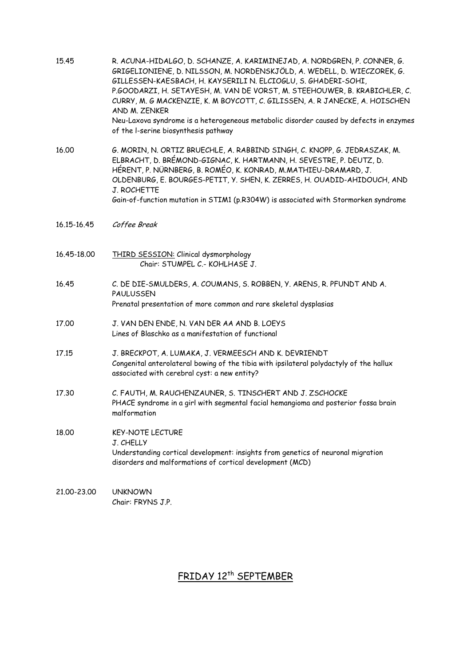| 15.45       | R. ACUNA-HIDALGO, D. SCHANZE, A. KARIMINEJAD, A. NORDGREN, P. CONNER, G.<br>GRIGELIONIENE, D. NILSSON, M. NORDENSKJÖLD, A. WEDELL, D. WIECZOREK, G.<br>GILLESSEN-KAESBACH, H. KAYSERILI N. ELCIOGLU, S. GHADERI-SOHI,<br>P.GOODARZI, H. SETAYESH, M. VAN DE VORST, M. STEEHOUWER, B. KRABICHLER, C.<br>CURRY, M. G MACKENZIE, K. M BOYCOTT, C. GILISSEN, A. R JANECKE, A. HOISCHEN<br>AND M. ZENKER<br>Neu-Laxova syndrome is a heterogeneous metabolic disorder caused by defects in enzymes<br>of the I-serine biosynthesis pathway |
|-------------|---------------------------------------------------------------------------------------------------------------------------------------------------------------------------------------------------------------------------------------------------------------------------------------------------------------------------------------------------------------------------------------------------------------------------------------------------------------------------------------------------------------------------------------|
| 16.00       | G. MORIN, N. ORTIZ BRUECHLE, A. RABBIND SINGH, C. KNOPP, G. JEDRASZAK, M.<br>ELBRACHT, D. BRÉMOND-GIGNAC, K. HARTMANN, H. SEVESTRE, P. DEUTZ, D.<br>HÉRENT, P. NÜRNBERG, B. ROMÉO, K. KONRAD, M.MATHIEU-DRAMARD, J.<br>OLDENBURG, E. BOURGES-PETIT, Y. SHEN, K. ZERRES, H. OUADID-AHIDOUCH, AND<br>J. ROCHETTE<br>Gain-of-function mutation in STIM1 (p.R304W) is associated with Stormorken syndrome                                                                                                                                 |
| 16.15-16.45 | Coffee Break                                                                                                                                                                                                                                                                                                                                                                                                                                                                                                                          |
| 16.45-18.00 | THIRD SESSION: Clinical dysmorphology<br>Chair: STUMPEL C.- KOHLHASE J.                                                                                                                                                                                                                                                                                                                                                                                                                                                               |
| 16.45       | C. DE DIE-SMULDERS, A. COUMANS, S. ROBBEN, Y. ARENS, R. PFUNDT AND A.<br>PAULUSSEN<br>Prenatal presentation of more common and rare skeletal dysplasias                                                                                                                                                                                                                                                                                                                                                                               |
| 17.00       | J. VAN DEN ENDE, N. VAN DER AA AND B. LOEYS<br>Lines of Blaschko as a manifestation of functional                                                                                                                                                                                                                                                                                                                                                                                                                                     |
| 17.15       | J. BRECKPOT, A. LUMAKA, J. VERMEESCH AND K. DEVRIENDT<br>Congenital anterolateral bowing of the tibia with ipsilateral polydactyly of the hallux<br>associated with cerebral cyst: a new entity?                                                                                                                                                                                                                                                                                                                                      |
| 17.30       | C. FAUTH, M. RAUCHENZAUNER, S. TINSCHERT AND J. ZSCHOCKE<br>PHACE syndrome in a girl with segmental facial hemangioma and posterior fossa brain<br>malformation                                                                                                                                                                                                                                                                                                                                                                       |
| 18.00       | <b>KEY-NOTE LECTURE</b><br>J. CHELLY<br>Understanding cortical development: insights from genetics of neuronal migration<br>disorders and malformations of cortical development (MCD)                                                                                                                                                                                                                                                                                                                                                 |
| 21,00-23,00 | <b>UNKNOWN</b><br>Chair: FRYNS J.P.                                                                                                                                                                                                                                                                                                                                                                                                                                                                                                   |

# FRIDAY 12<sup>th</sup> SEPTEMBER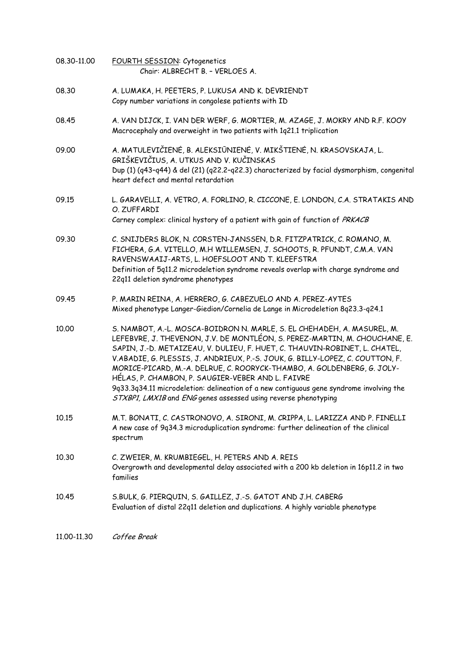| 08.30-11.00 | FOURTH SESSION: Cytogenetics<br>Chair: ALBRECHT B. - VERLOES A.                                                                                                                                                                                                                                                                                                                                                                                                                                                                                                                                                   |
|-------------|-------------------------------------------------------------------------------------------------------------------------------------------------------------------------------------------------------------------------------------------------------------------------------------------------------------------------------------------------------------------------------------------------------------------------------------------------------------------------------------------------------------------------------------------------------------------------------------------------------------------|
| 08.30       | A. LUMAKA, H. PEETERS, P. LUKUSA AND K. DEVRIENDT<br>Copy number variations in congolese patients with ID                                                                                                                                                                                                                                                                                                                                                                                                                                                                                                         |
| 08.45       | A. VAN DIJCK, I. VAN DER WERF, G. MORTIER, M. AZAGE, J. MOKRY AND R.F. KOOY<br>Macrocephaly and overweight in two patients with 1q21.1 triplication                                                                                                                                                                                                                                                                                                                                                                                                                                                               |
| 09.00       | A. MATULEVIČIENĖ, B. ALEKSIŪNIENĖ, V. MIKŠTIENĖ, N. KRASOVSKAJA, L.<br>GRIŠKEVIČIUS, A. UTKUS AND V. KUČINSKAS<br>Dup (1) (q43-q44) & del (21) (q22.2-q22.3) characterized by facial dysmorphism, congenital<br>heart defect and mental retardation                                                                                                                                                                                                                                                                                                                                                               |
| 09.15       | L. GARAVELLI, A. VETRO, A. FORLINO, R. CICCONE, E. LONDON, C.A. STRATAKIS AND<br>O. ZUFFARDI<br>Carney complex: clinical hystory of a patient with gain of function of PRKACB                                                                                                                                                                                                                                                                                                                                                                                                                                     |
| 09.30       | C. SNIJDERS BLOK, N. CORSTEN-JANSSEN, D.R. FITZPATRICK, C. ROMANO, M.<br>FICHERA, G.A. VITELLO, M.H WILLEMSEN, J. SCHOOTS, R. PFUNDT, C.M.A. VAN<br>RAVENSWAAIJ-ARTS, L. HOEFSLOOT AND T. KLEEFSTRA<br>Definition of 5q11.2 microdeletion syndrome reveals overlap with charge syndrome and<br>22q11 deletion syndrome phenotypes                                                                                                                                                                                                                                                                                 |
| 09.45       | P. MARIN REINA, A. HERRERO, G. CABEZUELO AND A. PEREZ-AYTES<br>Mixed phenotype Langer-Giedion/Cornelia de Lange in Microdeletion 8q23.3-q24.1                                                                                                                                                                                                                                                                                                                                                                                                                                                                     |
| 10.00       | S. NAMBOT, A.-L. MOSCA-BOIDRON N. MARLE, S. EL CHEHADEH, A. MASUREL, M.<br>LEFEBVRE, J. THEVENON, J.V. DE MONTLÉON, S. PEREZ-MARTIN, M. CHOUCHANE, E.<br>SAPIN, J.-D. METAIZEAU, V. DULIEU, F. HUET, C. THAUVIN-ROBINET, L. CHATEL,<br>V.ABADIE, G. PLESSIS, J. ANDRIEUX, P.-S. JOUK, G. BILLY-LOPEZ, C. COUTTON, F.<br>MORICE-PICARD, M.-A. DELRUE, C. ROORYCK-THAMBO, A. GOLDENBERG, G. JOLY-<br>HÉLAS, P. CHAMBON, P. SAUGIER-VEBER AND L. FAIVRE<br>9q33.3q34.11 microdeletion: delineation of a new contiguous gene syndrome involving the<br>STXBP1, LMX1B and ENG genes assessed using reverse phenotyping |
| 10.15       | M.T. BONATI, C. CASTRONOVO, A. SIRONI, M. CRIPPA, L. LARIZZA AND P. FINELLI<br>A new case of 9q34.3 microduplication syndrome: further delineation of the clinical<br>spectrum                                                                                                                                                                                                                                                                                                                                                                                                                                    |
| 10.30       | C. ZWEIER, M. KRUMBIEGEL, H. PETERS AND A. REIS<br>Overgrowth and developmental delay associated with a 200 kb deletion in 16p11.2 in two<br>families                                                                                                                                                                                                                                                                                                                                                                                                                                                             |
| 10.45       | S.BULK, G. PIERQUIN, S. GAILLEZ, J.-S. GATOT AND J.H. CABERG<br>Evaluation of distal 22q11 deletion and duplications. A highly variable phenotype                                                                                                                                                                                                                                                                                                                                                                                                                                                                 |
| 11.00-11.30 | Coffee Break                                                                                                                                                                                                                                                                                                                                                                                                                                                                                                                                                                                                      |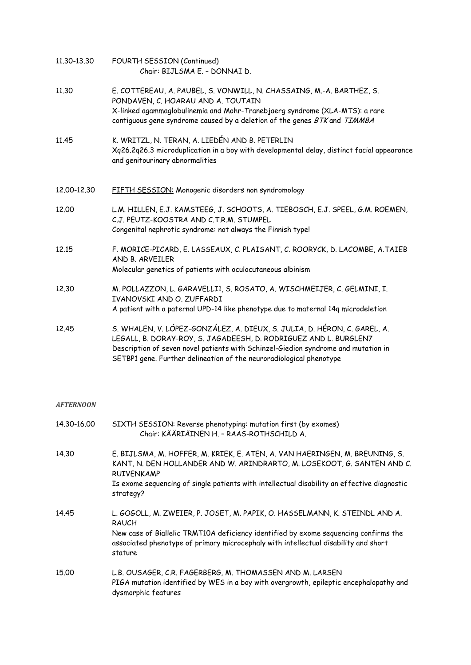- 11.30-13.30 FOURTH SESSION (Continued) Chair: BIJLSMA E. – DONNAI D.
- 11.30 E. COTTEREAU, A. PAUBEL, S. VONWILL, N. CHASSAING, M.-A. BARTHEZ, S. PONDAVEN, C. HOARAU AND A. TOUTAIN X-linked agammaglobulinemia and Mohr-Tranebjaerg syndrome (XLA-MTS): a rare contiguous gene syndrome caused by a deletion of the genes BTK and TIMM8A
- 11.45 K. WRITZL, N. TERAN, A. LIEDÉN AND B. PETERLIN Xq26.2q26.3 microduplication in a boy with developmental delay, distinct facial appearance and genitourinary abnormalities
- 12.00-12.30 FIFTH SESSION: Monogenic disorders non syndromology
- 12.00 L.M. HILLEN, E.J. KAMSTEEG, J. SCHOOTS, A. TIEBOSCH, E.J. SPEEL, G.M. ROEMEN, C.J. PEUTZ-KOOSTRA AND C.T.R.M. STUMPEL Congenital nephrotic syndrome: not always the Finnish type!
- 12.15 F. MORICE-PICARD, E. LASSEAUX, C. PLAISANT, C. ROORYCK, D. LACOMBE, A.TAIEB AND B. ARVEILER Molecular genetics of patients with oculocutaneous albinism
- 12.30 M. POLLAZZON, L. GARAVELLI1, S. ROSATO, A. WISCHMEIJER, C. GELMINI, I. IVANOVSKI AND O. ZUFFARDI A patient with a paternal UPD-14 like phenotype due to maternal 14q microdeletion
- 12.45 S. WHALEN, V. LÓPEZ-GONZÁLEZ, A. DIEUX, S. JULIA, D. HÉRON, C. GAREL, A. LEGALL, B. DORAY-ROY, S. JAGADEESH, D. RODRIGUEZ AND L. BURGLEN7 Description of seven novel patients with Schinzel-Giedion syndrome and mutation in SETBP1 gene. Further delineation of the neuroradiological phenotype

#### *AFTERNOON*

| 14.30-16.00 | SIXTH SESSION: Reverse phenotyping: mutation first (by exomes)<br>Chair: KÄÄRIÄINEN H. - RAAS-ROTHSCHILD A.                                                                            |
|-------------|----------------------------------------------------------------------------------------------------------------------------------------------------------------------------------------|
| 14.30       | E. BIJLSMA, M. HOFFER, M. KRIEK, E. ATEN, A. VAN HAERINGEN, M. BREUNING, S.<br>KANT, N. DEN HOLLANDER AND W. ARINDRARTO, M. LOSEKOOT, G. SANTEN AND C.<br><b>RUIVENKAMP</b>            |
|             | Is exome sequencing of single patients with intellectual disability an effective diagnostic<br>strategy?                                                                               |
| 14.45       | L. GOGOLL, M. ZWEIER, P. JOSET, M. PAPIK, O. HASSELMANN, K. STEINDL AND A.<br><b>RAUCH</b>                                                                                             |
|             | New case of Biallelic TRMT10A deficiency identified by exome sequencing confirms the<br>associated phenotype of primary microcephaly with intellectual disability and short<br>stature |
| 15.00       | L.B. OUSAGER, C.R. FAGERBERG, M. THOMASSEN AND M. LARSEN<br>PIGA mutation identified by WES in a boy with overgrowth, epileptic encephalopathy and<br>dysmorphic features              |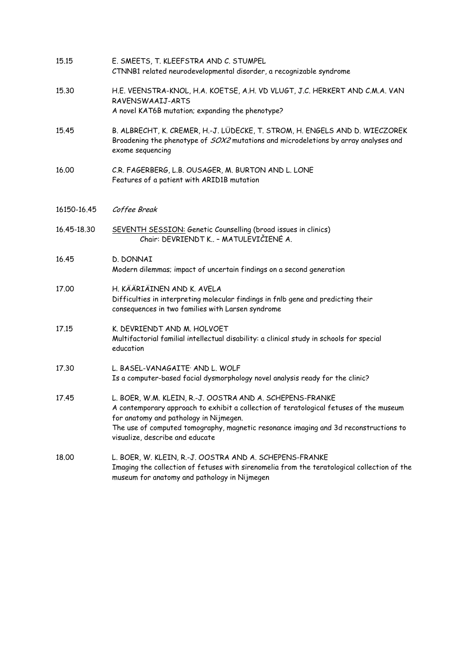| 15.15       | E. SMEETS, T. KLEEFSTRA AND C. STUMPEL<br>CTNNB1 related neurodevelopmental disorder, a recognizable syndrome                                                                                                                                                                                                           |
|-------------|-------------------------------------------------------------------------------------------------------------------------------------------------------------------------------------------------------------------------------------------------------------------------------------------------------------------------|
| 15.30       | H.E. VEENSTRA-KNOL, H.A. KOETSE, A.H. VD VLUGT, J.C. HERKERT AND C.M.A. VAN<br>RAVENSWAAIJ-ARTS<br>A novel KAT6B mutation; expanding the phenotype?                                                                                                                                                                     |
| 15.45       | B. ALBRECHT, K. CREMER, H.-J. LÜDECKE, T. STROM, H. ENGELS AND D. WIECZOREK<br>Broadening the phenotype of SOX2 mutations and microdeletions by array analyses and<br>exome sequencing                                                                                                                                  |
| 16.00       | C.R. FAGERBERG, L.B. OUSAGER, M. BURTON AND L. LONE<br>Features of a patient with ARID1B mutation                                                                                                                                                                                                                       |
| 16150-16.45 | Coffee Break                                                                                                                                                                                                                                                                                                            |
| 16.45-18.30 | SEVENTH SESSION: Genetic Counselling (broad issues in clinics)<br>Chair: DEVRIENDT K - MATULEVIČIENĖ A.                                                                                                                                                                                                                 |
| 16.45       | D. DONNAI<br>Modern dilemmas; impact of uncertain findings on a second generation                                                                                                                                                                                                                                       |
| 17.00       | H. KÄÄRIÄINEN AND K. AVELA<br>Difficulties in interpreting molecular findings in fnlb gene and predicting their<br>consequences in two families with Larsen syndrome                                                                                                                                                    |
| 17.15       | K. DEVRIENDT AND M. HOLVOET<br>Multifactorial familial intellectual disability: a clinical study in schools for special<br>education                                                                                                                                                                                    |
| 17.30       | L. BASEL-VANAGAITE <sup>,</sup> AND L. WOLF<br>Is a computer-based facial dysmorphology novel analysis ready for the clinic?                                                                                                                                                                                            |
| 17.45       | L. BOER, W.M. KLEIN, R.-J. OOSTRA AND A. SCHEPENS-FRANKE<br>A contemporary approach to exhibit a collection of teratological fetuses of the museum<br>for anatomy and pathology in Nijmegen.<br>The use of computed tomography, magnetic resonance imaging and 3d reconstructions to<br>visualize, describe and educate |
| 18.00       | L. BOER, W. KLEIN, R.-J. OOSTRA AND A. SCHEPENS-FRANKE<br>Imaging the collection of fetuses with sirenomelia from the teratological collection of the<br>museum for anatomy and pathology in Nijmegen                                                                                                                   |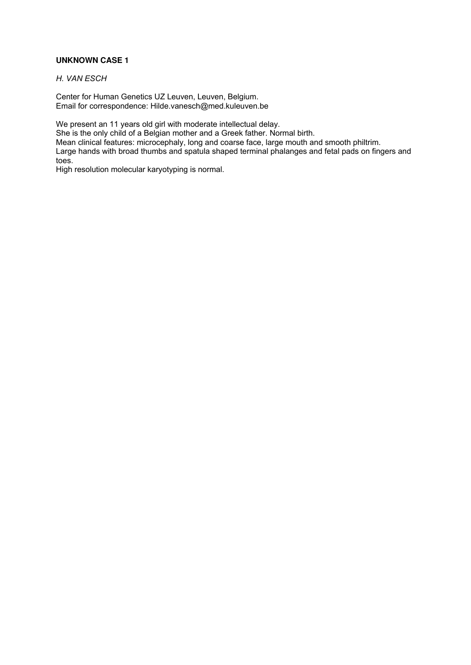# **UNKNOWN CASE 1**

*H. VAN ESCH* 

Center for Human Genetics UZ Leuven, Leuven, Belgium. Email for correspondence: Hilde.vanesch@med.kuleuven.be

We present an 11 years old girl with moderate intellectual delay.

She is the only child of a Belgian mother and a Greek father. Normal birth.

Mean clinical features: microcephaly, long and coarse face, large mouth and smooth philtrim.

Large hands with broad thumbs and spatula shaped terminal phalanges and fetal pads on fingers and toes.

High resolution molecular karyotyping is normal.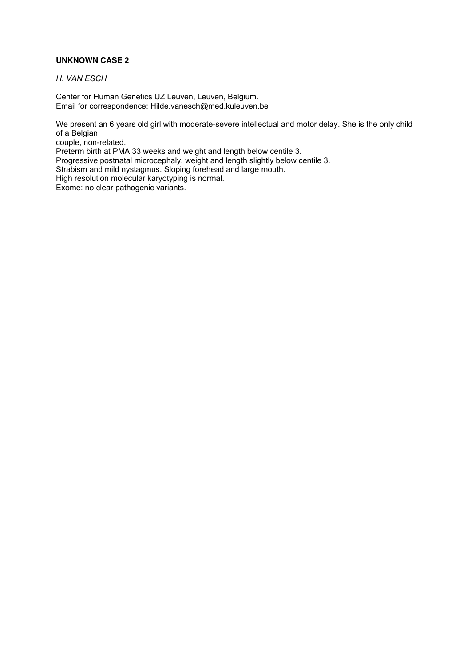# **UNKNOWN CASE 2**

*H. VAN ESCH* 

Center for Human Genetics UZ Leuven, Leuven, Belgium. Email for correspondence: Hilde.vanesch@med.kuleuven.be

We present an 6 years old girl with moderate-severe intellectual and motor delay. She is the only child of a Belgian couple, non-related.

Preterm birth at PMA 33 weeks and weight and length below centile 3.

Progressive postnatal microcephaly, weight and length slightly below centile 3.

Strabism and mild nystagmus. Sloping forehead and large mouth.

High resolution molecular karyotyping is normal.

Exome: no clear pathogenic variants.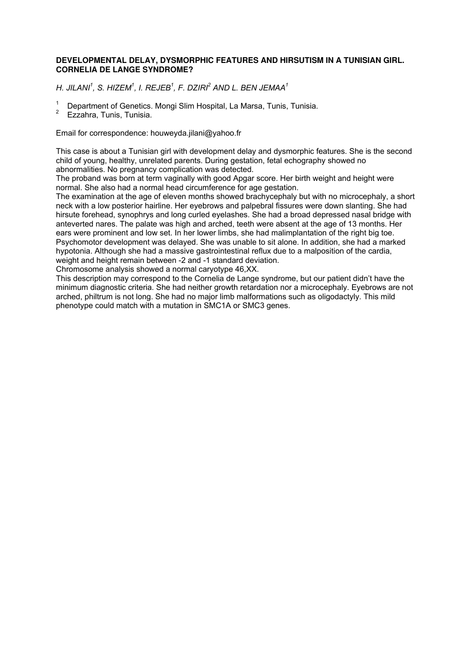### **DEVELOPMENTAL DELAY, DYSMORPHIC FEATURES AND HIRSUTISM IN A TUNISIAN GIRL. CORNELIA DE LANGE SYNDROME?**

*H. JILANI<sup>1</sup> , S. HIZEM<sup>1</sup> , I. REJEB<sup>1</sup> , F. DZIRI<sup>2</sup> AND L. BEN JEMAA<sup>1</sup>*

- 1 Department of Genetics. Mongi Slim Hospital, La Marsa, Tunis, Tunisia.
- 2 Ezzahra, Tunis, Tunisia.

Email for correspondence: houweyda.jilani@yahoo.fr

This case is about a Tunisian girl with development delay and dysmorphic features. She is the second child of young, healthy, unrelated parents. During gestation, fetal echography showed no abnormalities. No pregnancy complication was detected.

The proband was born at term vaginally with good Apgar score. Her birth weight and height were normal. She also had a normal head circumference for age gestation.

The examination at the age of eleven months showed brachycephaly but with no microcephaly, a short neck with a low posterior hairline. Her eyebrows and palpebral fissures were down slanting. She had hirsute forehead, synophrys and long curled eyelashes. She had a broad depressed nasal bridge with anteverted nares. The palate was high and arched, teeth were absent at the age of 13 months. Her ears were prominent and low set. In her lower limbs, she had malimplantation of the right big toe. Psychomotor development was delayed. She was unable to sit alone. In addition, she had a marked hypotonia. Although she had a massive gastrointestinal reflux due to a malposition of the cardia, weight and height remain between -2 and -1 standard deviation.

Chromosome analysis showed a normal caryotype 46,XX.

This description may correspond to the Cornelia de Lange syndrome, but our patient didn't have the minimum diagnostic criteria. She had neither growth retardation nor a microcephaly. Eyebrows are not arched, philtrum is not long. She had no major limb malformations such as oligodactyly. This mild phenotype could match with a mutation in SMC1A or SMC3 genes.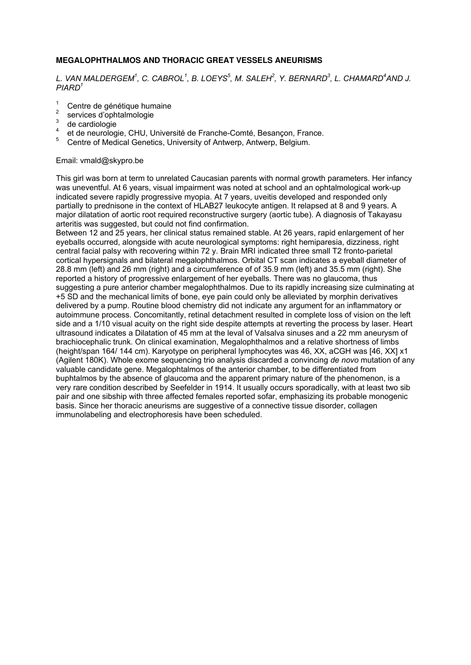# **MEGALOPHTHALMOS AND THORACIC GREAT VESSELS ANEURISMS**

# *L. VAN MALDERGEM<sup>1</sup> , C. CABROL<sup>1</sup> , B. LOEYS<sup>5</sup> , M. SALEH<sup>2</sup> , Y. BERNARD<sup>3</sup> , L. CHAMARD<sup>4</sup>AND J. PIARD<sup>1</sup>*

- $\frac{1}{2}$  Centre de génétique humaine
- $rac{2}{3}$  services d'ophtalmologie
- $rac{3}{4}$  de cardiologie
- et de neurologie, CHU, Université de Franche-Comté, Besançon, France.
- 5 Centre of Medical Genetics, University of Antwerp, Antwerp, Belgium.

# Email: vmald@skypro.be

This girl was born at term to unrelated Caucasian parents with normal growth parameters. Her infancy was uneventful. At 6 years, visual impairment was noted at school and an ophtalmological work-up indicated severe rapidly progressive myopia. At 7 years, uveitis developed and responded only partially to prednisone in the context of HLAB27 leukocyte antigen. It relapsed at 8 and 9 years. A major dilatation of aortic root required reconstructive surgery (aortic tube). A diagnosis of Takayasu arteritis was suggested, but could not find confirmation.

Between 12 and 25 years, her clinical status remained stable. At 26 years, rapid enlargement of her eyeballs occurred, alongside with acute neurological symptoms: right hemiparesia, dizziness, right central facial palsy with recovering within 72 y. Brain MRI indicated three small T2 fronto-parietal cortical hypersignals and bilateral megalophthalmos. Orbital CT scan indicates a eyeball diameter of 28.8 mm (left) and 26 mm (right) and a circumference of of 35.9 mm (left) and 35.5 mm (right). She reported a history of progressive enlargement of her eyeballs. There was no glaucoma, thus suggesting a pure anterior chamber megalophthalmos. Due to its rapidly increasing size culminating at +5 SD and the mechanical limits of bone, eye pain could only be alleviated by morphin derivatives delivered by a pump. Routine blood chemistry did not indicate any argument for an inflammatory or autoimmune process. Concomitantly, retinal detachment resulted in complete loss of vision on the left side and a 1/10 visual acuity on the right side despite attempts at reverting the process by laser. Heart ultrasound indicates a Dilatation of 45 mm at the leval of Valsalva sinuses and a 22 mm aneurysm of brachiocephalic trunk. On clinical examination, Megalophthalmos and a relative shortness of limbs (height/span 164/ 144 cm). Karyotype on peripheral lymphocytes was 46, XX, aCGH was [46, XX] x1 (Agilent 180K). Whole exome sequencing trio analysis discarded a convincing *de novo* mutation of any valuable candidate gene. Megalophtalmos of the anterior chamber, to be differentiated from buphtalmos by the absence of glaucoma and the apparent primary nature of the phenomenon, is a very rare condition described by Seefelder in 1914. It usually occurs sporadically, with at least two sib pair and one sibship with three affected females reported sofar, emphasizing its probable monogenic basis. Since her thoracic aneurisms are suggestive of a connective tissue disorder, collagen immunolabeling and electrophoresis have been scheduled.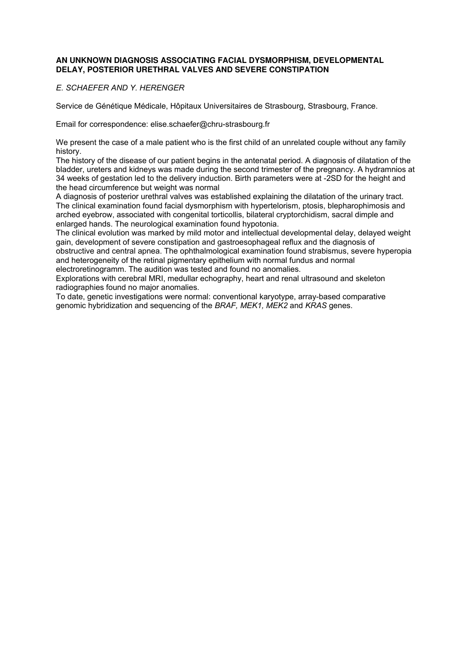### **AN UNKNOWN DIAGNOSIS ASSOCIATING FACIAL DYSMORPHISM, DEVELOPMENTAL DELAY, POSTERIOR URETHRAL VALVES AND SEVERE CONSTIPATION**

# *E. SCHAEFER AND Y. HERENGER*

Service de Génétique Médicale, Hôpitaux Universitaires de Strasbourg, Strasbourg, France.

Email for correspondence: elise.schaefer@chru-strasbourg.fr

We present the case of a male patient who is the first child of an unrelated couple without any family history.

The history of the disease of our patient begins in the antenatal period. A diagnosis of dilatation of the bladder, ureters and kidneys was made during the second trimester of the pregnancy. A hydramnios at 34 weeks of gestation led to the delivery induction. Birth parameters were at -2SD for the height and the head circumference but weight was normal

A diagnosis of posterior urethral valves was established explaining the dilatation of the urinary tract. The clinical examination found facial dysmorphism with hypertelorism, ptosis, blepharophimosis and arched eyebrow, associated with congenital torticollis, bilateral cryptorchidism, sacral dimple and enlarged hands. The neurological examination found hypotonia.

The clinical evolution was marked by mild motor and intellectual developmental delay, delayed weight gain, development of severe constipation and gastroesophageal reflux and the diagnosis of obstructive and central apnea. The ophthalmological examination found strabismus, severe hyperopia and heterogeneity of the retinal pigmentary epithelium with normal fundus and normal electroretinogramm. The audition was tested and found no anomalies.

Explorations with cerebral MRI, medullar echography, heart and renal ultrasound and skeleton radiographies found no major anomalies.

To date, genetic investigations were normal: conventional karyotype, array-based comparative genomic hybridization and sequencing of the *BRAF, MEK1, MEK2* and *KRAS* genes.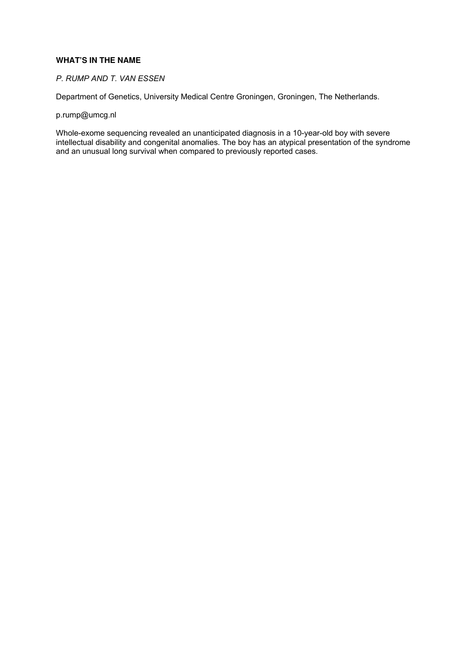## **WHAT'S IN THE NAME**

# *P. RUMP AND T. VAN ESSEN*

Department of Genetics, University Medical Centre Groningen, Groningen, The Netherlands.

p.rump@umcg.nl

Whole-exome sequencing revealed an unanticipated diagnosis in a 10-year-old boy with severe intellectual disability and congenital anomalies. The boy has an atypical presentation of the syndrome and an unusual long survival when compared to previously reported cases.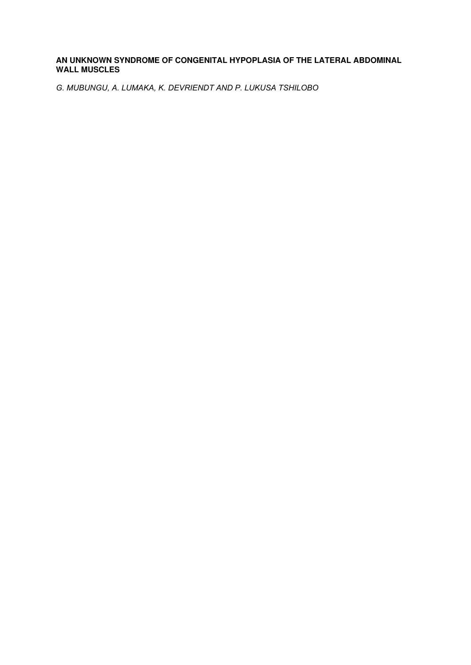# **AN UNKNOWN SYNDROME OF CONGENITAL HYPOPLASIA OF THE LATERAL ABDOMINAL WALL MUSCLES**

*G. MUBUNGU, A. LUMAKA, K. DEVRIENDT AND P. LUKUSA TSHILOBO*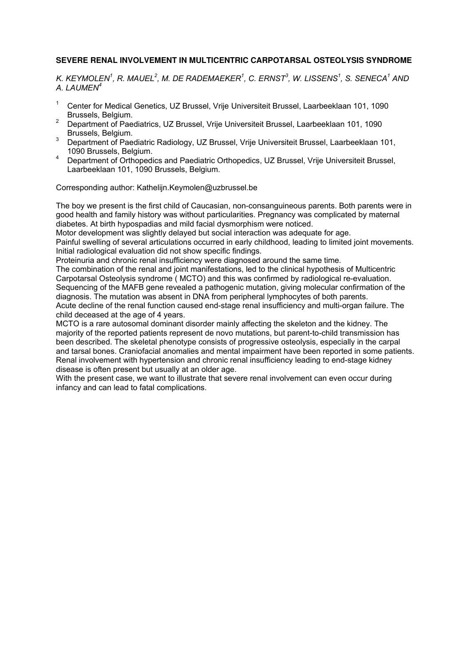# **SEVERE RENAL INVOLVEMENT IN MULTICENTRIC CARPOTARSAL OSTEOLYSIS SYNDROME**

*K. KEYMOLEN<sup>1</sup> , R. MAUEL<sup>2</sup> , M. DE RADEMAEKER<sup>1</sup> , C. ERNST<sup>3</sup> , W. LISSENS<sup>1</sup> , S. SENECA<sup>1</sup> AND A. LAUMEN<sup>4</sup>*

- $1$  Center for Medical Genetics, UZ Brussel, Vrije Universiteit Brussel, Laarbeeklaan 101, 1090 Brussels, Belgium.
- <sup>2</sup> Department of Paediatrics, UZ Brussel, Vrije Universiteit Brussel, Laarbeeklaan 101, 1090 Brussels, Belgium.
- <sup>3</sup> Department of Paediatric Radiology, UZ Brussel, Vrije Universiteit Brussel, Laarbeeklaan 101, 1090 Brussels, Belgium.
- <sup>4</sup>Department of Orthopedics and Paediatric Orthopedics, UZ Brussel, Vrije Universiteit Brussel, Laarbeeklaan 101, 1090 Brussels, Belgium.

Corresponding author: Kathelijn.Keymolen@uzbrussel.be

The boy we present is the first child of Caucasian, non-consanguineous parents. Both parents were in good health and family history was without particularities. Pregnancy was complicated by maternal diabetes. At birth hypospadias and mild facial dysmorphism were noticed.

Motor development was slightly delayed but social interaction was adequate for age. Painful swelling of several articulations occurred in early childhood, leading to limited joint movements. Initial radiological evaluation did not show specific findings.

Proteinuria and chronic renal insufficiency were diagnosed around the same time.

The combination of the renal and joint manifestations, led to the clinical hypothesis of Multicentric Carpotarsal Osteolysis syndrome ( MCTO) and this was confirmed by radiological re-evaluation. Sequencing of the MAFB gene revealed a pathogenic mutation, giving molecular confirmation of the diagnosis. The mutation was absent in DNA from peripheral lymphocytes of both parents. Acute decline of the renal function caused end-stage renal insufficiency and multi-organ failure. The child deceased at the age of 4 years.

MCTO is a rare autosomal dominant disorder mainly affecting the skeleton and the kidney. The majority of the reported patients represent de novo mutations, but parent-to-child transmission has been described. The skeletal phenotype consists of progressive osteolysis, especially in the carpal and tarsal bones. Craniofacial anomalies and mental impairment have been reported in some patients. Renal involvement with hypertension and chronic renal insufficiency leading to end-stage kidney disease is often present but usually at an older age.

With the present case, we want to illustrate that severe renal involvement can even occur during infancy and can lead to fatal complications.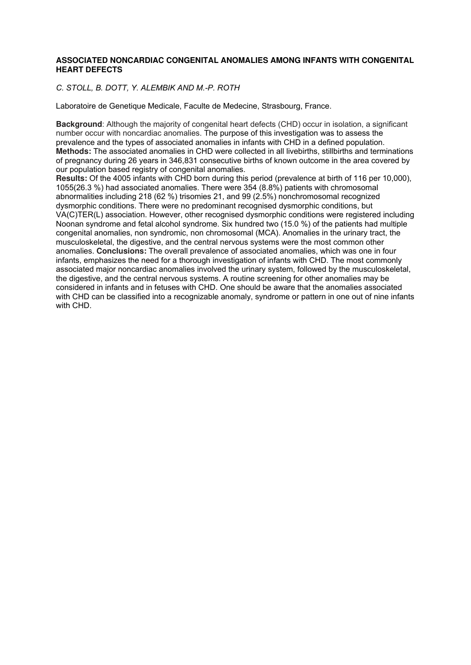#### **ASSOCIATED NONCARDIAC CONGENITAL ANOMALIES AMONG INFANTS WITH CONGENITAL HEART DEFECTS**

# *C. STOLL, B. DOTT, Y. ALEMBIK AND M.-P. ROTH*

Laboratoire de Genetique Medicale, Faculte de Medecine, Strasbourg, France.

**Background**: Although the majority of congenital heart defects (CHD) occur in isolation, a significant number occur with noncardiac anomalies. The purpose of this investigation was to assess the prevalence and the types of associated anomalies in infants with CHD in a defined population. **Methods:** The associated anomalies in CHD were collected in all livebirths, stillbirths and terminations of pregnancy during 26 years in 346,831 consecutive births of known outcome in the area covered by our population based registry of congenital anomalies.

**Results:** Of the 4005 infants with CHD born during this period (prevalence at birth of 116 per 10,000), 1055(26.3 %) had associated anomalies. There were 354 (8.8%) patients with chromosomal abnormalities including 218 (62 %) trisomies 21, and 99 (2.5%) nonchromosomal recognized dysmorphic conditions. There were no predominant recognised dysmorphic conditions, but VA(C)TER(L) association. However, other recognised dysmorphic conditions were registered including Noonan syndrome and fetal alcohol syndrome. Six hundred two (15.0 %) of the patients had multiple congenital anomalies, non syndromic, non chromosomal (MCA). Anomalies in the urinary tract, the musculoskeletal, the digestive, and the central nervous systems were the most common other anomalies. **Conclusions:** The overall prevalence of associated anomalies, which was one in four infants, emphasizes the need for a thorough investigation of infants with CHD. The most commonly associated major noncardiac anomalies involved the urinary system, followed by the musculoskeletal, the digestive, and the central nervous systems. A routine screening for other anomalies may be considered in infants and in fetuses with CHD. One should be aware that the anomalies associated with CHD can be classified into a recognizable anomaly, syndrome or pattern in one out of nine infants with CHD.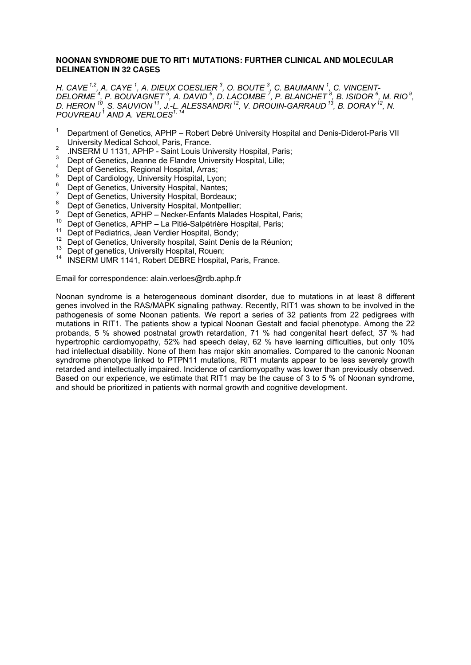#### **NOONAN SYNDROME DUE TO RIT1 MUTATIONS: FURTHER CLINICAL AND MOLECULAR DELINEATION IN 32 CASES**

*H. CAVE 1,2, A. CAYE <sup>1</sup> , A. DIEUX COESLIER <sup>3</sup> , O. BOUTE <sup>3</sup> , C. BAUMANN <sup>1</sup> , C. VINCENT-DELORME <sup>4</sup> , P. BOUVAGNET <sup>5</sup> , A. DAVID <sup>6</sup> , D. LACOMBE <sup>7</sup> , P. BLANCHET <sup>8</sup> , B. ISIDOR <sup>6</sup> , M. RIO<sup>9</sup> , D. HERON <sup>10</sup>, S. SAUVION<sup>11</sup>, J.-L. ALESSANDRI<sup>12</sup>, V. DROUIN-GARRAUD<sup>13</sup>, B. DORAY<sup>12</sup>, N. POUVREAU<sup>1</sup> AND A. VERLOES1, 14*

- <sup>1</sup>Department of Genetics, APHP Robert Debré University Hospital and Denis-Diderot-Paris VII University Medical School, Paris, France.
- <sup>2</sup> .INSERM U 1131, APHP Saint Louis University Hospital, Paris;
- 3 Dept of Genetics, Jeanne de Flandre University Hospital, Lille;
- 4 Dept of Genetics, Regional Hospital, Arras;
- 5  $5$  Dept of Cardiology, University Hospital, Lyon;
- $\frac{6}{7}$  Dept of Genetics, University Hospital, Nantes;
- Dept of Genetics, University Hospital, Bordeaux;
- 8 Dept of Genetics, University Hospital, Montpellier;
- **9**  $\frac{9}{2}$  Dept of Genetics, APHP – Necker-Enfants Malades Hospital, Paris;
- Dept of Genetics, APHP La Pitié-Salpétrière Hospital, Paris;
- <sup>11</sup> Dept of Pediatrics, Jean Verdier Hospital, Bondy;
- $12$  Dept of Genetics, University hospital, Saint Denis de la Réunion;
- <sup>13</sup> Dept of genetics, University Hospital, Rouen;
- <sup>14</sup> INSERM UMR 1141, Robert DEBRE Hospital, Paris, France.

### Email for correspondence: alain.verloes@rdb.aphp.fr

Noonan syndrome is a heterogeneous dominant disorder, due to mutations in at least 8 different genes involved in the RAS/MAPK signaling pathway. Recently, RIT1 was shown to be involved in the pathogenesis of some Noonan patients. We report a series of 32 patients from 22 pedigrees with mutations in RIT1. The patients show a typical Noonan Gestalt and facial phenotype. Among the 22 probands, 5 % showed postnatal growth retardation, 71 % had congenital heart defect, 37 % had hypertrophic cardiomyopathy, 52% had speech delay, 62 % have learning difficulties, but only 10% had intellectual disability. None of them has major skin anomalies. Compared to the canonic Noonan syndrome phenotype linked to PTPN11 mutations, RIT1 mutants appear to be less severely growth retarded and intellectually impaired. Incidence of cardiomyopathy was lower than previously observed. Based on our experience, we estimate that RIT1 may be the cause of 3 to 5 % of Noonan syndrome, and should be prioritized in patients with normal growth and cognitive development.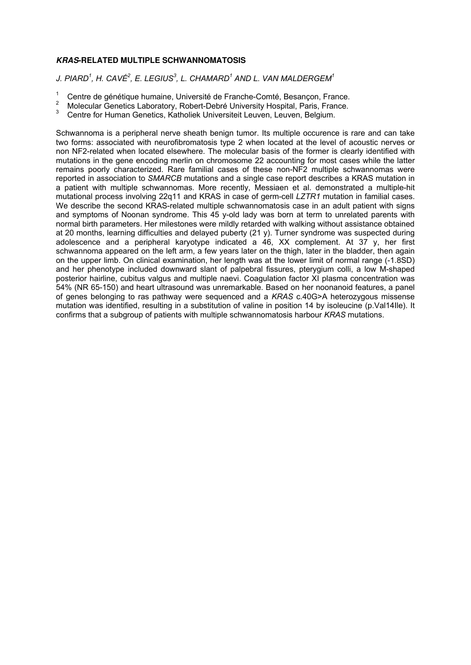# **KRAS-RELATED MULTIPLE SCHWANNOMATOSIS**

*J. PIARD<sup>1</sup> , H. CAVÉ<sup>2</sup> , E. LEGIUS<sup>3</sup> , L. CHAMARD<sup>1</sup> AND L. VAN MALDERGEM<sup>1</sup>*

- <sup>1</sup> Centre de génétique humaine, Université de Franche-Comté, Besançon, France.
- $\frac{2}{3}$  Molecular Genetics Laboratory, Robert-Debré University Hospital, Paris, France.
- <sup>3</sup>Centre for Human Genetics, Katholiek Universiteit Leuven, Leuven, Belgium.

Schwannoma is a peripheral nerve sheath benign tumor. Its multiple occurence is rare and can take two forms: associated with neurofibromatosis type 2 when located at the level of acoustic nerves or non NF2-related when located elsewhere. The molecular basis of the former is clearly identified with mutations in the gene encoding merlin on chromosome 22 accounting for most cases while the latter remains poorly characterized. Rare familial cases of these non-NF2 multiple schwannomas were reported in association to *SMARCB* mutations and a single case report describes a KRAS mutation in a patient with multiple schwannomas. More recently, Messiaen et al. demonstrated a multiple-hit mutational process involving 22q11 and KRAS in case of germ-cell *LZTR1* mutation in familial cases. We describe the second KRAS-related multiple schwannomatosis case in an adult patient with signs and symptoms of Noonan syndrome. This 45 y-old lady was born at term to unrelated parents with normal birth parameters. Her milestones were mildly retarded with walking without assistance obtained at 20 months, learning difficulties and delayed puberty (21 y). Turner syndrome was suspected during adolescence and a peripheral karyotype indicated a 46, XX complement. At 37 y, her first schwannoma appeared on the left arm, a few years later on the thigh, later in the bladder, then again on the upper limb. On clinical examination, her length was at the lower limit of normal range (-1.8SD) and her phenotype included downward slant of palpebral fissures, pterygium colli, a low M-shaped posterior hairline, cubitus valgus and multiple naevi. Coagulation factor XI plasma concentration was 54% (NR 65-150) and heart ultrasound was unremarkable. Based on her noonanoid features, a panel of genes belonging to ras pathway were sequenced and a *KRAS* c.40G>A heterozygous missense mutation was identified, resulting in a substitution of valine in position 14 by isoleucine (p.Val14Ile). It confirms that a subgroup of patients with multiple schwannomatosis harbour *KRAS* mutations.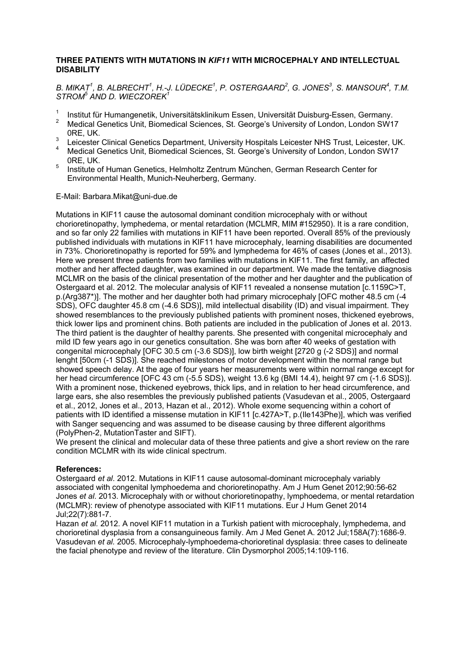## **THREE PATIENTS WITH MUTATIONS IN KIF11 WITH MICROCEPHALY AND INTELLECTUAL DISABILITY**

# *B. MIKAT<sup>1</sup> , B. ALBRECHT<sup>1</sup> , H.-J. LÜDECKE<sup>1</sup> , P. OSTERGAARD<sup>2</sup> , G. JONES<sup>3</sup> , S. MANSOUR<sup>4</sup> , T.M. STROM<sup>5</sup> AND D. WIECZOREK<sup>1</sup>*

- 1 Institut für Humangenetik, Universitätsklinikum Essen, Universität Duisburg-Essen, Germany.
- 2 Medical Genetics Unit, Biomedical Sciences, St. George's University of London, London SW17 0RE, UK.
- 3 Leicester Clinical Genetics Department, University Hospitals Leicester NHS Trust, Leicester, UK.
- 4 Medical Genetics Unit, Biomedical Sciences, St. George's University of London, London SW17 0RE, UK.
- 5 Institute of Human Genetics, Helmholtz Zentrum München, German Research Center for Environmental Health, Munich-Neuherberg, Germany.

#### E-Mail: Barbara.Mikat@uni-due.de

Mutations in KIF11 cause the autosomal dominant condition microcephaly with or without chorioretinopathy, lymphedema, or mental retardation (MCLMR, MIM #152950). It is a rare condition, and so far only 22 families with mutations in KIF11 have been reported. Overall 85% of the previously published individuals with mutations in KIF11 have microcephaly, learning disabilities are documented in 73%. Chorioretinopathy is reported for 59% and lymphedema for 46% of cases (Jones et al., 2013). Here we present three patients from two families with mutations in KIF11. The first family, an affected mother and her affected daughter, was examined in our department. We made the tentative diagnosis MCLMR on the basis of the clinical presentation of the mother and her daughter and the publication of Ostergaard et al. 2012. The molecular analysis of KIF11 revealed a nonsense mutation [c.1159C>T, p.(Arg387\*)]. The mother and her daughter both had primary microcephaly [OFC mother 48.5 cm (-4 SDS), OFC daughter 45.8 cm (-4.6 SDS)], mild intellectual disability (ID) and visual impairment. They showed resemblances to the previously published patients with prominent noses, thickened eyebrows, thick lower lips and prominent chins. Both patients are included in the publication of Jones et al. 2013. The third patient is the daughter of healthy parents. She presented with congenital microcephaly and mild ID few years ago in our genetics consultation. She was born after 40 weeks of gestation with congenital microcephaly [OFC 30.5 cm (-3.6 SDS)], low birth weight [2720 g (-2 SDS)] and normal lenght [50cm (-1 SDS)]. She reached milestones of motor development within the normal range but showed speech delay. At the age of four years her measurements were within normal range except for her head circumference [OFC 43 cm (-5.5 SDS), weight 13.6 kg (BMI 14.4), height 97 cm (-1.6 SDS)]. With a prominent nose, thickened eyebrows, thick lips, and in relation to her head circumference, and large ears, she also resembles the previously published patients (Vasudevan et al., 2005, Ostergaard et al., 2012, Jones et al., 2013, Hazan et al., 2012). Whole exome sequencing within a cohort of patients with ID identified a missense mutation in KIF11 [c.427A>T, p.(Ile143Phe)], which was verified with Sanger sequencing and was assumed to be disease causing by three different algorithms (PolyPhen-2, MutationTaster and SIFT).

We present the clinical and molecular data of these three patients and give a short review on the rare condition MCLMR with its wide clinical spectrum.

#### **References:**

Ostergaard *et al*. 2012. Mutations in KIF11 cause autosomal-dominant microcephaly variably associated with congenital lymphoedema and chorioretinopathy. Am J Hum Genet 2012;90:56-62 Jones *et al*. 2013. Microcephaly with or without chorioretinopathy, lymphoedema, or mental retardation (MCLMR): review of phenotype associated with KIF11 mutations. Eur J Hum Genet 2014 Jul;22(7):881-7.

Hazan *et al.* 2012. A novel KIF11 mutation in a Turkish patient with microcephaly, lymphedema, and chorioretinal dysplasia from a consanguineous family. Am J Med Genet A. 2012 Jul;158A(7):1686-9. Vasudevan *et al.* 2005. Microcephaly-lymphoedema-chorioretinal dysplasia: three cases to delineate the facial phenotype and review of the literature. Clin Dysmorphol 2005;14:109-116.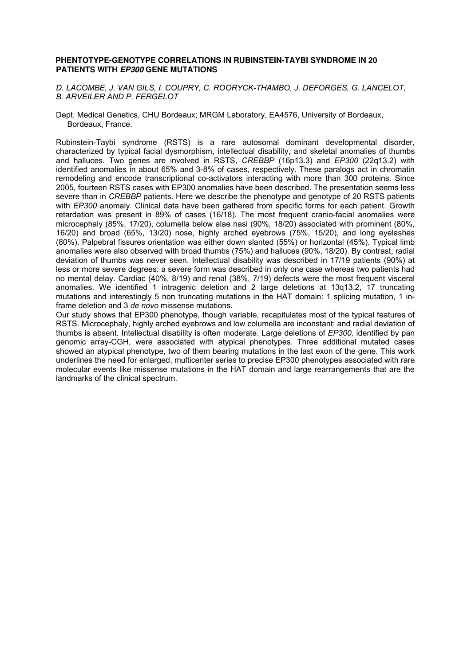#### **PHENTOTYPE-GENOTYPE CORRELATIONS IN RUBINSTEIN-TAYBI SYNDROME IN 20 PATIENTS WITH EP300 GENE MUTATIONS**

*D. LACOMBE, J. VAN GILS, I. COUPRY, C. ROORYCK-THAMBO, J. DEFORGES, G. LANCELOT, B. ARVEILER AND P. FERGELOT* 

Dept. Medical Genetics, CHU Bordeaux; MRGM Laboratory, EA4576, University of Bordeaux, Bordeaux, France.

Rubinstein-Taybi syndrome (RSTS) is a rare autosomal dominant developmental disorder, characterized by typical facial dysmorphism, intellectual disability, and skeletal anomalies of thumbs and halluces. Two genes are involved in RSTS, *CREBBP* (16p13.3) and *EP300* (22q13.2) with identified anomalies in about 65% and 3-8% of cases, respectively. These paralogs act in chromatin remodeling and encode transcriptional co-activators interacting with more than 300 proteins. Since 2005, fourteen RSTS cases with EP300 anomalies have been described. The presentation seems less severe than in *CREBBP* patients. Here we describe the phenotype and genotype of 20 RSTS patients with *EP300* anomaly. Clinical data have been gathered from specific forms for each patient. Growth retardation was present in 89% of cases (16/18). The most frequent cranio-facial anomalies were microcephaly (85%, 17/20), columella below alae nasi (90%, 18/20) associated with prominent (80%, 16/20) and broad (65%, 13/20) nose, highly arched eyebrows (75%, 15/20), and long eyelashes (80%). Palpebral fissures orientation was either down slanted (55%) or horizontal (45%). Typical limb anomalies were also observed with broad thumbs (75%) and halluces (90%, 18/20). By contrast, radial deviation of thumbs was never seen. Intellectual disability was described in 17/19 patients (90%) at less or more severe degrees: a severe form was described in only one case whereas two patients had no mental delay. Cardiac (40%, 8/19) and renal (38%, 7/19) defects were the most frequent visceral anomalies. We identified 1 intragenic deletion and 2 large deletions at 13q13.2, 17 truncating mutations and interestingly 5 non truncating mutations in the HAT domain: 1 splicing mutation, 1 inframe deletion and 3 *de novo* missense mutations.

Our study shows that EP300 phenotype, though variable, recapitulates most of the typical features of RSTS. Microcephaly, highly arched eyebrows and low columella are inconstant; and radial deviation of thumbs is absent. Intellectual disability is often moderate. Large deletions of *EP300,* identified by pan genomic array-CGH, were associated with atypical phenotypes. Three additional mutated cases showed an atypical phenotype, two of them bearing mutations in the last exon of the gene. This work underlines the need for enlarged, multicenter series to precise EP300 phenotypes associated with rare molecular events like missense mutations in the HAT domain and large rearrangements that are the landmarks of the clinical spectrum.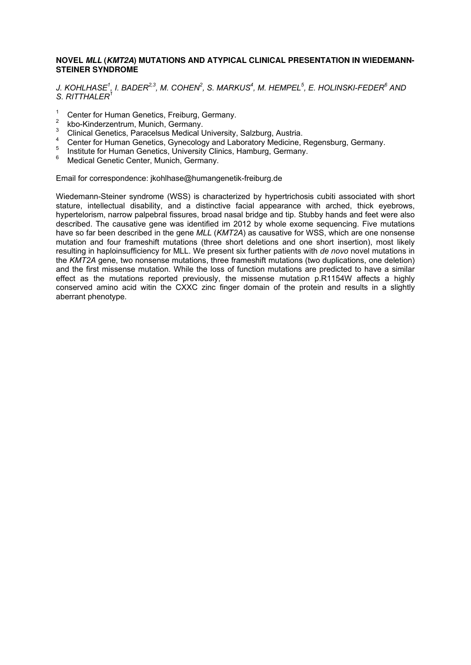### **NOVEL MLL (KMT2A) MUTATIONS AND ATYPICAL CLINICAL PRESENTATION IN WIEDEMANN-STEINER SYNDROME**

*J. KOHLHASE<sup>1</sup> , I. BADER2,3, M. COHEN<sup>2</sup> , S. MARKUS<sup>4</sup> , M. HEMPEL<sup>5</sup> , E. HOLINSKI-FEDER<sup>6</sup> AND S. RITTHALER<sup>1</sup>*

- <sup>1</sup> Center for Human Genetics, Freiburg, Germany.
- <sup>2</sup> kbo-Kinderzentrum, Munich, Germany.
- 3 Clinical Genetics, Paracelsus Medical University, Salzburg, Austria.
- 4 Center for Human Genetics, Gynecology and Laboratory Medicine, Regensburg, Germany.
- <sup>5</sup> Institute for Human Genetics, University Clinics, Hamburg, Germany.
- 6 Medical Genetic Center, Munich, Germany.

Email for correspondence: jkohlhase@humangenetik-freiburg.de

Wiedemann-Steiner syndrome (WSS) is characterized by hypertrichosis cubiti associated with short stature, intellectual disability, and a distinctive facial appearance with arched, thick eyebrows, hypertelorism, narrow palpebral fissures, broad nasal bridge and tip. Stubby hands and feet were also described. The causative gene was identified im 2012 by whole exome sequencing. Five mutations have so far been described in the gene *MLL* (*KMT2A*) as causative for WSS, which are one nonsense mutation and four frameshift mutations (three short deletions and one short insertion), most likely resulting in haploinsufficiency for MLL. We present six further patients with *de novo* novel mutations in the *KMT2A* gene, two nonsense mutations, three frameshift mutations (two duplications, one deletion) and the first missense mutation. While the loss of function mutations are predicted to have a similar effect as the mutations reported previously, the missense mutation p.R1154W affects a highly conserved amino acid witin the CXXC zinc finger domain of the protein and results in a slightly aberrant phenotype.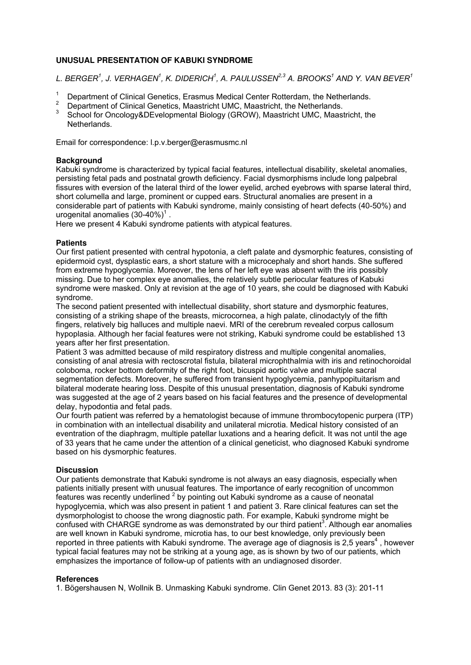# **UNUSUAL PRESENTATION OF KABUKI SYNDROME**

*L. BERGER<sup>1</sup> , J. VERHAGEN<sup>1</sup> , K. DIDERICH<sup>1</sup> , A. PAULUSSEN2,3 A. BROOKS<sup>1</sup> AND Y. VAN BEVER<sup>1</sup>*

- <sup>1</sup> Department of Clinical Genetics, Erasmus Medical Center Rotterdam, the Netherlands.
- <sup>2</sup> Department of Clinical Genetics, Maastricht UMC, Maastricht, the Netherlands.
- <sup>3</sup>School for Oncology&DEvelopmental Biology (GROW), Maastricht UMC, Maastricht, the Netherlands.

Email for correspondence: l.p.v.berger@erasmusmc.nl

### **Background**

Kabuki syndrome is characterized by typical facial features, intellectual disability, skeletal anomalies, persisting fetal pads and postnatal growth deficiency. Facial dysmorphisms include long palpebral fissures with eversion of the lateral third of the lower eyelid, arched eyebrows with sparse lateral third, short columella and large, prominent or cupped ears. Structural anomalies are present in a considerable part of patients with Kabuki syndrome, mainly consisting of heart defects (40-50%) and urogenital anomalies  $(30-40\%)^1$ .

Here we present 4 Kabuki syndrome patients with atypical features.

# **Patients**

Our first patient presented with central hypotonia, a cleft palate and dysmorphic features, consisting of epidermoid cyst, dysplastic ears, a short stature with a microcephaly and short hands. She suffered from extreme hypoglycemia. Moreover, the lens of her left eye was absent with the iris possibly missing. Due to her complex eye anomalies, the relatively subtle periocular features of Kabuki syndrome were masked. Only at revision at the age of 10 years, she could be diagnosed with Kabuki syndrome.

The second patient presented with intellectual disability, short stature and dysmorphic features, consisting of a striking shape of the breasts, microcornea, a high palate, clinodactyly of the fifth fingers, relatively big halluces and multiple naevi. MRI of the cerebrum revealed corpus callosum hypoplasia. Although her facial features were not striking, Kabuki syndrome could be established 13 years after her first presentation.

Patient 3 was admitted because of mild respiratory distress and multiple congenital anomalies, consisting of anal atresia with rectoscrotal fistula, bilateral microphthalmia with iris and retinochoroidal coloboma, rocker bottom deformity of the right foot, bicuspid aortic valve and multiple sacral segmentation defects. Moreover, he suffered from transient hypoglycemia, panhypopituitarism and bilateral moderate hearing loss. Despite of this unusual presentation, diagnosis of Kabuki syndrome was suggested at the age of 2 years based on his facial features and the presence of developmental delay, hypodontia and fetal pads.

Our fourth patient was referred by a hematologist because of immune thrombocytopenic purpera (ITP) in combination with an intellectual disability and unilateral microtia. Medical history consisted of an eventration of the diaphragm, multiple patellar luxations and a hearing deficit. It was not until the age of 33 years that he came under the attention of a clinical geneticist, who diagnosed Kabuki syndrome based on his dysmorphic features.

# **Discussion**

Our patients demonstrate that Kabuki syndrome is not always an easy diagnosis, especially when patients initially present with unusual features. The importance of early recognition of uncommon features was recently underlined  $2$  by pointing out Kabuki syndrome as a cause of neonatal hypoglycemia, which was also present in patient 1 and patient 3. Rare clinical features can set the dysmorphologist to choose the wrong diagnostic path. For example, Kabuki syndrome might be confused with CHARGE syndrome as was demonstrated by our third patient<sup>3</sup>. Although ear anomalies are well known in Kabuki syndrome, microtia has, to our best knowledge, only previously been reported in three patients with Kabuki syndrome. The average age of diagnosis is 2,5 years<sup>4</sup>, however typical facial features may not be striking at a young age, as is shown by two of our patients, which emphasizes the importance of follow-up of patients with an undiagnosed disorder.

#### **References**

1. Bögershausen N, Wollnik B. Unmasking Kabuki syndrome. Clin Genet 2013. 83 (3): 201-11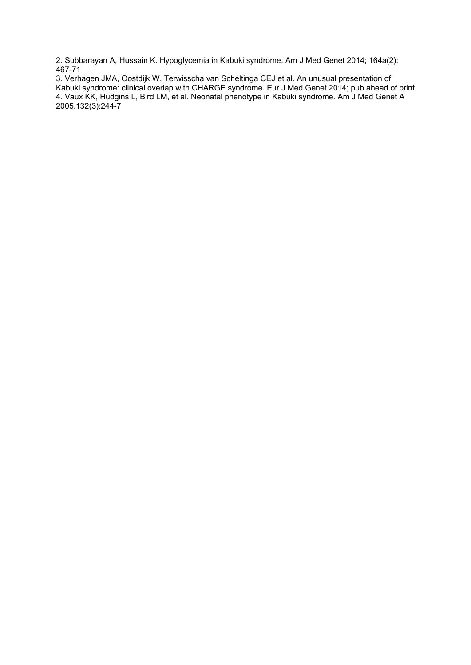2. Subbarayan A, Hussain K. Hypoglycemia in Kabuki syndrome. Am J Med Genet 2014; 164a(2): 467-71

3. Verhagen JMA, Oostdijk W, Terwisscha van Scheltinga CEJ et al. An unusual presentation of Kabuki syndrome: clinical overlap with CHARGE syndrome. Eur J Med Genet 2014; pub ahead of print 4. Vaux KK, Hudgins L, Bird LM, et al. Neonatal phenotype in Kabuki syndrome. Am J Med Genet A 2005.132(3):244-7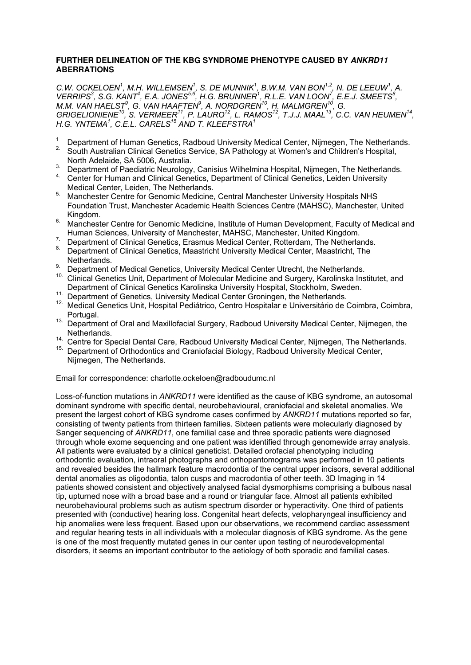## **FURTHER DELINEATION OF THE KBG SYNDROME PHENOTYPE CAUSED BY ANKRD11 ABERRATIONS**

*C.W. OCKELOEN<sup>1</sup>, M.H. WILLEMSEN<sup>1</sup>, S. DE MUNNIK<sup>1</sup>, B.W.M. VAN BON<sup>1,2</sup>, N. DE LEEUW<sup>1</sup>, A. VERRIPS*<sup>3</sup>, S.G. KANT<sup>4</sup>, E.A. JONES<sup>5,6</sup>, H.G. BRUNNER<sup>1</sup>, R.L.E. VAN LOON<sup>7</sup>, E.E.J. SMEETS<sup>8</sup>, *M.M. VAN HAELST<sup>9</sup> , G. VAN HAAFTEN<sup>9</sup> , A. NORDGREN<sup>10</sup>, H. MALMGREN<sup>10</sup>, G. GRIGELIONIENE<sup>10</sup>, S. VERMEER<sup>11</sup>, P. LAURO<sup>12</sup>, L. RAMOS<sup>12</sup>, T.J.J. MAAL<sup>13</sup>, C.C. VAN HEUMEN<sup>14</sup> , H.G. YNTEMA<sup>1</sup> , C.E.L. CARELS<sup>15</sup> AND T. KLEEFSTRA<sup>1</sup>*

- <sup>1</sup> Department of Human Genetics, Radboud University Medical Center, Nijmegen, The Netherlands.<br><sup>2</sup> South Australian Clinical Censtics Sensice, SA Pathelogy at Wemen's and Children's Hespital
- 2. South Australian Clinical Genetics Service, SA Pathology at Women's and Children's Hospital, North Adelaide, SA 5006, Australia.
- 3. Department of Paediatric Neurology, Canisius Wilhelmina Hospital, Nijmegen, The Netherlands.
- 4. Center for Human and Clinical Genetics, Department of Clinical Genetics, Leiden University Medical Center, Leiden, The Netherlands.
- 5. Manchester Centre for Genomic Medicine, Central Manchester University Hospitals NHS Foundation Trust, Manchester Academic Health Sciences Centre (MAHSC), Manchester, United Kingdom.
- $6.$  Manchester Centre for Genomic Medicine, Institute of Human Development, Faculty of Medical and Human Sciences, University of Manchester, MAHSC, Manchester, United Kingdom.
- 7. Department of Clinical Genetics, Erasmus Medical Center, Rotterdam, The Netherlands.
- 8. Department of Clinical Genetics, Maastricht University Medical Center, Maastricht, The Netherlands.
- Department of Medical Genetics, University Medical Center Utrecht, the Netherlands.
- 10. Clinical Genetics Unit, Department of Molecular Medicine and Surgery, Karolinska Institutet, and Department of Clinical Genetics Karolinska University Hospital, Stockholm, Sweden.
- <sup>11.</sup> Department of Genetics, University Medical Center Groningen, the Netherlands.
- 12. Medical Genetics Unit, Hospital Pediátrico, Centro Hospitalar e Universitário de Coimbra, Coimbra, Portugal.
- 13. Department of Oral and Maxillofacial Surgery, Radboud University Medical Center, Nijmegen, the Netherlands.
- 14. Centre for Special Dental Care, Radboud University Medical Center, Nijmegen, The Netherlands.
- 15. Department of Orthodontics and Craniofacial Biology, Radboud University Medical Center, Nijmegen, The Netherlands.

Email for correspondence: charlotte.ockeloen@radboudumc.nl

Loss-of-function mutations in *ANKRD11* were identified as the cause of KBG syndrome, an autosomal dominant syndrome with specific dental, neurobehavioural, craniofacial and skeletal anomalies. We present the largest cohort of KBG syndrome cases confirmed by *ANKRD11* mutations reported so far, consisting of twenty patients from thirteen families. Sixteen patients were molecularly diagnosed by Sanger sequencing of *ANKRD11*, one familial case and three sporadic patients were diagnosed through whole exome sequencing and one patient was identified through genomewide array analysis. All patients were evaluated by a clinical geneticist. Detailed orofacial phenotyping including orthodontic evaluation, intraoral photographs and orthopantomograms was performed in 10 patients and revealed besides the hallmark feature macrodontia of the central upper incisors, several additional dental anomalies as oligodontia, talon cusps and macrodontia of other teeth. 3D Imaging in 14 patients showed consistent and objectively analysed facial dysmorphisms comprising a bulbous nasal tip, upturned nose with a broad base and a round or triangular face. Almost all patients exhibited neurobehavioural problems such as autism spectrum disorder or hyperactivity. One third of patients presented with (conductive) hearing loss. Congenital heart defects, velopharyngeal insufficiency and hip anomalies were less frequent. Based upon our observations, we recommend cardiac assessment and regular hearing tests in all individuals with a molecular diagnosis of KBG syndrome. As the gene is one of the most frequently mutated genes in our center upon testing of neurodevelopmental disorders, it seems an important contributor to the aetiology of both sporadic and familial cases.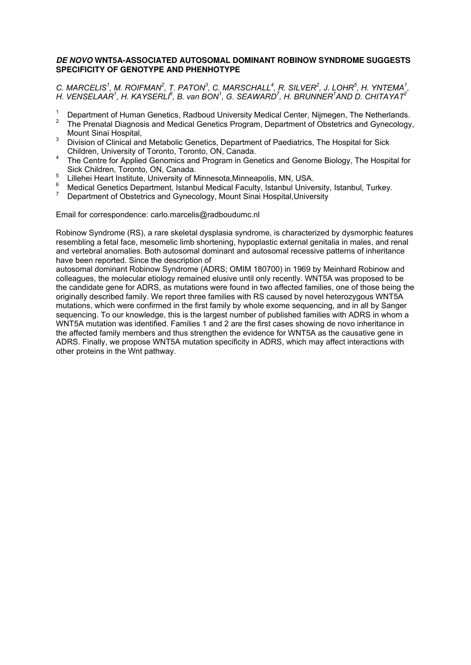### **DE NOVO WNT5A-ASSOCIATED AUTOSOMAL DOMINANT ROBINOW SYNDROME SUGGESTS SPECIFICITY OF GENOTYPE AND PHENHOTYPE**

*C. MARCELIS<sup>1</sup>, M. ROIFMAN<sup>2</sup>, T. PATON<sup>3</sup>, C. MARSCHALL<sup>4</sup>, R. SILVER<sup>2</sup>, J. LOHR<sup>5</sup>, H. YNTEMA<sup>1</sup>, H. VENSELAAR<sup>1</sup>, H. KAYSERLI<sup>6</sup>, B. van BON<sup>1</sup>, G. SEAWARD<sup>7</sup>, H. BRUNNER<sup>1</sup>AND D. CHITAYAT<sup>2</sup>* 

- $1$  Department of Human Genetics, Radboud University Medical Center, Nijmegen, The Netherlands.
- <sup>2</sup> The Prenatal Diagnosis and Medical Genetics Program, Department of Obstetrics and Gynecology, Mount Sinai Hospital,
- <sup>3</sup> Division of Clinical and Metabolic Genetics, Department of Paediatrics, The Hospital for Sick Children, University of Toronto, Toronto, ON, Canada.
- <sup>4</sup>The Centre for Applied Genomics and Program in Genetics and Genome Biology, The Hospital for Sick Children, Toronto, ON, Canada.
- <sup>5</sup> Lillehei Heart Institute, University of Minnesota, Minneapolis, MN, USA.
- <sup>6</sup>Medical Genetics Department, Istanbul Medical Faculty, Istanbul University, Istanbul, Turkey.
- <sup>7</sup>Department of Obstetrics and Gynecology, Mount Sinai Hospital,University

Email for correspondence: carlo.marcelis@radboudumc.nl

Robinow Syndrome (RS), a rare skeletal dysplasia syndrome, is characterized by dysmorphic features resembling a fetal face, mesomelic limb shortening, hypoplastic external genitalia in males, and renal and vertebral anomalies. Both autosomal dominant and autosomal recessive patterns of inheritance have been reported. Since the description of

autosomal dominant Robinow Syndrome (ADRS; OMIM 180700) in 1969 by Meinhard Robinow and colleagues, the molecular etiology remained elusive until only recently. WNT5A was proposed to be the candidate gene for ADRS, as mutations were found in two affected families, one of those being the originally described family. We report three families with RS caused by novel heterozygous WNT5A mutations, which were confirmed in the first family by whole exome sequencing, and in all by Sanger sequencing. To our knowledge, this is the largest number of published families with ADRS in whom a WNT5A mutation was identified. Families 1 and 2 are the first cases showing de novo inheritance in the affected family members and thus strengthen the evidence for WNT5A as the causative gene in ADRS. Finally, we propose WNT5A mutation specificity in ADRS, which may affect interactions with other proteins in the Wnt pathway.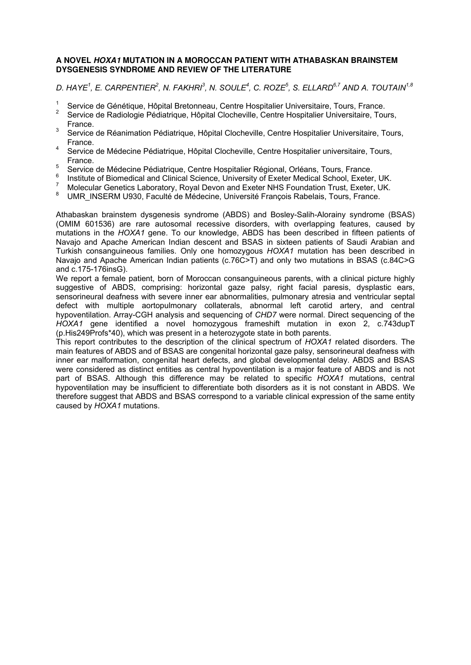#### **A NOVEL HOXA1 MUTATION IN A MOROCCAN PATIENT WITH ATHABASKAN BRAINSTEM DYSGENESIS SYNDROME AND REVIEW OF THE LITERATURE**

*D. HAYE<sup>1</sup> , E. CARPENTIER<sup>2</sup> , N. FAKHRI<sup>3</sup> , N. SOULE<sup>4</sup> , C. ROZE<sup>5</sup> , S. ELLARD6,7 AND A. TOUTAIN1,8* 

- 1 Service de Génétique, Hôpital Bretonneau, Centre Hospitalier Universitaire, Tours, France.
- 2 Service de Radiologie Pédiatrique, Hôpital Clocheville, Centre Hospitalier Universitaire, Tours, France.
- 3 Service de Réanimation Pédiatrique, Hôpital Clocheville, Centre Hospitalier Universitaire, Tours, France.
- 4 Service de Médecine Pédiatrique, Hôpital Clocheville, Centre Hospitalier universitaire, Tours, France.
- <sup>5</sup> Service de Médecine Pédiatrique, Centre Hospitalier Régional, Orléans, Tours, France.
- 6 Institute of Biomedical and Clinical Science, University of Exeter Medical School, Exeter, UK.
- 7 Molecular Genetics Laboratory, Royal Devon and Exeter NHS Foundation Trust, Exeter, UK.
- 8 UMR\_INSERM U930, Faculté de Médecine, Université François Rabelais, Tours, France.

Athabaskan brainstem dysgenesis syndrome (ABDS) and Bosley-Salih-Alorainy syndrome (BSAS) (OMIM 601536) are rare autosomal recessive disorders, with overlapping features, caused by mutations in the *HOXA1* gene. To our knowledge, ABDS has been described in fifteen patients of Navajo and Apache American Indian descent and BSAS in sixteen patients of Saudi Arabian and Turkish consanguineous families. Only one homozygous *HOXA1* mutation has been described in Navajo and Apache American Indian patients (c.76C>T) and only two mutations in BSAS (c.84C>G and c.175-176insG).

We report a female patient, born of Moroccan consanguineous parents, with a clinical picture highly suggestive of ABDS, comprising: horizontal gaze palsy, right facial paresis, dysplastic ears, sensorineural deafness with severe inner ear abnormalities, pulmonary atresia and ventricular septal defect with multiple aortopulmonary collaterals, abnormal left carotid artery, and central hypoventilation. Array-CGH analysis and sequencing of *CHD7* were normal. Direct sequencing of the *HOXA1* gene identified a novel homozygous frameshift mutation in exon 2, c.743dupT (p.His249Profs\*40), which was present in a heterozygote state in both parents.

This report contributes to the description of the clinical spectrum of *HOXA1* related disorders. The main features of ABDS and of BSAS are congenital horizontal gaze palsy, sensorineural deafness with inner ear malformation, congenital heart defects, and global developmental delay. ABDS and BSAS were considered as distinct entities as central hypoventilation is a major feature of ABDS and is not part of BSAS. Although this difference may be related to specific *HOXA1* mutations, central hypoventilation may be insufficient to differentiate both disorders as it is not constant in ABDS. We therefore suggest that ABDS and BSAS correspond to a variable clinical expression of the same entity caused by *HOXA1* mutations.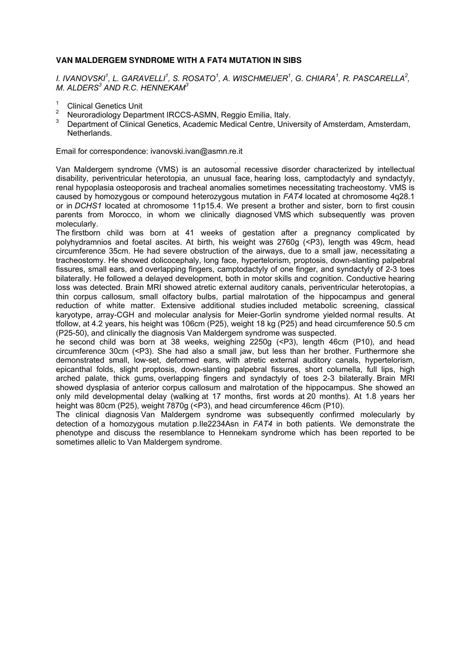# **VAN MALDERGEM SYNDROME WITH A FAT4 MUTATION IN SIBS**

*I. IVANOVSKI<sup>1</sup> , L. GARAVELLI<sup>1</sup> , S. ROSATO<sup>1</sup> , A. WISCHMEIJER<sup>1</sup> , G. CHIARA<sup>1</sup> , R. PASCARELLA<sup>2</sup> , M. ALDERS<sup>3</sup> AND R.C. HENNEKAM<sup>3</sup>* 

- **Clinical Genetics Unit**
- $\overline{2}$ Neuroradiology Department IRCCS-ASMN, Reggio Emilia, Italy.
- 3 Department of Clinical Genetics, Academic Medical Centre, University of Amsterdam, Amsterdam, Netherlands.

Email for correspondence: ivanovski.ivan@asmn.re.it

. Van Maldergem syndrome (VMS) is an autosomal recessive disorder characterized by intellectual disability, periventricular heterotopia, an unusual face, hearing loss, camptodactyly and syndactyly, renal hypoplasia osteoporosis and tracheal anomalies sometimes necessitating tracheostomy. VMS is caused by homozygous or compound heterozygous mutation in *FAT4* located at chromosome 4q28.1 or in *DCHS1* located at chromosome 11p15.4. We present a brother and sister, born to first cousin parents from Morocco, in whom we clinically diagnosed VMS which subsequently was proven molecularly.

The firstborn child was born at 41 weeks of gestation after a pregnancy complicated by polyhydramnios and foetal ascites. At birth, his weight was 2760g (<P3), length was 49cm, head circumference 35cm. He had severe obstruction of the airways, due to a small jaw, necessitating a tracheostomy. He showed dolicocephaly, long face, hypertelorism, proptosis, down-slanting palpebral fissures, small ears, and overlapping fingers, camptodactyly of one finger, and syndactyly of 2-3 toes bilaterally. He followed a delayed development, both in motor skills and cognition. Conductive hearing loss was detected. Brain MRI showed atretic external auditory canals, periventricular heterotopias, a thin corpus callosum, small olfactory bulbs, partial malrotation of the hippocampus and general reduction of white matter. Extensive additional studies included metabolic screening, classical karyotype, array-CGH and molecular analysis for Meier-Gorlin syndrome yielded normal results. At tfollow, at 4.2 years, his height was 106cm (P25), weight 18 kg (P25) and head circumference 50.5 cm (P25-50), and clinically the diagnosis Van Maldergem syndrome was suspected.

he second child was born at 38 weeks, weighing 2250g (<P3), length 46cm (P10), and head circumference 30cm (<P3). She had also a small jaw, but less than her brother. Furthermore she demonstrated small, low-set, deformed ears, with atretic external auditory canals, hypertelorism, epicanthal folds, slight proptosis, down-slanting palpebral fissures, short columella, full lips, high arched palate, thick gums, overlapping fingers and syndactyly of toes 2-3 bilaterally. Brain MRI showed dysplasia of anterior corpus callosum and malrotation of the hippocampus. She showed an only mild developmental delay (walking at 17 months, first words at 20 months). At 1.8 years her height was 80cm (P25), weight 7870g (<P3), and head circumference 46cm (P10).

The clinical diagnosis Van Maldergem syndrome was subsequently confirmed molecularly by detection of a homozygous mutation p.Ile2234Asn in *FAT4* in both patients. We demonstrate the phenotype and discuss the resemblance to Hennekam syndrome which has been reported to be sometimes allelic to Van Maldergem syndrome.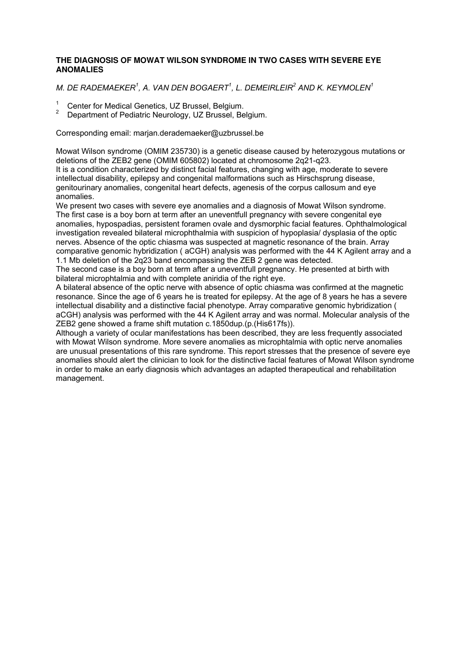# **THE DIAGNOSIS OF MOWAT WILSON SYNDROME IN TWO CASES WITH SEVERE EYE ANOMALIES**

# *M. DE RADEMAEKER<sup>1</sup> , A. VAN DEN BOGAERT<sup>1</sup> , L. DEMEIRLEIR<sup>2</sup> AND K. KEYMOLEN<sup>1</sup>*

- <sup>1</sup>Center for Medical Genetics, UZ Brussel, Belgium.
- 2 Department of Pediatric Neurology, UZ Brussel, Belgium.

Corresponding email: marjan.derademaeker@uzbrussel.be

Mowat Wilson syndrome (OMIM 235730) is a genetic disease caused by heterozygous mutations or deletions of the ZEB2 gene (OMIM 605802) located at chromosome 2q21-q23. It is a condition characterized by distinct facial features, changing with age, moderate to severe intellectual disability, epilepsy and congenital malformations such as Hirschsprung disease, genitourinary anomalies, congenital heart defects, agenesis of the corpus callosum and eye anomalies.

We present two cases with severe eye anomalies and a diagnosis of Mowat Wilson syndrome. The first case is a boy born at term after an uneventfull pregnancy with severe congenital eye anomalies, hypospadias, persistent foramen ovale and dysmorphic facial features. Ophthalmological investigation revealed bilateral microphthalmia with suspicion of hypoplasia/ dysplasia of the optic nerves. Absence of the optic chiasma was suspected at magnetic resonance of the brain. Array comparative genomic hybridization ( aCGH) analysis was performed with the 44 K Agilent array and a 1.1 Mb deletion of the 2q23 band encompassing the ZEB 2 gene was detected.

The second case is a boy born at term after a uneventfull pregnancy. He presented at birth with bilateral microphtalmia and with complete aniridia of the right eye.

A bilateral absence of the optic nerve with absence of optic chiasma was confirmed at the magnetic resonance. Since the age of 6 years he is treated for epilepsy. At the age of 8 years he has a severe intellectual disability and a distinctive facial phenotype. Array comparative genomic hybridization ( aCGH) analysis was performed with the 44 K Agilent array and was normal. Molecular analysis of the ZEB2 gene showed a frame shift mutation c.1850dup.(p.(His617fs)).

Although a variety of ocular manifestations has been described, they are less frequently associated with Mowat Wilson syndrome. More severe anomalies as microphtalmia with optic nerve anomalies are unusual presentations of this rare syndrome. This report stresses that the presence of severe eye anomalies should alert the clinician to look for the distinctive facial features of Mowat Wilson syndrome in order to make an early diagnosis which advantages an adapted therapeutical and rehabilitation management.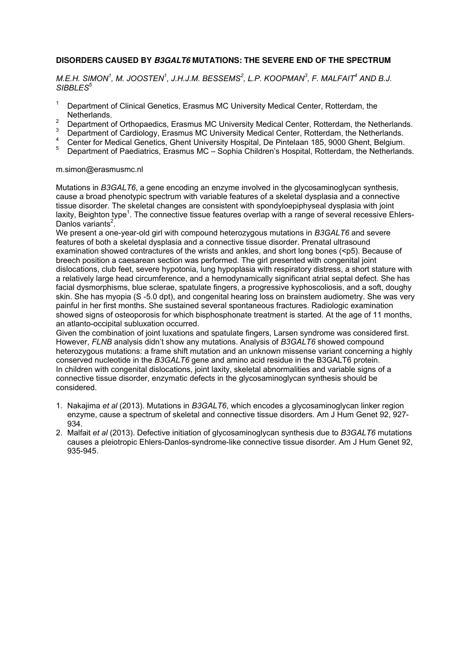# **DISORDERS CAUSED BY B3GALT6 MUTATIONS: THE SEVERE END OF THE SPECTRUM**

*M.E.H. SIMON<sup>1</sup> , M. JOOSTEN<sup>1</sup> , J.H.J.M. BESSEMS<sup>2</sup> , L.P. KOOPMAN<sup>3</sup> , F. MALFAIT<sup>4</sup> AND B.J. SIBBLES<sup>5</sup>*

- $1$  Department of Clinical Genetics, Erasmus MC University Medical Center, Rotterdam, the Netherlands.
- <sup>2</sup> Department of Orthopaedics, Erasmus MC University Medical Center, Rotterdam, the Netherlands.
- <sup>3</sup> Department of Cardiology, Erasmus MC University Medical Center, Rotterdam, the Netherlands.
- <sup>4</sup> Center for Medical Genetics, Ghent University Hospital, De Pintelaan 185, 9000 Ghent, Belgium.<br><sup>5</sup> Department of Deadlistics, Freemyn MC, Sankie Children's Userital, Detterdam, the Natharland
- <sup>5</sup>Department of Paediatrics, Erasmus MC Sophia Children's Hospital, Rotterdam, the Netherlands.

### m.simon@erasmusmc.nl

Mutations in *B3GALT6*, a gene encoding an enzyme involved in the glycosaminoglycan synthesis, cause a broad phenotypic spectrum with variable features of a skeletal dysplasia and a connective tissue disorder. The skeletal changes are consistent with spondyloepiphyseal dysplasia with joint laxity, Beighton type<sup>1</sup>. The connective tissue features overlap with a range of several recessive Ehlers-Danlos variants<sup>2</sup>.

We present a one-year-old girl with compound heterozygous mutations in *B3GALT6* and severe features of both a skeletal dysplasia and a connective tissue disorder. Prenatal ultrasound examination showed contractures of the wrists and ankles, and short long bones (<p5). Because of breech position a caesarean section was performed. The girl presented with congenital joint dislocations, club feet, severe hypotonia, lung hypoplasia with respiratory distress, a short stature with a relatively large head circumference, and a hemodynamically significant atrial septal defect. She has facial dysmorphisms, blue sclerae, spatulate fingers, a progressive kyphoscoliosis, and a soft, doughy skin. She has myopia (S -5.0 dpt), and congenital hearing loss on brainstem audiometry. She was very painful in her first months. She sustained several spontaneous fractures. Radiologic examination showed signs of osteoporosis for which bisphosphonate treatment is started. At the age of 11 months, an atlanto-occipital subluxation occurred.

Given the combination of joint luxations and spatulate fingers, Larsen syndrome was considered first. However, *FLNB* analysis didn't show any mutations. Analysis of *B3GALT6* showed compound heterozygous mutations: a frame shift mutation and an unknown missense variant concerning a highly conserved nucleotide in the *B3GALT6* gene and amino acid residue in the B3GALT6 protein. In children with congenital dislocations, joint laxity, skeletal abnormalities and variable signs of a connective tissue disorder, enzymatic defects in the glycosaminoglycan synthesis should be considered.

- 1. Nakajima *et al* (2013). Mutations in *B3GALT6*, which encodes a glycosaminoglycan linker region enzyme, cause a spectrum of skeletal and connective tissue disorders. Am J Hum Genet 92, 927- 934.
- 2. Malfait *et al* (2013). Defective initiation of glycosaminoglycan synthesis due to *B3GALT6* mutations causes a pleiotropic Ehlers-Danlos-syndrome-like connective tissue disorder. Am J Hum Genet 92, 935-945.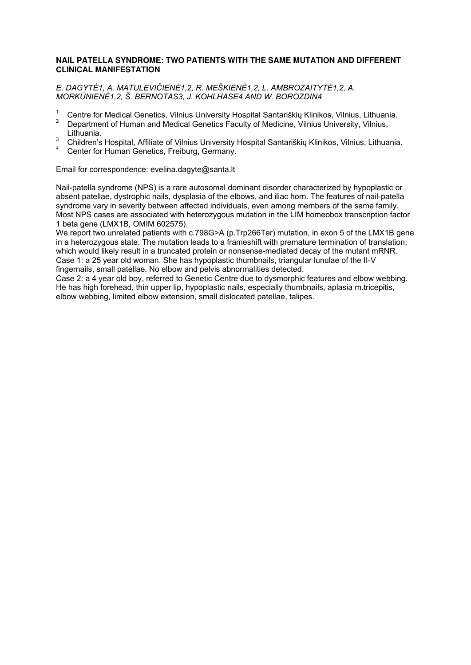### **NAIL PATELLA SYNDROME: TWO PATIENTS WITH THE SAME MUTATION AND DIFFERENT CLINICAL MANIFESTATION**

*E. DAGYTĖ1, A. MATULEVIČIENĖ1,2, R. MEŠKIENĖ1,2, L. AMBROZAITYTĖ1,2, A. MORKŪNIENĖ1,2, Š. BERNOTAS3, J. KOHLHASE4 AND W. BOROZDIN4* 

- <sup>1</sup> Centre for Medical Genetics, Vilnius University Hospital Santariškių Klinikos, Vilnius, Lithuania.
- 2 Department of Human and Medical Genetics Faculty of Medicine, Vilnius University, Vilnius, Lithuania.
- 3 Children's Hospital, Affiliate of Vilnius University Hospital Santariškių Klinikos, Vilnius, Lithuania.
- 4 Center for Human Genetics, Freiburg, Germany.

Email for correspondence: evelina.dagyte@santa.lt

Nail-patella syndrome (NPS) is a rare autosomal dominant disorder characterized by hypoplastic or absent patellae, dystrophic nails, dysplasia of the elbows, and iliac horn. The features of nail-patella syndrome vary in severity between affected individuals, even among members of the same family. Most NPS cases are associated with heterozygous mutation in the LIM homeobox transcription factor 1 beta gene (LMX1B, OMIM 602575).

We report two unrelated patients with c.798G>A (p.Trp266Ter) mutation, in exon 5 of the LMX1B gene in a heterozygous state. The mutation leads to a frameshift with premature termination of translation, which would likely result in a truncated protein or nonsense-mediated decay of the mutant mRNR. Case 1: a 25 year old woman. She has hypoplastic thumbnails, triangular lunulae of the II-V fingernails, small patellae. No elbow and pelvis abnormalities detected.

Case 2: a 4 year old boy, referred to Genetic Centre due to dysmorphic features and elbow webbing. He has high forehead, thin upper lip, hypoplastic nails, especially thumbnails, aplasia m.tricepitis, elbow webbing, limited elbow extension, small dislocated patellae, talipes.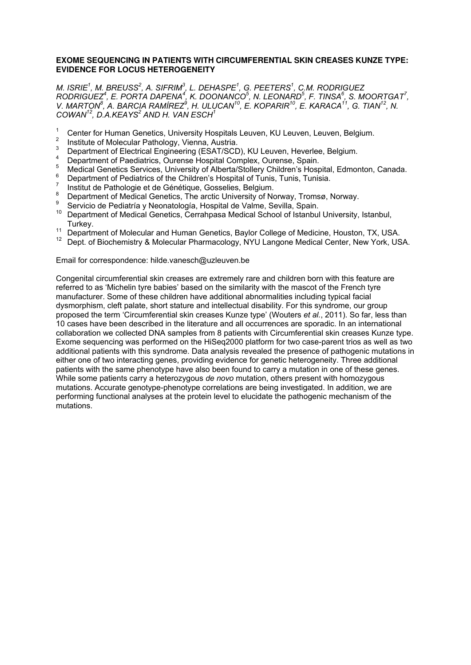### **EXOME SEQUENCING IN PATIENTS WITH CIRCUMFERENTIAL SKIN CREASES KUNZE TYPE: EVIDENCE FOR LOCUS HETEROGENEITY**

*M. ISRIE<sup>1</sup> , M. BREUSS<sup>2</sup> , A. SIFRIM<sup>3</sup> , L. DEHASPE<sup>1</sup> , G. PEETERS<sup>1</sup> , C.M. RODRIGUEZ RODRIGUEZ<sup>4</sup> , E. PORTA DAPENA<sup>4</sup> , K. DOONANCO<sup>5</sup> , N. LEONARD<sup>5</sup> , F. TINSA<sup>6</sup> , S. MOORTGAT<sup>7</sup> , V. MARTON<sup>8</sup>, A. BARCIA RAMÍREZ<sup>9</sup>, H. ULUCAN<sup>10</sup>, E. KOPARIR<sup>10</sup>, E. KARACA<sup>11</sup>, G. TIAN<sup>12</sup>, N. COWAN<sup>12</sup>, D.A.KEAYS<sup>2</sup> AND H. VAN ESCH<sup>1</sup>*

- <sup>1</sup> Center for Human Genetics, University Hospitals Leuven, KU Leuven, Leuven, Belgium.
- <sup>2</sup> Institute of Molecular Pathology, Vienna, Austria.<br><sup>3</sup> Department of Flastinal Fracince inc. (FOAT/COD)
- <sup>3</sup> Department of Electrical Engineering (ESAT/SCD), KU Leuven, Heverlee, Belgium.
- <sup>4</sup> Department of Paediatrics, Ourense Hospital Complex, Ourense, Spain.
- <sup>5</sup> Medical Genetics Services, University of Alberta/Stollery Children's Hospital, Edmonton, Canada.
- Department of Pediatrics of the Children's Hospital of Tunis, Tunis, Tunisia.
- 7  $\frac{7}{8}$  Institut de Pathologie et de Génétique, Gosselies, Belgium.
- Department of Medical Genetics, The arctic University of Norway, Tromsø, Norway.
- 9 Servicio de Pediatría y Neonatología, Hospital de Valme, Sevilla, Spain.
- <sup>10</sup> Department of Medical Genetics, Cerrahpasa Medical School of Istanbul University, Istanbul, Turkey.
- 11 Department of Molecular and Human Genetics, Baylor College of Medicine, Houston, TX, USA.<br>12 Dept of Biochemistry 8 Melacular Pharmaceleau, NYLLI appeae Medical Center Nau York, US
- Dept. of Biochemistry & Molecular Pharmacology, NYU Langone Medical Center, New York, USA.

Email for correspondence: hilde.vanesch@uzleuven.be

Congenital circumferential skin creases are extremely rare and children born with this feature are referred to as 'Michelin tyre babies' based on the similarity with the mascot of the French tyre manufacturer. Some of these children have additional abnormalities including typical facial dysmorphism, cleft palate, short stature and intellectual disability. For this syndrome, our group proposed the term 'Circumferential skin creases Kunze type' (Wouters *et al.*, 2011). So far, less than 10 cases have been described in the literature and all occurrences are sporadic. In an international collaboration we collected DNA samples from 8 patients with Circumferential skin creases Kunze type. Exome sequencing was performed on the HiSeq2000 platform for two case-parent trios as well as two additional patients with this syndrome. Data analysis revealed the presence of pathogenic mutations in either one of two interacting genes, providing evidence for genetic heterogeneity. Three additional patients with the same phenotype have also been found to carry a mutation in one of these genes. While some patients carry a heterozygous *de novo* mutation, others present with homozygous mutations. Accurate genotype-phenotype correlations are being investigated. In addition, we are performing functional analyses at the protein level to elucidate the pathogenic mechanism of the mutations.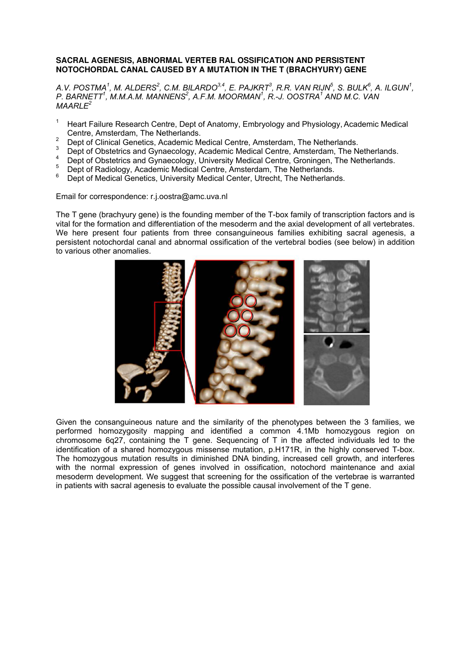### **SACRAL AGENESIS, ABNORMAL VERTEB RAL OSSIFICATION AND PERSISTENT NOTOCHORDAL CANAL CAUSED BY A MUTATION IN THE T (BRACHYURY) GENE**

*A.V. POSTMA<sup>1</sup> , M. ALDERS<sup>2</sup> , C.M. BILARDO3,4, E. PAJKRT<sup>3</sup> , R.R. VAN RIJN<sup>5</sup> , S. BULK<sup>6</sup> , A. ILGUN<sup>1</sup> , P. BARNETT<sup>1</sup> , M.M.A.M. MANNENS<sup>2</sup> , A.F.M. MOORMAN<sup>1</sup> , R.-J. OOSTRA<sup>1</sup> AND M.C. VAN MAARLE<sup>2</sup>*

- <sup>1</sup>Heart Failure Research Centre, Dept of Anatomy, Embryology and Physiology, Academic Medical Centre, Amsterdam, The Netherlands.
- $\mathfrak{2}$ Dept of Clinical Genetics, Academic Medical Centre, Amsterdam, The Netherlands.
- 3 Dept of Obstetrics and Gynaecology, Academic Medical Centre, Amsterdam, The Netherlands.
- 4 Dept of Obstetrics and Gynaecology, University Medical Centre, Groningen, The Netherlands.
- 5 <sup>5</sup> Dept of Radiology, Academic Medical Centre, Amsterdam, The Netherlands.<br><sup>6</sup> Dept of Medical Censtics, University Medical Center, Utrecht, The Netherlands.
- Dept of Medical Genetics, University Medical Center, Utrecht, The Netherlands.

Email for correspondence: r.j.oostra@amc.uva.nl

The T gene (brachyury gene) is the founding member of the T-box family of transcription factors and is vital for the formation and differentiation of the mesoderm and the axial development of all vertebrates. We here present four patients from three consanguineous families exhibiting sacral agenesis, a persistent notochordal canal and abnormal ossification of the vertebral bodies (see below) in addition to various other anomalies.



Given the consanguineous nature and the similarity of the phenotypes between the 3 families, we performed homozygosity mapping and identified a common 4.1Mb homozygous region on chromosome 6q27, containing the T gene. Sequencing of T in the affected individuals led to the identification of a shared homozygous missense mutation, p.H171R, in the highly conserved T-box. The homozygous mutation results in diminished DNA binding, increased cell growth, and interferes with the normal expression of genes involved in ossification, notochord maintenance and axial mesoderm development. We suggest that screening for the ossification of the vertebrae is warranted in patients with sacral agenesis to evaluate the possible causal involvement of the T gene.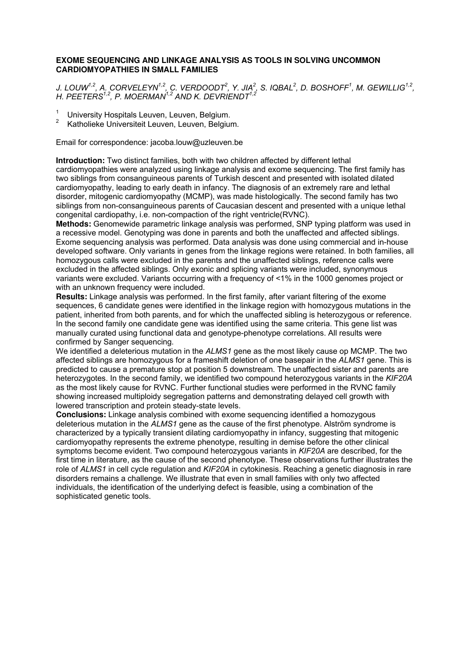## **EXOME SEQUENCING AND LINKAGE ANALYSIS AS TOOLS IN SOLVING UNCOMMON CARDIOMYOPATHIES IN SMALL FAMILIES**

*J. LOUW1,2, A. CORVELEYN1,2, C. VERDOODT<sup>2</sup> , Y. JIA<sup>2</sup> , S. IQBAL<sup>2</sup> , D. BOSHOFF<sup>1</sup> , M. GEWILLIG1,2 , H. PEETERS1,2, P. MOERMAN1,2 AND K. DEVRIENDT1,2*

- <sup>1</sup> University Hospitals Leuven, Leuven, Belgium.<br><sup>2</sup> Kotholieke Universiteit Leuven, Leuven, Belgium.
- Katholieke Universiteit Leuven, Leuven, Belgium.

Email for correspondence: jacoba.louw@uzleuven.be

**Introduction:** Two distinct families, both with two children affected by different lethal cardiomyopathies were analyzed using linkage analysis and exome sequencing. The first family has two siblings from consanguineous parents of Turkish descent and presented with isolated dilated cardiomyopathy, leading to early death in infancy. The diagnosis of an extremely rare and lethal disorder, mitogenic cardiomyopathy (MCMP), was made histologically. The second family has two siblings from non-consanguineous parents of Caucasian descent and presented with a unique lethal congenital cardiopathy, i.e. non-compaction of the right ventricle(RVNC).

**Methods:** Genomewide parametric linkage analysis was performed, SNP typing platform was used in a recessive model. Genotyping was done in parents and both the unaffected and affected siblings. Exome sequencing analysis was performed. Data analysis was done using commercial and in-house developed software. Only variants in genes from the linkage regions were retained. In both families, all homozygous calls were excluded in the parents and the unaffected siblings, reference calls were excluded in the affected siblings. Only exonic and splicing variants were included, synonymous variants were excluded. Variants occurring with a frequency of <1% in the 1000 genomes project or with an unknown frequency were included.

**Results:** Linkage analysis was performed. In the first family, after variant filtering of the exome sequences, 6 candidate genes were identified in the linkage region with homozygous mutations in the patient, inherited from both parents, and for which the unaffected sibling is heterozygous or reference. In the second family one candidate gene was identified using the same criteria. This gene list was manually curated using functional data and genotype-phenotype correlations. All results were confirmed by Sanger sequencing.

We identified a deleterious mutation in the *ALMS1* gene as the most likely cause op MCMP. The two affected siblings are homozygous for a frameshift deletion of one basepair in the *ALMS1* gene. This is predicted to cause a premature stop at position 5 downstream. The unaffected sister and parents are heterozygotes. In the second family, we identified two compound heterozygous variants in the *KIF20A* as the most likely cause for RVNC. Further functional studies were performed in the RVNC family showing increased multiploidy segregation patterns and demonstrating delayed cell growth with lowered transcription and protein steady-state levels.

**Conclusions:** Linkage analysis combined with exome sequencing identified a homozygous deleterious mutation in the *ALMS1* gene as the cause of the first phenotype. Alström syndrome is characterized by a typically transient dilating cardiomyopathy in infancy, suggesting that mitogenic cardiomyopathy represents the extreme phenotype, resulting in demise before the other clinical symptoms become evident. Two compound heterozygous variants in *KIF20A* are described, for the first time in literature, as the cause of the second phenotype. These observations further illustrates the role of *ALMS1* in cell cycle regulation and *KIF20A* in cytokinesis. Reaching a genetic diagnosis in rare disorders remains a challenge. We illustrate that even in small families with only two affected individuals, the identification of the underlying defect is feasible, using a combination of the sophisticated genetic tools.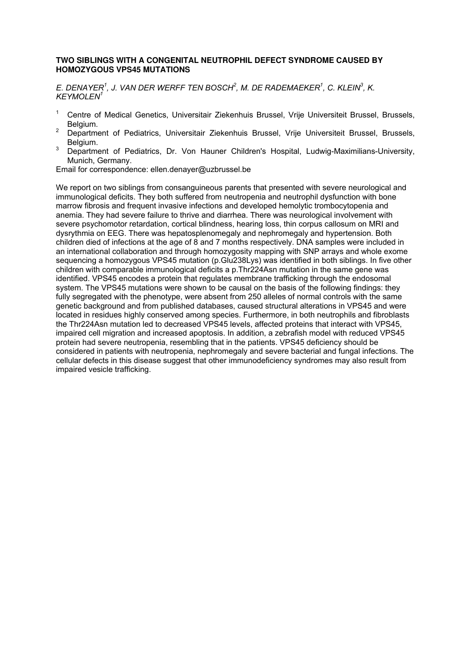## **TWO SIBLINGS WITH A CONGENITAL NEUTROPHIL DEFECT SYNDROME CAUSED BY HOMOZYGOUS VPS45 MUTATIONS**

*E. DENAYER<sup>1</sup> , J. VAN DER WERFF TEN BOSCH<sup>2</sup> , M. DE RADEMAEKER<sup>1</sup> , C. KLEIN<sup>3</sup> , K. KEYMOLEN<sup>1</sup>*

- <sup>1</sup> Centre of Medical Genetics, Universitair Ziekenhuis Brussel, Vrije Universiteit Brussel, Brussels, Belgium.
- <sup>2</sup> Department of Pediatrics, Universitair Ziekenhuis Brussel, Vrije Universiteit Brussel, Brussels, Belgium.
- Department of Pediatrics, Dr. Von Hauner Children's Hospital, Ludwig-Maximilians-University, Munich, Germany.

Email for correspondence: ellen.denayer@uzbrussel.be

We report on two siblings from consanguineous parents that presented with severe neurological and immunological deficits. They both suffered from neutropenia and neutrophil dysfunction with bone marrow fibrosis and frequent invasive infections and developed hemolytic trombocytopenia and anemia. They had severe failure to thrive and diarrhea. There was neurological involvement with severe psychomotor retardation, cortical blindness, hearing loss, thin corpus callosum on MRI and dysrythmia on EEG. There was hepatosplenomegaly and nephromegaly and hypertension. Both children died of infections at the age of 8 and 7 months respectively. DNA samples were included in an international collaboration and through homozygosity mapping with SNP arrays and whole exome sequencing a homozygous VPS45 mutation (p.Glu238Lys) was identified in both siblings. In five other children with comparable immunological deficits a p.Thr224Asn mutation in the same gene was identified. VPS45 encodes a protein that regulates membrane trafficking through the endosomal system. The VPS45 mutations were shown to be causal on the basis of the following findings: they fully segregated with the phenotype, were absent from 250 alleles of normal controls with the same genetic background and from published databases, caused structural alterations in VPS45 and were located in residues highly conserved among species. Furthermore, in both neutrophils and fibroblasts the Thr224Asn mutation led to decreased VPS45 levels, affected proteins that interact with VPS45, impaired cell migration and increased apoptosis. In addition, a zebrafish model with reduced VPS45 protein had severe neutropenia, resembling that in the patients. VPS45 deficiency should be considered in patients with neutropenia, nephromegaly and severe bacterial and fungal infections. The cellular defects in this disease suggest that other immunodeficiency syndromes may also result from impaired vesicle trafficking.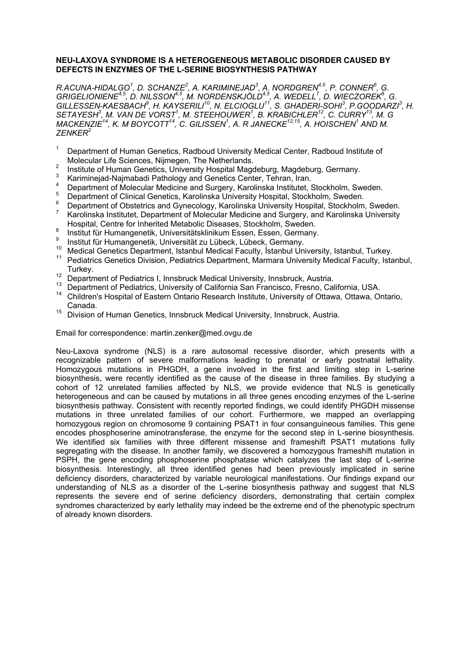## **NEU-LAXOVA SYNDROME IS A HETEROGENEOUS METABOLIC DISORDER CAUSED BY DEFECTS IN ENZYMES OF THE L-SERINE BIOSYNTHESIS PATHWAY**

*R.ACUNA-HIDALGO<sup>1</sup> , D. SCHANZE<sup>2</sup> , A. KARIMINEJAD<sup>3</sup> , A. NORDGREN4,5, P. CONNER<sup>6</sup> , G. GRIGELIONIENE4,5, D. NILSSON4,5, M. NORDENSKJÖLD4,5, A. WEDELL<sup>7</sup> , D. WIECZOREK<sup>8</sup> , G. GILLESSEN-KAESBACH<sup>9</sup>, H. KAYSERILI<sup>10</sup>, N. ELCIOGLU<sup>11</sup>, S. GHADERI-SOHI<sup>3</sup>, P.GOODARZI<sup>3</sup>, H. SETAYESH<sup>3</sup> , M. VAN DE VORST<sup>1</sup> , M. STEEHOUWER<sup>1</sup> , B. KRABICHLER<sup>12</sup>, C. CURRY<sup>13</sup>, M. G MACKENZIE<sup>14</sup>, K. M BOYCOTT<sup>14</sup>, C. GILISSEN<sup>1</sup> , A. R JANECKE12,15, A. HOISCHEN<sup>1</sup> AND M. ZENKER<sup>2</sup>*

- 1 Department of Human Genetics, Radboud University Medical Center, Radboud Institute of Molecular Life Sciences, Nijmegen, The Netherlands.
- 2 Institute of Human Genetics, University Hospital Magdeburg, Magdeburg, Germany.
- 3 Kariminejad-Najmabadi Pathology and Genetics Center, Tehran, Iran.
- 4 Department of Molecular Medicine and Surgery, Karolinska Institutet, Stockholm, Sweden.
- 5 Department of Clinical Genetics, Karolinska University Hospital, Stockholm, Sweden.
- 6 Department of Obstetrics and Gynecology, Karolinska University Hospital, Stockholm, Sweden. 7
- Karolinska Institutet, Department of Molecular Medicine and Surgery, and Karolinska University Hospital, Centre for Inherited Metabolic Diseases, Stockholm, Sweden.
- 8 Institut für Humangenetik, Universitätsklinikum Essen, Essen, Germany.
- 9 Institut für Humangenetik, Universität zu Lübeck, Lübeck, Germany.
- <sup>10</sup> Medical Genetics Department, Istanbul Medical Faculty, İstanbul University, Istanbul, Turkey.
- <sup>11</sup> Pediatrics Genetics Division, Pediatrics Department, Marmara University Medical Faculty, Istanbul, Turkey.
- <sup>12</sup> Department of Pediatrics I, Innsbruck Medical University, Innsbruck, Austria.
- <sup>13</sup> Department of Pediatrics, University of California San Francisco, Fresno, California, USA.
- <sup>14</sup> Children's Hospital of Eastern Ontario Research Institute, University of Ottawa, Ottawa, Ontario, Canada.
- <sup>15</sup> Division of Human Genetics, Innsbruck Medical University, Innsbruck, Austria.

#### Email for correspondence: martin.zenker@med.ovgu.de

Neu-Laxova syndrome (NLS) is a rare autosomal recessive disorder, which presents with a recognizable pattern of severe malformations leading to prenatal or early postnatal lethality. Homozygous mutations in PHGDH, a gene involved in the first and limiting step in L-serine biosynthesis, were recently identified as the cause of the disease in three families. By studying a cohort of 12 unrelated families affected by NLS, we provide evidence that NLS is genetically heterogeneous and can be caused by mutations in all three genes encoding enzymes of the L-serine biosynthesis pathway. Consistent with recently reported findings, we could identify PHGDH missense mutations in three unrelated families of our cohort. Furthermore, we mapped an overlapping homozygous region on chromosome 9 containing PSAT1 in four consanguineous families. This gene encodes phosphoserine aminotransferase, the enzyme for the second step in L-serine biosynthesis. We identified six families with three different missense and frameshift PSAT1 mutations fully segregating with the disease. In another family, we discovered a homozygous frameshift mutation in PSPH, the gene encoding phosphoserine phosphatase which catalyzes the last step of L-serine biosynthesis. Interestingly, all three identified genes had been previously implicated in serine deficiency disorders, characterized by variable neurological manifestations. Our findings expand our understanding of NLS as a disorder of the L-serine biosynthesis pathway and suggest that NLS represents the severe end of serine deficiency disorders, demonstrating that certain complex syndromes characterized by early lethality may indeed be the extreme end of the phenotypic spectrum of already known disorders.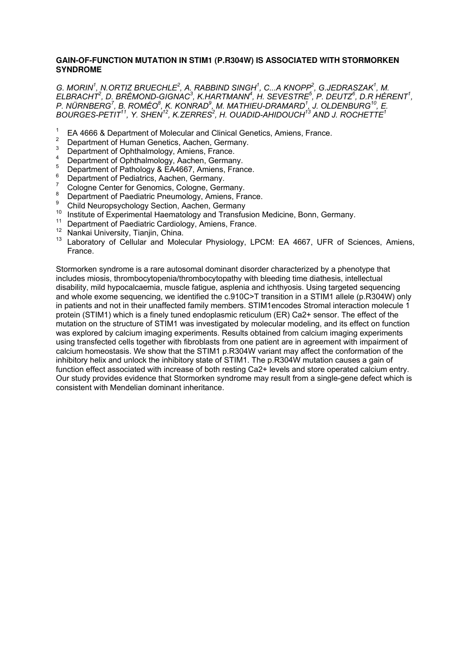## **GAIN-OF-FUNCTION MUTATION IN STIM1 (P.R304W) IS ASSOCIATED WITH STORMORKEN SYNDROME**

*G. MORIN<sup>1</sup> , N.ORTIZ BRUECHLE<sup>2</sup> , A. RABBIND SINGH<sup>1</sup> , C...A KNOPP<sup>2</sup> , G.JEDRASZAK<sup>1</sup> , M. ELBRACHT<sup>2</sup> , D. BRÉMOND-GIGNAC<sup>3</sup> , K.HARTMANN<sup>4</sup> , H. SEVESTRE<sup>5</sup> , P. DEUTZ<sup>6</sup> , D.R HÉRENT<sup>1</sup> , P. NÜRNBERG<sup>7</sup> , B. ROMÉO<sup>8</sup> , K. KONRAD<sup>9</sup> , M. MATHIEU-DRAMARD<sup>1</sup> , J. OLDENBURG<sup>10</sup>, E. BOURGES-PETIT<sup>11</sup>, Y. SHEN<sup>12</sup>, K.ZERRES<sup>2</sup> , H. OUADID-AHIDOUCH<sup>13</sup> AND J. ROCHETTE<sup>1</sup>*

- 1 EA 4666 & Department of Molecular and Clinical Genetics, Amiens, France.
- 2 Department of Human Genetics, Aachen, Germany.
- 3 Department of Ophthalmology, Amiens, France. 4
- Department of Ophthalmology, Aachen, Germany.
- 5 Department of Pathology & EA4667, Amiens, France.
- 6 Department of Pediatrics, Aachen, Germany.
- 7 Cologne Center for Genomics, Cologne, Germany. 8
- Department of Paediatric Pneumology, Amiens, France.
- 9 Child Neuropsychology Section, Aachen, Germany
- <sup>10</sup> Institute of Experimental Haematology and Transfusion Medicine, Bonn, Germany.<br>11 Department of Possibility Carrielam: Amigas, France.
- Department of Paediatric Cardiology, Amiens, France.
- <sup>12</sup> Nankai University, Tianjin, China.
- <sup>13</sup> Laboratory of Cellular and Molecular Physiology, LPCM: EA 4667, UFR of Sciences, Amiens, France.

Stormorken syndrome is a rare autosomal dominant disorder characterized by a phenotype that includes miosis, thrombocytopenia/thrombocytopathy with bleeding time diathesis, intellectual disability, mild hypocalcaemia, muscle fatigue, asplenia and ichthyosis. Using targeted sequencing and whole exome sequencing, we identified the c.910C>T transition in a STIM1 allele (p.R304W) only in patients and not in their unaffected family members. STIM1encodes Stromal interaction molecule 1 protein (STIM1) which is a finely tuned endoplasmic reticulum (ER) Ca2+ sensor. The effect of the mutation on the structure of STIM1 was investigated by molecular modeling, and its effect on function was explored by calcium imaging experiments. Results obtained from calcium imaging experiments using transfected cells together with fibroblasts from one patient are in agreement with impairment of calcium homeostasis. We show that the STIM1 p.R304W variant may affect the conformation of the inhibitory helix and unlock the inhibitory state of STIM1. The p.R304W mutation causes a gain of function effect associated with increase of both resting Ca2+ levels and store operated calcium entry. Our study provides evidence that Stormorken syndrome may result from a single-gene defect which is consistent with Mendelian dominant inheritance.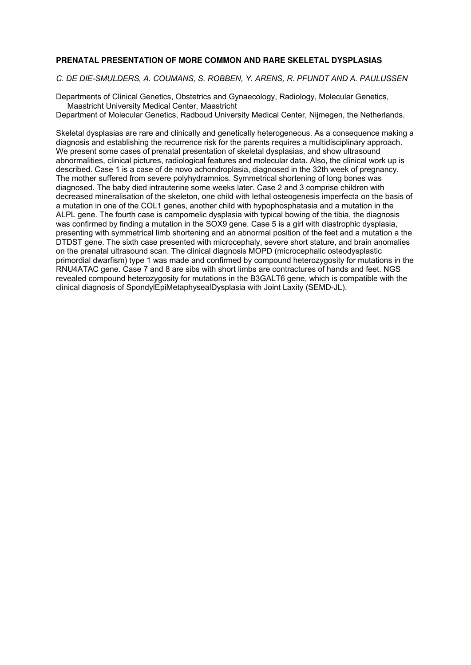## **PRENATAL PRESENTATION OF MORE COMMON AND RARE SKELETAL DYSPLASIAS**

*C. DE DIE-SMULDERS, A. COUMANS, S. ROBBEN, Y. ARENS, R. PFUNDT AND A. PAULUSSEN* 

Departments of Clinical Genetics, Obstetrics and Gynaecology, Radiology, Molecular Genetics, Maastricht University Medical Center, Maastricht Department of Molecular Genetics, Radboud University Medical Center, Nijmegen, the Netherlands.

Skeletal dysplasias are rare and clinically and genetically heterogeneous. As a consequence making a diagnosis and establishing the recurrence risk for the parents requires a multidisciplinary approach. We present some cases of prenatal presentation of skeletal dysplasias, and show ultrasound abnormalities, clinical pictures, radiological features and molecular data. Also, the clinical work up is described. Case 1 is a case of de novo achondroplasia, diagnosed in the 32th week of pregnancy. The mother suffered from severe polyhydramnios. Symmetrical shortening of long bones was diagnosed. The baby died intrauterine some weeks later. Case 2 and 3 comprise children with decreased mineralisation of the skeleton, one child with lethal osteogenesis imperfecta on the basis of a mutation in one of the COL1 genes, another child with hypophosphatasia and a mutation in the ALPL gene. The fourth case is campomelic dysplasia with typical bowing of the tibia, the diagnosis was confirmed by finding a mutation in the SOX9 gene. Case 5 is a girl with diastrophic dysplasia, presenting with symmetrical limb shortening and an abnormal position of the feet and a mutation a the DTDST gene. The sixth case presented with microcephaly, severe short stature, and brain anomalies on the prenatal ultrasound scan. The clinical diagnosis MOPD (microcephalic osteodysplastic primordial dwarfism) type 1 was made and confirmed by compound heterozygosity for mutations in the RNU4ATAC gene. Case 7 and 8 are sibs with short limbs are contractures of hands and feet. NGS revealed compound heterozygosity for mutations in the B3GALT6 gene, which is compatible with the clinical diagnosis of SpondylEpiMetaphysealDysplasia with Joint Laxity (SEMD-JL).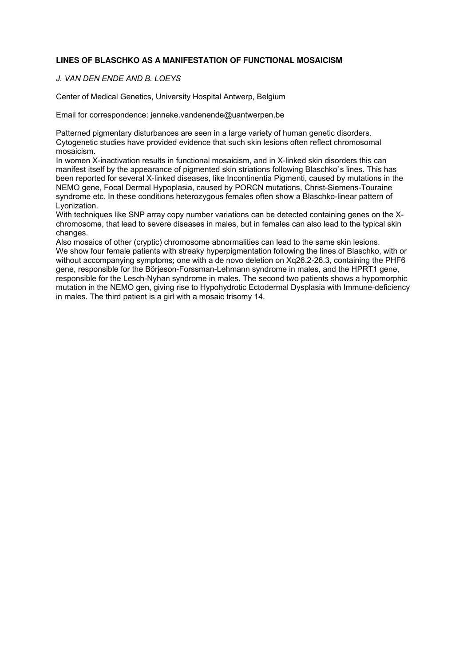## **LINES OF BLASCHKO AS A MANIFESTATION OF FUNCTIONAL MOSAICISM**

*J. VAN DEN ENDE AND B. LOEYS* 

Center of Medical Genetics, University Hospital Antwerp, Belgium

Email for correspondence: jenneke.vandenende@uantwerpen.be

Patterned pigmentary disturbances are seen in a large variety of human genetic disorders. Cytogenetic studies have provided evidence that such skin lesions often reflect chromosomal mosaicism.

In women X-inactivation results in functional mosaicism, and in X-linked skin disorders this can manifest itself by the appearance of pigmented skin striations following Blaschko`s lines. This has been reported for several X-linked diseases, like Incontinentia Pigmenti, caused by mutations in the NEMO gene, Focal Dermal Hypoplasia, caused by PORCN mutations, Christ-Siemens-Touraine syndrome etc. In these conditions heterozygous females often show a Blaschko-linear pattern of Lyonization.

With techniques like SNP array copy number variations can be detected containing genes on the Xchromosome, that lead to severe diseases in males, but in females can also lead to the typical skin changes.

Also mosaics of other (cryptic) chromosome abnormalities can lead to the same skin lesions. We show four female patients with streaky hyperpigmentation following the lines of Blaschko, with or without accompanying symptoms; one with a de novo deletion on Xq26.2-26.3, containing the PHF6 gene, responsible for the Börjeson-Forssman-Lehmann syndrome in males, and the HPRT1 gene, responsible for the Lesch-Nyhan syndrome in males. The second two patients shows a hypomorphic mutation in the NEMO gen, giving rise to Hypohydrotic Ectodermal Dysplasia with Immune-deficiency in males. The third patient is a girl with a mosaic trisomy 14.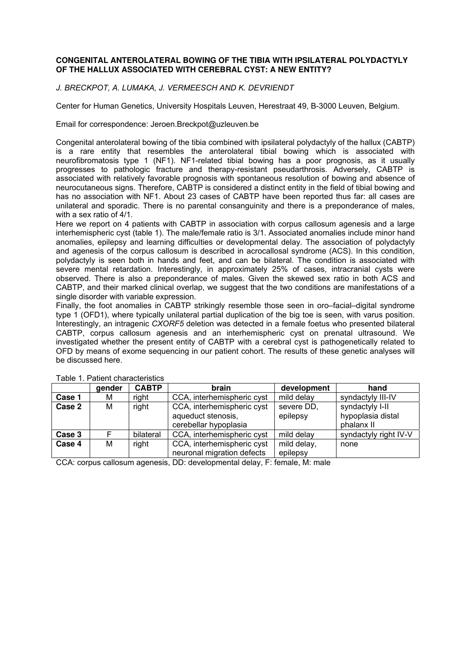## **CONGENITAL ANTEROLATERAL BOWING OF THE TIBIA WITH IPSILATERAL POLYDACTYLY OF THE HALLUX ASSOCIATED WITH CEREBRAL CYST: A NEW ENTITY?**

*J. BRECKPOT, A. LUMAKA, J. VERMEESCH AND K. DEVRIENDT*

Center for Human Genetics, University Hospitals Leuven, Herestraat 49, B-3000 Leuven, Belgium.

Email for correspondence: Jeroen.Breckpot@uzleuven.be

Congenital anterolateral bowing of the tibia combined with ipsilateral polydactyly of the hallux (CABTP) is a rare entity that resembles the anterolateral tibial bowing which is associated with neurofibromatosis type 1 (NF1). NF1-related tibial bowing has a poor prognosis, as it usually progresses to pathologic fracture and therapy-resistant pseudarthrosis. Adversely, CABTP is associated with relatively favorable prognosis with spontaneous resolution of bowing and absence of neurocutaneous signs. Therefore, CABTP is considered a distinct entity in the field of tibial bowing and has no association with NF1. About 23 cases of CABTP have been reported thus far: all cases are unilateral and sporadic. There is no parental consanguinity and there is a preponderance of males, with a sex ratio of 4/1.

Here we report on 4 patients with CABTP in association with corpus callosum agenesis and a large interhemispheric cyst (table 1). The male/female ratio is 3/1. Associated anomalies include minor hand anomalies, epilepsy and learning difficulties or developmental delay. The association of polydactyly and agenesis of the corpus callosum is described in acrocallosal syndrome (ACS). In this condition, polydactyly is seen both in hands and feet, and can be bilateral. The condition is associated with severe mental retardation. Interestingly, in approximately 25% of cases, intracranial cysts were observed. There is also a preponderance of males. Given the skewed sex ratio in both ACS and CABTP, and their marked clinical overlap, we suggest that the two conditions are manifestations of a single disorder with variable expression.

Finally, the foot anomalies in CABTP strikingly resemble those seen in oro–facial–digital syndrome type 1 (OFD1), where typically unilateral partial duplication of the big toe is seen, with varus position. Interestingly, an intragenic *CXORF5* deletion was detected in a female foetus who presented bilateral CABTP, corpus callosum agenesis and an interhemispheric cyst on prenatal ultrasound. We investigated whether the present entity of CABTP with a cerebral cyst is pathogenetically related to OFD by means of exome sequencing in our patient cohort. The results of these genetic analyses will be discussed here.

|                                                                             | gender | <b>CABTP</b> | brain                                                                     | development             | hand                                               |  |  |  |  |
|-----------------------------------------------------------------------------|--------|--------------|---------------------------------------------------------------------------|-------------------------|----------------------------------------------------|--|--|--|--|
| Case 1                                                                      | м      | right        | CCA, interhemispheric cyst                                                | mild delay              | syndactyly III-IV                                  |  |  |  |  |
| Case 2                                                                      | М      | right        | CCA, interhemispheric cyst<br>aqueduct stenosis,<br>cerebellar hypoplasia | severe DD,<br>epilepsy  | syndactyly I-II<br>hypoplasia distal<br>phalanx II |  |  |  |  |
| Case 3                                                                      |        | bilateral    | CCA, interhemispheric cyst                                                | mild delay              | syndactyly right IV-V                              |  |  |  |  |
| Case 4                                                                      | М      | right        | CCA, interhemispheric cyst<br>neuronal migration defects                  | mild delay,<br>epilepsy | none                                               |  |  |  |  |
| COA: sancus sallasum approais DD; deuglapproaigly delay. E-fantale, Mussale |        |              |                                                                           |                         |                                                    |  |  |  |  |

Table 1. Patient characteristics

CCA: corpus callosum agenesis, DD: developmental delay, F: female, M: male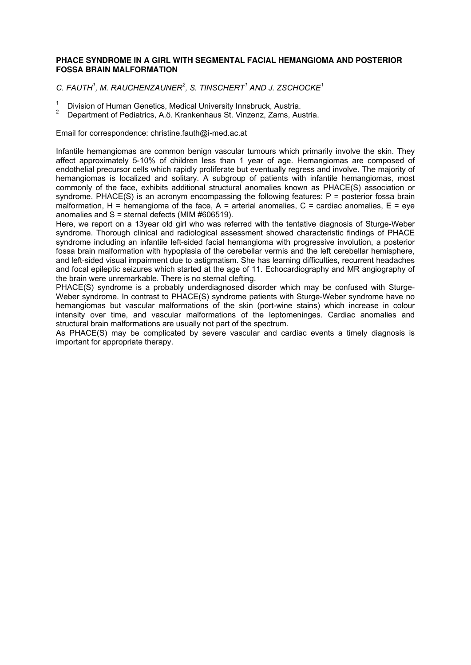## **PHACE SYNDROME IN A GIRL WITH SEGMENTAL FACIAL HEMANGIOMA AND POSTERIOR FOSSA BRAIN MALFORMATION**

*C. FAUTH<sup>1</sup> , M. RAUCHENZAUNER<sup>2</sup> , S. TINSCHERT<sup>1</sup> AND J. ZSCHOCKE<sup>1</sup>*

- 1 Division of Human Genetics, Medical University Innsbruck, Austria.
- 2 Department of Pediatrics, A.ö. Krankenhaus St. Vinzenz, Zams, Austria.

Email for correspondence: christine.fauth@i-med.ac.at

Infantile hemangiomas are common benign vascular tumours which primarily involve the skin. They affect approximately 5-10% of children less than 1 year of age. Hemangiomas are composed of endothelial precursor cells which rapidly proliferate but eventually regress and involve. The majority of hemangiomas is localized and solitary. A subgroup of patients with infantile hemangiomas, most commonly of the face, exhibits additional structural anomalies known as PHACE(S) association or syndrome. PHACE(S) is an acronym encompassing the following features: P = posterior fossa brain malformation,  $H =$  hemangioma of the face,  $A =$  arterial anomalies,  $C =$  cardiac anomalies,  $E =$  eye anomalies and  $S =$  sternal defects (MIM #606519).

Here, we report on a 13year old girl who was referred with the tentative diagnosis of Sturge-Weber syndrome. Thorough clinical and radiological assessment showed characteristic findings of PHACE syndrome including an infantile left-sided facial hemangioma with progressive involution, a posterior fossa brain malformation with hypoplasia of the cerebellar vermis and the left cerebellar hemisphere, and left-sided visual impairment due to astigmatism. She has learning difficulties, recurrent headaches and focal epileptic seizures which started at the age of 11. Echocardiography and MR angiography of the brain were unremarkable. There is no sternal clefting.

PHACE(S) syndrome is a probably underdiagnosed disorder which may be confused with Sturge-Weber syndrome. In contrast to PHACE(S) syndrome patients with Sturge-Weber syndrome have no hemangiomas but vascular malformations of the skin (port-wine stains) which increase in colour intensity over time, and vascular malformations of the leptomeninges. Cardiac anomalies and structural brain malformations are usually not part of the spectrum.

As PHACE(S) may be complicated by severe vascular and cardiac events a timely diagnosis is important for appropriate therapy.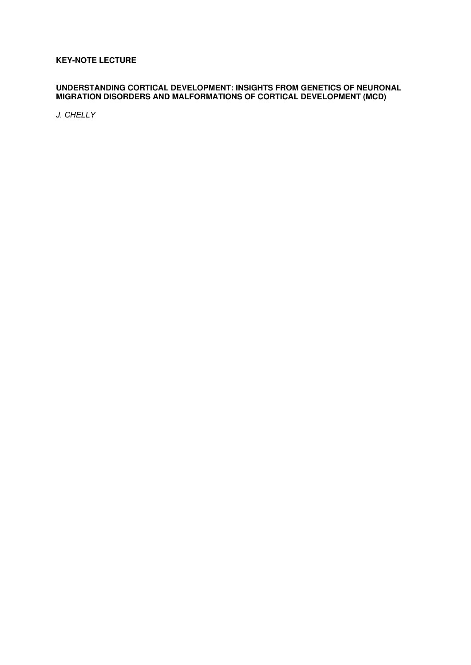## **KEY-NOTE LECTURE**

## **UNDERSTANDING CORTICAL DEVELOPMENT: INSIGHTS FROM GENETICS OF NEURONAL MIGRATION DISORDERS AND MALFORMATIONS OF CORTICAL DEVELOPMENT (MCD)**

*J. CHELLY*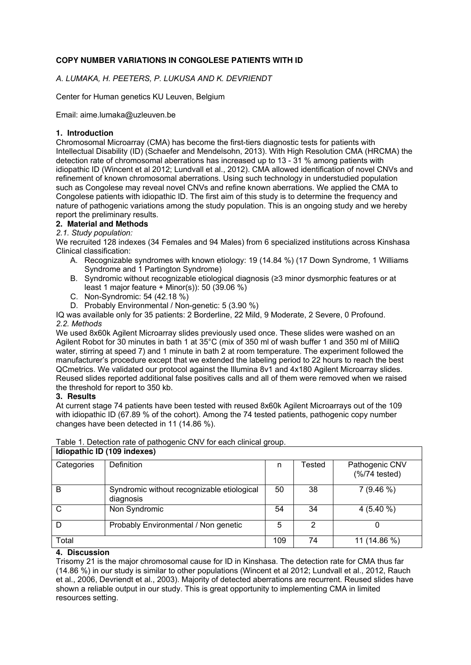## **COPY NUMBER VARIATIONS IN CONGOLESE PATIENTS WITH ID**

## *A. LUMAKA, H. PEETERS, P. LUKUSA AND K. DEVRIENDT*

Center for Human genetics KU Leuven, Belgium

Email: aime.lumaka@uzleuven.be

## **1. Introduction**

Chromosomal Microarray (CMA) has become the first-tiers diagnostic tests for patients with Intellectual Disability (ID) (Schaefer and Mendelsohn, 2013). With High Resolution CMA (HRCMA) the detection rate of chromosomal aberrations has increased up to 13 - 31 % among patients with idiopathic ID (Wincent et al 2012; Lundvall et al., 2012). CMA allowed identification of novel CNVs and refinement of known chromosomal aberrations. Using such technology in understudied population such as Congolese may reveal novel CNVs and refine known aberrations. We applied the CMA to Congolese patients with idiopathic ID. The first aim of this study is to determine the frequency and nature of pathogenic variations among the study population. This is an ongoing study and we hereby report the preliminary results.

## **2. Material and Methods**

## *2.1. Study population:*

We recruited 128 indexes (34 Females and 94 Males) from 6 specialized institutions across Kinshasa Clinical classification:

- A. Recognizable syndromes with known etiology: 19 (14.84 %) (17 Down Syndrome, 1 Williams Syndrome and 1 Partington Syndrome)
- B. Syndromic without recognizable etiological diagnosis (≥3 minor dysmorphic features or at least 1 major feature + Minor(s)): 50 (39.06 %)
- C. Non-Syndromic: 54 (42.18 %)
- D. Probably Environmental / Non-genetic: 5 (3.90 %)

IQ was available only for 35 patients: 2 Borderline, 22 Mild, 9 Moderate, 2 Severe, 0 Profound. *2.2. Methods* 

We used 8x60k Agilent Microarray slides previously used once. These slides were washed on an Agilent Robot for 30 minutes in bath 1 at 35°C (mix of 350 ml of wash buffer 1 and 350 ml of MilliQ water, stirring at speed 7) and 1 minute in bath 2 at room temperature. The experiment followed the manufacturer's procedure except that we extended the labeling period to 22 hours to reach the best QCmetrics. We validated our protocol against the Illumina 8v1 and 4x180 Agilent Microarray slides. Reused slides reported additional false positives calls and all of them were removed when we raised the threshold for report to 350 kb.

#### **3. Results**

At current stage 74 patients have been tested with reused 8x60k Agilent Microarrays out of the 109 with idiopathic ID (67.89 % of the cohort). Among the 74 tested patients, pathogenic copy number changes have been detected in 11 (14.86 %).

| l able 1. Detection rate of pathogenic CNV for each clinical group. |                                                         |    |        |                                              |  |  |  |  |
|---------------------------------------------------------------------|---------------------------------------------------------|----|--------|----------------------------------------------|--|--|--|--|
| Idiopathic ID (109 indexes)                                         |                                                         |    |        |                                              |  |  |  |  |
| Categories                                                          | <b>Definition</b>                                       | n  | Tested | Pathogenic CNV<br>$(\frac{9}{6}$ /74 tested) |  |  |  |  |
| B                                                                   | Syndromic without recognizable etiological<br>diagnosis | 50 | 38     | $7(9.46\%)$                                  |  |  |  |  |
| C                                                                   | Non Syndromic                                           | 54 | 34     | 4 $(5.40\% )$                                |  |  |  |  |
| D                                                                   | Probably Environmental / Non genetic                    | 5  | 2      |                                              |  |  |  |  |
| Total                                                               |                                                         |    | 74     | 11 (14.86 %)                                 |  |  |  |  |

# Table 1. Detection rate of pathogenic CNV for each clinical group.

#### **4. Discussion**

Trisomy 21 is the major chromosomal cause for ID in Kinshasa. The detection rate for CMA thus far (14.86 %) in our study is similar to other populations (Wincent et al 2012; Lundvall et al., 2012, Rauch et al., 2006, Devriendt et al., 2003). Majority of detected aberrations are recurrent. Reused slides have shown a reliable output in our study. This is great opportunity to implementing CMA in limited resources setting.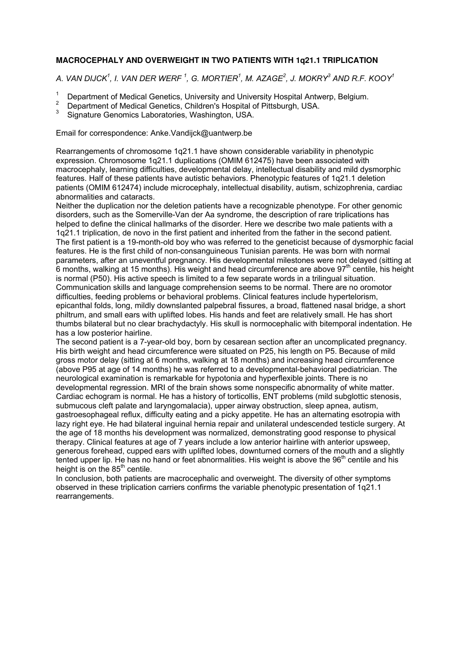## **MACROCEPHALY AND OVERWEIGHT IN TWO PATIENTS WITH 1q21.1 TRIPLICATION**

*A. VAN DIJCK<sup>1</sup> , I. VAN DER WERF <sup>1</sup> , G. MORTIER<sup>1</sup> , M. AZAGE<sup>2</sup> , J. MOKRY<sup>3</sup> AND R.F. KOOY<sup>1</sup>*

- 1 Department of Medical Genetics, University and University Hospital Antwerp, Belgium.
- $\mathfrak{2}$ Department of Medical Genetics, Children's Hospital of Pittsburgh, USA.
- 3 Signature Genomics Laboratories, Washington, USA.

Email for correspondence: Anke.Vandijck@uantwerp.be

Rearrangements of chromosome 1q21.1 have shown considerable variability in phenotypic expression. Chromosome 1q21.1 duplications (OMIM 612475) have been associated with macrocephaly, learning difficulties, developmental delay, intellectual disability and mild dysmorphic features. Half of these patients have autistic behaviors. Phenotypic features of 1q21.1 deletion patients (OMIM 612474) include microcephaly, intellectual disability, autism, schizophrenia, cardiac abnormalities and cataracts.

Neither the duplication nor the deletion patients have a recognizable phenotype. For other genomic disorders, such as the Somerville-Van der Aa syndrome, the description of rare triplications has helped to define the clinical hallmarks of the disorder. Here we describe two male patients with a 1q21.1 triplication, de novo in the first patient and inherited from the father in the second patient. The first patient is a 19-month-old boy who was referred to the geneticist because of dysmorphic facial features. He is the first child of non-consanguineous Tunisian parents. He was born with normal parameters, after an uneventful pregnancy. His developmental milestones were not delayed (sitting at 6 months, walking at 15 months). His weight and head circumference are above  $97<sup>th</sup>$  centile, his height is normal (P50). His active speech is limited to a few separate words in a trilingual situation. Communication skills and language comprehension seems to be normal. There are no oromotor difficulties, feeding problems or behavioral problems. Clinical features include hypertelorism, epicanthal folds, long, mildly downslanted palpebral fissures, a broad, flattened nasal bridge, a short philtrum, and small ears with uplifted lobes. His hands and feet are relatively small. He has short thumbs bilateral but no clear brachydactyly. His skull is normocephalic with bitemporal indentation. He has a low posterior hairline.

The second patient is a 7-year-old boy, born by cesarean section after an uncomplicated pregnancy. His birth weight and head circumference were situated on P25, his length on P5. Because of mild gross motor delay (sitting at 6 months, walking at 18 months) and increasing head circumference (above P95 at age of 14 months) he was referred to a developmental-behavioral pediatrician. The neurological examination is remarkable for hypotonia and hyperflexible joints. There is no developmental regression. MRI of the brain shows some nonspecific abnormality of white matter. Cardiac echogram is normal. He has a history of torticollis, ENT problems (mild subglottic stenosis, submucous cleft palate and laryngomalacia), upper airway obstruction, sleep apnea, autism, gastroesophageal reflux, difficulty eating and a picky appetite. He has an alternating esotropia with lazy right eye. He had bilateral inguinal hernia repair and unilateral undescended testicle surgery. At the age of 18 months his development was normalized, demonstrating good response to physical therapy. Clinical features at age of 7 years include a low anterior hairline with anterior upsweep, generous forehead, cupped ears with uplifted lobes, downturned corners of the mouth and a slightly tented upper lip. He has no hand or feet abnormalities. His weight is above the 96<sup>th</sup> centile and his height is on the  $85<sup>th</sup>$  centile.

In conclusion, both patients are macrocephalic and overweight. The diversity of other symptoms observed in these triplication carriers confirms the variable phenotypic presentation of 1q21.1 rearrangements.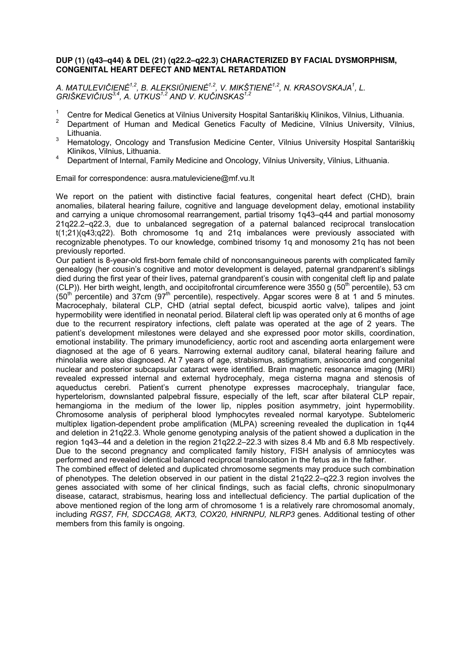## **DUP (1) (q43–q44) & DEL (21) (q22.2–q22.3) CHARACTERIZED BY FACIAL DYSMORPHISM, CONGENITAL HEART DEFECT AND MENTAL RETARDATION**

*A. MATULEVIČIENĖ 1,2, B. ALEKSIŪNIENĖ 1,2, V. MIKŠTIENĖ 1,2, N. KRASOVSKAJA<sup>1</sup> , L. GRIŠKEVIČIUS3,4, A. UTKUS1,2 AND V. KUČINSKAS1,2*

- <sup>1</sup> Centre for Medical Genetics at Vilnius University Hospital Santariškių Klinikos, Vilnius, Lithuania.<br><sup>2</sup> Department of Human, and Medical Genetics, Faculty of Medicine, Vilnius, University, Vilnius
- <sup>2</sup>Department of Human and Medical Genetics Faculty of Medicine, Vilnius University, Vilnius, Lithuania.
- <sup>3</sup> Hematology, Oncology and Transfusion Medicine Center, Vilnius University Hospital Santariškių Klinikos, Vilnius, Lithuania.
- <sup>4</sup>Department of Internal, Family Medicine and Oncology, Vilnius University, Vilnius, Lithuania.

Email for correspondence: ausra.matuleviciene@mf.vu.lt

We report on the patient with distinctive facial features, congenital heart defect (CHD), brain anomalies, bilateral hearing failure, cognitive and language development delay, emotional instability and carrying a unique chromosomal rearrangement, partial trisomy 1g43–g44 and partial monosomy 21q22.2–q22.3, due to unbalanced segregation of a paternal balanced reciprocal translocation t(1;21)(q43;q22). Both chromosome 1q and 21q imbalances were previously associated with recognizable phenotypes. To our knowledge, combined trisomy 1q and monosomy 21q has not been previously reported.

Our patient is 8-year-old first-born female child of nonconsanguineous parents with complicated family genealogy (her cousin's cognitive and motor development is delayed, paternal grandparent's siblings died during the first year of their lives, paternal grandparent's cousin with congenital cleft lip and palate (CLP)). Her birth weight, length, and occipitofrontal circumference were 3550 g (50<sup>th</sup> percentile), 53 cm (50<sup>th</sup> percentile) and 37cm (97<sup>th</sup> percentile), respectively. Apgar scores were 8 at 1 and 5 minutes. Macrocephaly, bilateral CLP, CHD (atrial septal defect, bicuspid aortic valve), talipes and joint hypermobility were identified in neonatal period. Bilateral cleft lip was operated only at 6 months of age due to the recurrent respiratory infections, cleft palate was operated at the age of 2 years. The patient's development milestones were delayed and she expressed poor motor skills, coordination, emotional instability. The primary imunodeficiency, aortic root and ascending aorta enlargement were diagnosed at the age of 6 years. Narrowing external auditory canal, bilateral hearing failure and rhinolalia were also diagnosed. At 7 years of age, strabismus, astigmatism, anisocoria and congenital nuclear and posterior subcapsular cataract were identified. Brain magnetic resonance imaging (MRI) revealed expressed internal and external hydrocephaly, mega cisterna magna and stenosis of aqueductus cerebri. Patient's current phenotype expresses macrocephaly, triangular face, hypertelorism, downslanted palpebral fissure, especially of the left, scar after bilateral CLP repair, hemangioma in the medium of the lower lip, nipples position asymmetry, joint hypermobility. Chromosome analysis of peripheral blood lymphocytes revealed normal karyotype. Subtelomeric multiplex ligation-dependent probe amplification (MLPA) screening revealed the duplication in 1q44 and deletion in 21q22.3. Whole genome genotyping analysis of the patient showed a duplication in the region 1q43–44 and a deletion in the region 21q22.2–22.3 with sizes 8.4 Mb and 6.8 Mb respectively. Due to the second pregnancy and complicated family history, FISH analysis of amniocytes was performed and revealed identical balanced reciprocal translocation in the fetus as in the father.

The combined effect of deleted and duplicated chromosome segments may produce such combination of phenotypes. The deletion observed in our patient in the distal 21q22.2–q22.3 region involves the genes associated with some of her clinical findings, such as facial clefts, chronic sinopulmonary disease, cataract, strabismus, hearing loss and intellectual deficiency. The partial duplication of the above mentioned region of the long arm of chromosome 1 is a relatively rare chromosomal anomaly, including *RGS7, FH, SDCCAG8, AKT3, COX20, HNRNPU, NLRP3* genes. Additional testing of other members from this family is ongoing.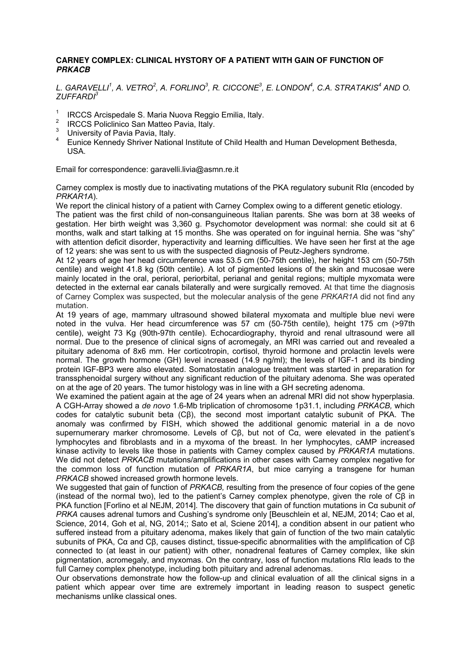## **CARNEY COMPLEX: CLINICAL HYSTORY OF A PATIENT WITH GAIN OF FUNCTION OF PRKACB**

*L. GARAVELLI<sup>1</sup> , A. VETRO<sup>2</sup> , A. FORLINO<sup>3</sup> , R. CICCONE<sup>3</sup> , E. LONDON<sup>4</sup> , C.A. STRATAKIS<sup>4</sup> AND O. ZUFFARDI<sup>3</sup>*

- $1$  IRCCS Arcispedale S. Maria Nuova Reggio Emilia, Italy.
- 2 IRCCS Policlinico San Matteo Pavia, Italy.
- 3 University of Pavia Pavia, Italy.
- 4 Eunice Kennedy Shriver National Institute of Child Health and Human Development Bethesda, USA.

Email for correspondence: garavelli.livia@asmn.re.it

Carney complex is mostly due to inactivating mutations of the PKA regulatory subunit RIα (encoded by *PRKAR1A*).

We report the clinical history of a patient with Carney Complex owing to a different genetic etiology.

The patient was the first child of non-consanguineous Italian parents. She was born at 38 weeks of gestation. Her birth weight was 3,360 g. Psychomotor development was normal: she could sit at 6 months, walk and start talking at 15 months. She was operated on for inguinal hernia. She was "shy" with attention deficit disorder, hyperactivity and learning difficulties. We have seen her first at the age of 12 years: she was sent to us with the suspected diagnosis of Peutz-Jeghers syndrome.

At 12 years of age her head circumference was 53.5 cm (50-75th centile), her height 153 cm (50-75th centile) and weight 41.8 kg (50th centile). A lot of pigmented lesions of the skin and mucosae were mainly located in the oral, perioral, periorbital, perianal and genital regions; multiple myxomata were detected in the external ear canals bilaterally and were surgically removed. At that time the diagnosis of Carney Complex was suspected, but the molecular analysis of the gene *PRKAR1A* did not find any mutation.

At 19 years of age, mammary ultrasound showed bilateral myxomata and multiple blue nevi were noted in the vulva. Her head circumference was 57 cm (50-75th centile), height 175 cm (>97th centile), weight 73 Kg (90th-97th centile). Echocardiography, thyroid and renal ultrasound were all normal. Due to the presence of clinical signs of acromegaly, an MRI was carried out and revealed a pituitary adenoma of 8x6 mm. Her corticotropin, cortisol, thyroid hormone and prolactin levels were normal. The growth hormone (GH) level increased (14.9 ng/ml); the levels of IGF-1 and its binding protein IGF-BP3 were also elevated. Somatostatin analogue treatment was started in preparation for transsphenoidal surgery without any significant reduction of the pituitary adenoma. She was operated on at the age of 20 years. The tumor histology was in line with a GH secreting adenoma.

We examined the patient again at the age of 24 years when an adrenal MRI did not show hyperplasia. A CGH-Array showed a *de novo* 1.6-Mb triplication of chromosome 1p31.1, including *PRKACB,* which codes for catalytic subunit beta (Cβ), the second most important catalytic subunit of PKA. The anomaly was confirmed by FISH, which showed the additional genomic material in a de novo supernumerary marker chromosome. Levels of Cβ, but not of Cα, were elevated in the patient's lymphocytes and fibroblasts and in a myxoma of the breast. In her lymphocytes, cAMP increased kinase activity to levels like those in patients with Carney complex caused by *PRKAR1A* mutations. We did not detect *PRKACB* mutations/amplifications in other cases with Carney complex negative for the common loss of function mutation of *PRKAR1A*, but mice carrying a transgene for human *PRKACB* showed increased growth hormone levels.

We suggested that gain of function of *PRKACB,* resulting from the presence of four copies of the gene (instead of the normal two), led to the patient's Carney complex phenotype, given the role of Cβ in PKA function [Forlino et al NEJM, 2014]. The discovery that gain of function mutations in Cα subunit *of PRKA* causes adrenal tumors and Cushing's syndrome only [Beuschlein et al, NEJM, 2014; Cao et al, Science, 2014, Goh et al, NG, 2014;; Sato et al, Sciene 2014], a condition absent in our patient who suffered instead from a pituitary adenoma, makes likely that gain of function of the two main catalytic subunits of PKA, Cα and Cβ, causes distinct, tissue-specific abnormalities with the amplification of Cβ connected to (at least in our patient) with other, nonadrenal features of Carney complex, like skin pigmentation, acromegaly, and myxomas. On the contrary, loss of function mutations RIα leads to the full Carney complex phenotype, including both pituitary and adrenal adenomas.

Our observations demonstrate how the follow-up and clinical evaluation of all the clinical signs in a patient which appear over time are extremely important in leading reason to suspect genetic mechanisms unlike classical ones.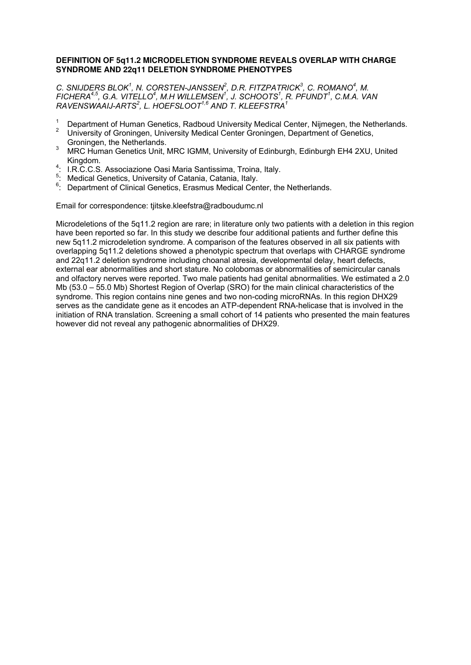## **DEFINITION OF 5q11.2 MICRODELETION SYNDROME REVEALS OVERLAP WITH CHARGE SYNDROME AND 22q11 DELETION SYNDROME PHENOTYPES**

*C.* SNIJDERS BLOK<sup>1</sup>, N. CORSTEN-JANSSEN<sup>2</sup>, D.R. FITZPATRICK<sup>3</sup>, C. ROMANO<sup>4</sup>, M. *FICHERA4,5, G.A. VITELLO<sup>4</sup> , M.H WILLEMSEN<sup>1</sup> , J. SCHOOTS<sup>1</sup> , R. PFUNDT<sup>1</sup> , C.M.A. VAN RAVENSWAAIJ-ARTS<sup>2</sup> , L. HOEFSLOOT1,6 AND T. KLEEFSTRA<sup>1</sup>* 

- 1 Department of Human Genetics, Radboud University Medical Center, Nijmegen, the Netherlands.
- 2 University of Groningen, University Medical Center Groningen, Department of Genetics, Groningen, the Netherlands.
- 3 MRC Human Genetics Unit, MRC IGMM, University of Edinburgh, Edinburgh EH4 2XU, United Kingdom.
- <sup>4</sup>: I.R.C.C.S. Associazione Oasi Maria Santissima, Troina, Italy.
- <sup>5</sup>: Medical Genetics, University of Catania, Catania, Italy.
- <sup>6</sup>: Department of Clinical Genetics, Erasmus Medical Center, the Netherlands.

Email for correspondence: tjitske.kleefstra@radboudumc.nl

Microdeletions of the 5q11.2 region are rare; in literature only two patients with a deletion in this region have been reported so far. In this study we describe four additional patients and further define this new 5q11.2 microdeletion syndrome. A comparison of the features observed in all six patients with overlapping 5q11.2 deletions showed a phenotypic spectrum that overlaps with CHARGE syndrome and 22q11.2 deletion syndrome including choanal atresia, developmental delay, heart defects, external ear abnormalities and short stature. No colobomas or abnormalities of semicircular canals and olfactory nerves were reported. Two male patients had genital abnormalities. We estimated a 2.0 Mb (53.0 – 55.0 Mb) Shortest Region of Overlap (SRO) for the main clinical characteristics of the syndrome. This region contains nine genes and two non-coding microRNAs. In this region DHX29 serves as the candidate gene as it encodes an ATP-dependent RNA-helicase that is involved in the initiation of RNA translation. Screening a small cohort of 14 patients who presented the main features however did not reveal any pathogenic abnormalities of DHX29.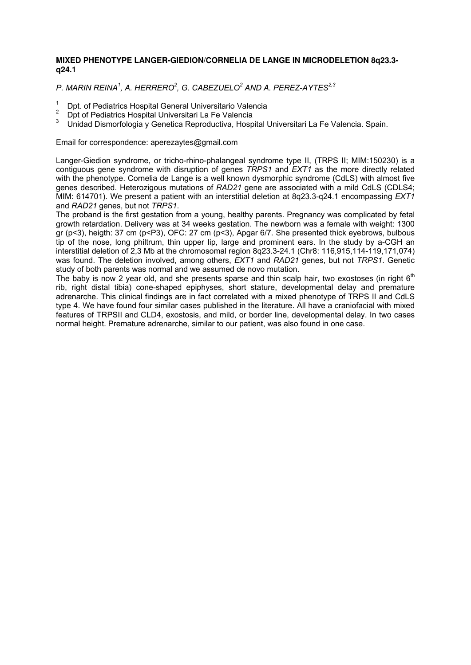## **MIXED PHENOTYPE LANGER-GIEDION/CORNELIA DE LANGE IN MICRODELETION 8q23.3 q24.1**

*P. MARIN REINA<sup>1</sup> , A. HERRERO<sup>2</sup> , G. CABEZUELO<sup>2</sup> AND A. PEREZ-AYTES2,3*

- <sup>1</sup> Dpt. of Pediatrics Hospital General Universitario Valencia
- <sup>2</sup> Dpt of Pediatrics Hospital Universitari La Fe Valencia
- Unidad Dismorfologia y Genetica Reproductiva, Hospital Universitari La Fe Valencia. Spain.

Email for correspondence: aperezaytes@gmail.com

Langer-Giedion syndrome, or tricho-rhino-phalangeal syndrome type II, (TRPS II; MIM:150230) is a contiguous gene syndrome with disruption of genes *TRPS1* and *EXT1* as the more directly related with the phenotype. Cornelia de Lange is a well known dysmorphic syndrome (CdLS) with almost five genes described. Heterozigous mutations of *RAD21* gene are associated with a mild CdLS (CDLS4; MIM: 614701). We present a patient with an interstitial deletion at 8q23.3-q24.1 encompassing *EXT1*  and *RAD21* genes, but not *TRPS1*.

The proband is the first gestation from a young, healthy parents. Pregnancy was complicated by fetal growth retardation. Delivery was at 34 weeks gestation. The newborn was a female with weight: 1300 gr (p<3), heigth: 37 cm (p<P3), OFC: 27 cm (p<3), Apgar 6/7. She presented thick eyebrows, bulbous tip of the nose, long philtrum, thin upper lip, large and prominent ears. In the study by a-CGH an interstitial deletion of 2,3 Mb at the chromosomal region 8q23.3-24.1 (Chr8: 116,915,114-119,171,074) was found. The deletion involved, among others, *EXT1* and *RAD21* genes, but not *TRPS1*. Genetic study of both parents was normal and we assumed de novo mutation.

The baby is now 2 year old, and she presents sparse and thin scalp hair, two exostoses (in right  $6<sup>th</sup>$ rib, right distal tibia) cone-shaped epiphyses, short stature, developmental delay and premature adrenarche. This clinical findings are in fact correlated with a mixed phenotype of TRPS II and CdLS type 4. We have found four similar cases published in the literature. All have a craniofacial with mixed features of TRPSII and CLD4, exostosis, and mild, or border line, developmental delay. In two cases normal height. Premature adrenarche, similar to our patient, was also found in one case.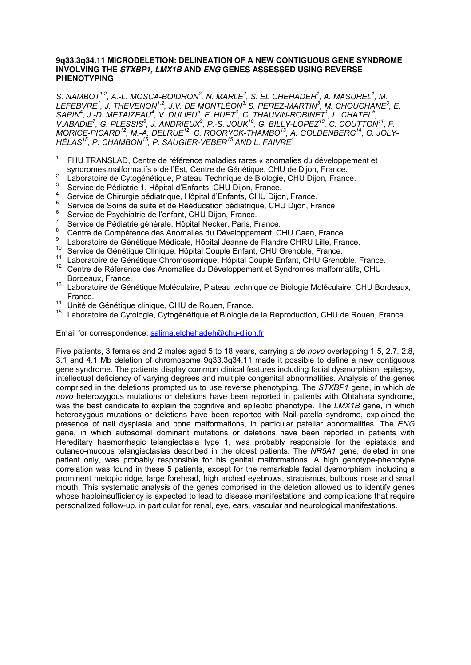#### **9q33.3q34.11 MICRODELETION: DELINEATION OF A NEW CONTIGUOUS GENE SYNDROME INVOLVING THE STXBP1, LMX1B AND ENG GENES ASSESSED USING REVERSE PHENOTYPING**

*S. NAMBOT1,2, A.-L. MOSCA-BOIDRON<sup>2</sup> , N. MARLE<sup>2</sup> , S. EL CHEHADEH<sup>1</sup> , A. MASUREL<sup>1</sup> , M. LEFEBVRE<sup>1</sup> , J. THEVENON1,2, J.V. DE MONTLÉON3, S. PEREZ-MARTIN<sup>3</sup> , M. CHOUCHANE<sup>3</sup> , E. SAPIN<sup>4</sup> , J.-D. METAIZEAU<sup>4</sup> , V. DULIEU<sup>5</sup> , F. HUET<sup>3</sup> , C. THAUVIN-ROBINET<sup>1</sup> , L. CHATEL<sup>6</sup> , V.ABADIE<sup>7</sup> , G. PLESSIS<sup>8</sup> , J. ANDRIEUX<sup>9</sup> , P.-S. JOUK<sup>10</sup>, G. BILLY-LOPEZ<sup>10</sup>, C. COUTTON<sup>11</sup>, F. MORICE-PICARD<sup>12</sup>, M.-A. DELRUE<sup>12</sup>, C. ROORYCK-THAMBO<sup>13</sup>, A. GOLDENBERG<sup>14</sup>, G. JOLY-HÉLAS<sup>15</sup>, P. CHAMBON<sup>15</sup>, P. SAUGIER-VEBER<sup>15</sup> AND L. FAIVRE<sup>1</sup>*

- 1 FHU TRANSLAD, Centre de référence maladies rares « anomalies du développement et syndromes malformatifs » de l'Est, Centre de Génétique, CHU de Dijon, France.
- $\overline{2}$ Laboratoire de Cytogénétique, Plateau Technique de Biologie, CHU Dijon, France.
- 3 Service de Pédiatrie 1, Hôpital d'Enfants, CHU Dijon, France.
- 4 Service de Chirurgie pédiatrique, Hôpital d'Enfants, CHU Dijon, France.
- 5  $\frac{5}{6}$  Service de Soins de suite et de Rééducation pédiatrique, CHU Dijon, France.
- Service de Psychiatrie de l'enfant, CHU Dijon, France.
- 7 Service de Pédiatrie générale, Hôpital Necker, Paris, France.
- 8 Centre de Compétence des Anomalies du Développement, CHU Caen, France.
- **9** Laboratoire de Génétique Médicale, Hôpital Jeanne de Flandre CHRU Lille, France.
- <sup>10</sup> Service de Génétique Clinique, Hôpital Couple Enfant, CHU Grenoble, France.
- <sup>11</sup> Laboratoire de Génétique Chromosomique, Hôpital Couple Enfant, CHU Grenoble, France.
- <sup>12</sup> Centre de Référence des Anomalies du Développement et Syndromes malformatifs, CHU Bordeaux, France.
- 13 Laboratoire de Génétique Moléculaire, Plateau technique de Biologie Moléculaire, CHU Bordeaux, France.
- <sup>14</sup> Unité de Génétique clinique, CHU de Rouen, France.
- <sup>15</sup> Laboratoire de Cytologie, Cytogénétique et Biologie de la Reproduction, CHU de Rouen, France.

Email for correspondence: salima.elchehadeh@chu-dijon.fr

Five patients, 3 females and 2 males aged 5 to 18 years, carrying a *de novo* overlapping 1.5, 2.7, 2.8, 3.1 and 4.1 Mb deletion of chromosome 9q33.3q34.11 made it possible to define a new contiguous gene syndrome. The patients display common clinical features including facial dysmorphism, epilepsy, intellectual deficiency of varying degrees and multiple congenital abnormalities. Analysis of the genes comprised in the deletions prompted us to use reverse phenotyping. The *STXBP1* gene, in which *de novo* heterozygous mutations or deletions have been reported in patients with Ohtahara syndrome, was the best candidate to explain the cognitive and epileptic phenotype. The *LMX1B* gene, in which heterozygous mutations or deletions have been reported with Nail-patella syndrome, explained the presence of nail dysplasia and bone malformations, in particular patellar abnormalities. The *ENG* gene, in which autosomal dominant mutations or deletions have been reported in patients with Hereditary haemorrhagic telangiectasia type 1, was probably responsible for the epistaxis and cutaneo-mucous telangiectasias described in the oldest patients. The *NR5A1* gene, deleted in one patient only, was probably responsible for his genital malformations. A high genotype-phenotype correlation was found in these 5 patients, except for the remarkable facial dysmorphism, including a prominent metopic ridge, large forehead, high arched eyebrows, strabismus, bulbous nose and small mouth. This systematic analysis of the genes comprised in the deletion allowed us to identify genes whose haploinsufficiency is expected to lead to disease manifestations and complications that require personalized follow-up, in particular for renal, eye, ears, vascular and neurological manifestations.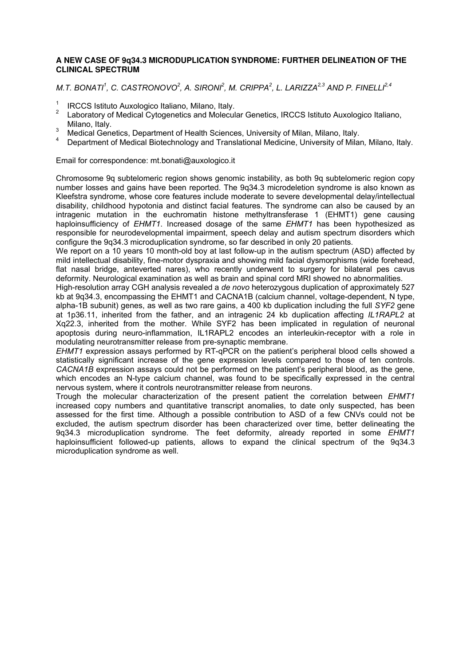## **A NEW CASE OF 9q34.3 MICRODUPLICATION SYNDROME: FURTHER DELINEATION OF THE CLINICAL SPECTRUM**

*M.T. BONATI<sup>1</sup> , C. CASTRONOVO<sup>2</sup> , A. SIRONI<sup>2</sup> , M. CRIPPA<sup>2</sup> , L. LARIZZA2,3 AND P. FINELLI2,4*

- $\frac{1}{2}$  IRCCS Istituto Auxologico Italiano, Milano, Italy.
- <sup>2</sup>Laboratory of Medical Cytogenetics and Molecular Genetics, IRCCS Istituto Auxologico Italiano, Milano, Italy.
- <sup>3</sup> Medical Genetics, Department of Health Sciences, University of Milan, Milano, Italy.
- <sup>4</sup>Department of Medical Biotechnology and Translational Medicine, University of Milan*,* Milano, Italy.

## Email for correspondence: mt.bonati@auxologico.it

Chromosome 9q subtelomeric region shows genomic instability, as both 9q subtelomeric region copy number losses and gains have been reported. The 9q34.3 microdeletion syndrome is also known as Kleefstra syndrome, whose core features include moderate to severe developmental delay/intellectual disability, childhood hypotonia and distinct facial features. The syndrome can also be caused by an intragenic mutation in the euchromatin histone methyltransferase 1 (EHMT1) gene causing haploinsufficiency of *EHMT1*. Increased dosage of the same *EHMT1* has been hypothesized as responsible for neurodevelopmental impairment, speech delay and autism spectrum disorders which configure the 9q34.3 microduplication syndrome, so far described in only 20 patients.

We report on a 10 years 10 month-old boy at last follow-up in the autism spectrum (ASD) affected by mild intellectual disability, fine-motor dyspraxia and showing mild facial dysmorphisms (wide forehead, flat nasal bridge, anteverted nares), who recently underwent to surgery for bilateral pes cavus deformity. Neurological examination as well as brain and spinal cord MRI showed no abnormalities.

High-resolution array CGH analysis revealed a *de novo* heterozygous duplication of approximately 527 kb at 9q34.3, encompassing the EHMT1 and CACNA1B (calcium channel, voltage-dependent, N type, alpha-1B subunit) genes, as well as two rare gains, a 400 kb duplication including the full *SYF2* gene at 1p36.11, inherited from the father, and an intragenic 24 kb duplication affecting *IL1RAPL2* at Xq22.3, inherited from the mother. While SYF2 has been implicated in regulation of neuronal apoptosis during neuro-inflammation, IL1RAPL2 encodes an interleukin-receptor with a role in modulating neurotransmitter release from pre-synaptic membrane.

*EHMT1* expression assays performed by RT-qPCR on the patient's peripheral blood cells showed a statistically significant increase of the gene expression levels compared to those of ten controls. *CACNA1B* expression assays could not be performed on the patient's peripheral blood, as the gene, which encodes an N-type calcium channel, was found to be specifically expressed in the central nervous system, where it controls neurotransmitter release from neurons.

Trough the molecular characterization of the present patient the correlation between *EHMT1* increased copy numbers and quantitative transcript anomalies, to date only suspected, has been assessed for the first time. Although a possible contribution to ASD of a few CNVs could not be excluded, the autism spectrum disorder has been characterized over time, better delineating the 9q34.3 microduplication syndrome. The feet deformity, already reported in some *EHMT1* haploinsufficient followed-up patients, allows to expand the clinical spectrum of the 9q34.3 microduplication syndrome as well.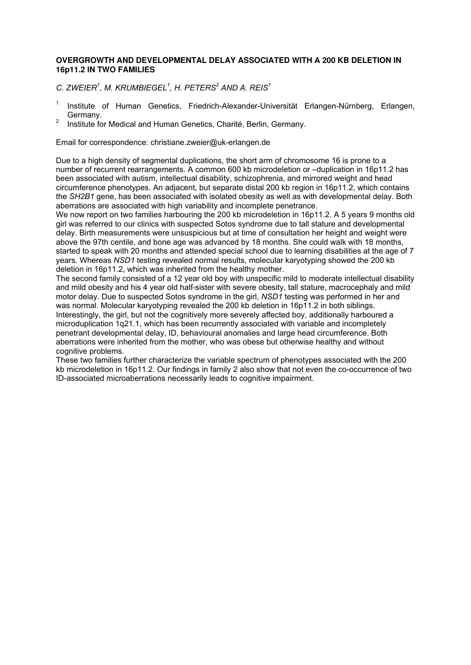## **OVERGROWTH AND DEVELOPMENTAL DELAY ASSOCIATED WITH A 200 KB DELETION IN 16p11.2 IN TWO FAMILIES**

*C. ZWEIER<sup>1</sup> , M. KRUMBIEGEL<sup>1</sup> , H. PETERS<sup>2</sup> AND A. REIS<sup>1</sup>*

- <sup>1</sup>Institute of Human Genetics, Friedrich-Alexander-Universität Erlangen-Nürnberg, Erlangen, Germany.
- <sup>2</sup> Institute for Medical and Human Genetics, Charité, Berlin, Germany.

Email for correspondence: christiane.zweier@uk-erlangen.de

Due to a high density of segmental duplications, the short arm of chromosome 16 is prone to a number of recurrent rearrangements. A common 600 kb microdeletion or –duplication in 16p11.2 has been associated with autism, intellectual disability, schizophrenia, and mirrored weight and head circumference phenotypes. An adjacent, but separate distal 200 kb region in 16p11.2, which contains the *SH2B1* gene, has been associated with isolated obesity as well as with developmental delay. Both aberrations are associated with high variability and incomplete penetrance.

We now report on two families harbouring the 200 kb microdeletion in 16p11.2. A 5 years 9 months old girl was referred to our clinics with suspected Sotos syndrome due to tall stature and developmental delay. Birth measurements were unsuspicious but at time of consultation her height and weight were above the 97th centile, and bone age was advanced by 18 months. She could walk with 18 months, started to speak with 20 months and attended special school due to learning disabilities at the age of 7 years. Whereas *NSD1* testing revealed normal results, molecular karyotyping showed the 200 kb deletion in 16p11.2, which was inherited from the healthy mother.

The second family consisted of a 12 year old boy with unspecific mild to moderate intellectual disability and mild obesity and his 4 year old half-sister with severe obesity, tall stature, macrocephaly and mild motor delay. Due to suspected Sotos syndrome in the girl, *NSD1* testing was performed in her and was normal. Molecular karyotyping revealed the 200 kb deletion in 16p11.2 in both siblings. Interestingly, the girl, but not the cognitively more severely affected boy, additionally harboured a microduplication 1q21.1, which has been recurrently associated with variable and incompletely penetrant developmental delay, ID, behavioural anomalies and large head circumference. Both aberrations were inherited from the mother, who was obese but otherwise healthy and without cognitive problems.

These two families further characterize the variable spectrum of phenotypes associated with the 200 kb microdeletion in 16p11.2. Our findings in family 2 also show that not even the co-occurrence of two ID-associated microaberrations necessarily leads to cognitive impairment.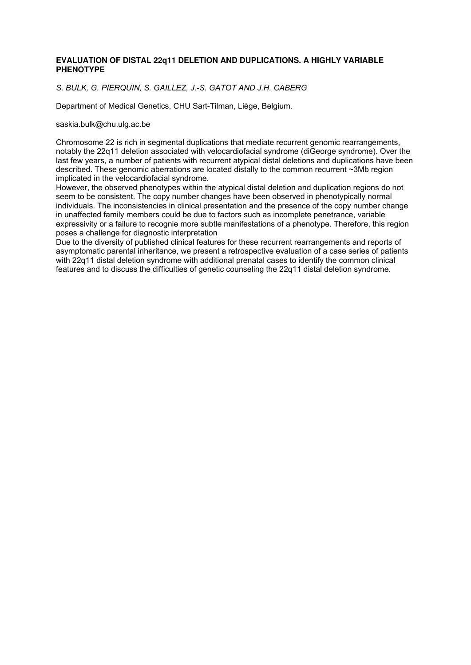## **EVALUATION OF DISTAL 22q11 DELETION AND DUPLICATIONS. A HIGHLY VARIABLE PHENOTYPE**

## *S. BULK, G. PIERQUIN, S. GAILLEZ, J.-S. GATOT AND J.H. CABERG*

Department of Medical Genetics, CHU Sart-Tilman, Liège, Belgium.

#### saskia.bulk@chu.ulg.ac.be

Chromosome 22 is rich in segmental duplications that mediate recurrent genomic rearrangements, notably the 22q11 deletion associated with velocardiofacial syndrome (diGeorge syndrome). Over the last few years, a number of patients with recurrent atypical distal deletions and duplications have been described. These genomic aberrations are located distally to the common recurrent ~3Mb region implicated in the velocardiofacial syndrome.

However, the observed phenotypes within the atypical distal deletion and duplication regions do not seem to be consistent. The copy number changes have been observed in phenotypically normal individuals. The inconsistencies in clinical presentation and the presence of the copy number change in unaffected family members could be due to factors such as incomplete penetrance, variable expressivity or a failure to recognie more subtle manifestations of a phenotype. Therefore, this region poses a challenge for diagnostic interpretation

Due to the diversity of published clinical features for these recurrent rearrangements and reports of asymptomatic parental inheritance, we present a retrospective evaluation of a case series of patients with 22q11 distal deletion syndrome with additional prenatal cases to identify the common clinical features and to discuss the difficulties of genetic counseling the 22q11 distal deletion syndrome.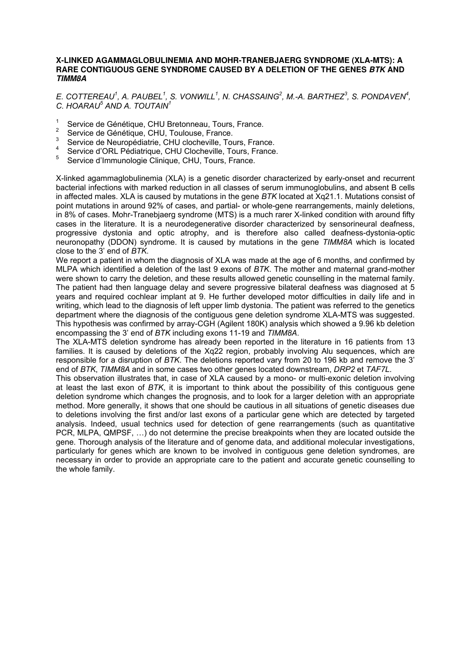#### **X-LINKED AGAMMAGLOBULINEMIA AND MOHR-TRANEBJAERG SYNDROME (XLA-MTS): A RARE CONTIGUOUS GENE SYNDROME CAUSED BY A DELETION OF THE GENES BTK AND TIMM8A**

*E.* COTTEREAU<sup>1</sup>, A. PAUBEL<sup>1</sup>, S. VONWILL<sup>1</sup>, N. CHASSAING<sup>2</sup>, M.-A. BARTHEZ<sup>3</sup>, S. PONDAVEN<sup>4</sup>, *C. HOARAU<sup>5</sup> AND A. TOUTAIN<sup>1</sup>*

- 1 Service de Génétique, CHU Bretonneau, Tours, France.
- 2 Service de Génétique, CHU, Toulouse, France.
- 3 Service de Neuropédiatrie, CHU clocheville, Tours, France.
- 4 Service d'ORL Pédiatrique, CHU Clocheville, Tours, France.
- 5 Service d'Immunologie Clinique, CHU, Tours, France.

X-linked agammaglobulinemia (XLA) is a genetic disorder characterized by early-onset and recurrent bacterial infections with marked reduction in all classes of serum immunoglobulins, and absent B cells in affected males. XLA is caused by mutations in the gene *BTK* located at Xq21.1. Mutations consist of point mutations in around 92% of cases, and partial- or whole-gene rearrangements, mainly deletions, in 8% of cases. Mohr-Tranebjaerg syndrome (MTS) is a much rarer X-linked condition with around fifty cases in the literature. It is a neurodegenerative disorder characterized by sensorineural deafness, progressive dystonia and optic atrophy, and is therefore also called deafness-dystonia-optic neuronopathy (DDON) syndrome. It is caused by mutations in the gene *TIMM8A* which is located close to the 3' end of *BTK*.

We report a patient in whom the diagnosis of XLA was made at the age of 6 months, and confirmed by MLPA which identified a deletion of the last 9 exons of *BTK*. The mother and maternal grand-mother were shown to carry the deletion, and these results allowed genetic counselling in the maternal family. The patient had then language delay and severe progressive bilateral deafness was diagnosed at 5 years and required cochlear implant at 9. He further developed motor difficulties in daily life and in writing, which lead to the diagnosis of left upper limb dystonia. The patient was referred to the genetics department where the diagnosis of the contiguous gene deletion syndrome XLA-MTS was suggested. This hypothesis was confirmed by array-CGH (Agilent 180K) analysis which showed a 9.96 kb deletion encompassing the 3' end of *BTK* including exons 11-19 and *TIMM8A*.

The XLA-MTS deletion syndrome has already been reported in the literature in 16 patients from 13 families. It is caused by deletions of the Xq22 region, probably involving Alu sequences, which are responsible for a disruption of *BTK*. The deletions reported vary from 20 to 196 kb and remove the 3' end of *BTK*, *TIMM8A* and in some cases two other genes located downstream, *DRP2* et *TAF7L*.

This observation illustrates that, in case of XLA caused by a mono- or multi-exonic deletion involving at least the last exon of *BTK*, it is important to think about the possibility of this contiguous gene deletion syndrome which changes the prognosis, and to look for a larger deletion with an appropriate method. More generally, it shows that one should be cautious in all situations of genetic diseases due to deletions involving the first and/or last exons of a particular gene which are detected by targeted analysis. Indeed, usual technics used for detection of gene rearrangements (such as quantitative PCR, MLPA, QMPSF, …) do not determine the precise breakpoints when they are located outside the gene. Thorough analysis of the literature and of genome data, and additional molecular investigations, particularly for genes which are known to be involved in contiguous gene deletion syndromes, are necessary in order to provide an appropriate care to the patient and accurate genetic counselling to the whole family.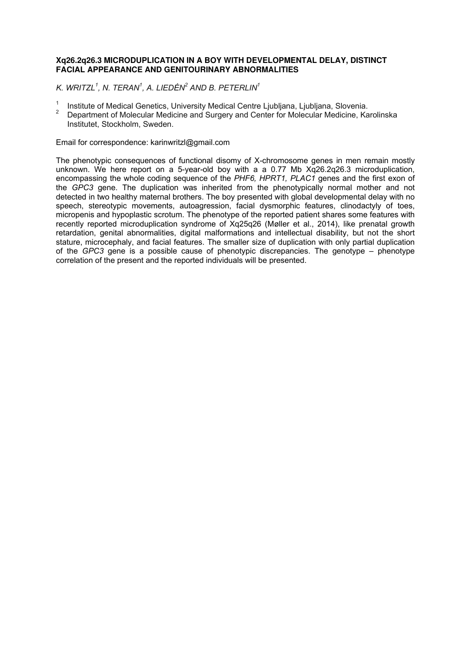## **Xq26.2q26.3 MICRODUPLICATION IN A BOY WITH DEVELOPMENTAL DELAY, DISTINCT FACIAL APPEARANCE AND GENITOURINARY ABNORMALITIES**

*K. WRITZL<sup>1</sup> , N. TERAN<sup>1</sup> , A. LIEDÉN 2 AND B. PETERLIN<sup>1</sup>*

- $\frac{1}{2}$  Institute of Medical Genetics, University Medical Centre Ljubljana, Ljubljana, Slovenia.
- <sup>2</sup>Department of Molecular Medicine and Surgery and Center for Molecular Medicine, Karolinska Institutet, Stockholm, Sweden.

Email for correspondence: karinwritzl@gmail.com

The phenotypic consequences of functional disomy of X-chromosome genes in men remain mostly unknown. We here report on a 5-year-old boy with a a 0.77 Mb Xq26.2q26.3 microduplication, encompassing the whole coding sequence of the *PHF6, HPRT1, PLAC1* genes and the first exon of the *GPC3* gene. The duplication was inherited from the phenotypically normal mother and not detected in two healthy maternal brothers. The boy presented with global developmental delay with no speech, stereotypic movements, autoagression, facial dysmorphic features, clinodactyly of toes, micropenis and hypoplastic scrotum. The phenotype of the reported patient shares some features with recently reported microduplication syndrome of Xq25q26 (Møller et al., 2014), like prenatal growth retardation, genital abnormalities, digital malformations and intellectual disability, but not the short stature, microcephaly, and facial features. The smaller size of duplication with only partial duplication of the *GPC3* gene is a possible cause of phenotypic discrepancies. The genotype – phenotype correlation of the present and the reported individuals will be presented.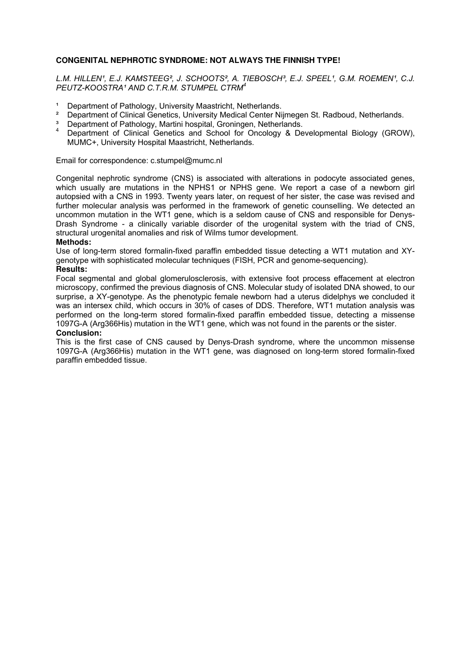## **CONGENITAL NEPHROTIC SYNDROME: NOT ALWAYS THE FINNISH TYPE!**

L.M. HILLEN<sup>1</sup>, E.J. KAMSTEEG<sup>2</sup>, J. SCHOOTS<sup>2</sup>, A. TIEBOSCH<sup>3</sup>, E.J. SPEEL<sup>1</sup>, G.M. ROEMEN<sup>1</sup>, C.J. *PEUTZ-KOOSTRA¹ AND C.T.R.M. STUMPEL CTRM<sup>4</sup>*

- <sup>1</sup> Department of Pathology, University Maastricht, Netherlands.<br><sup>2</sup> Department of Clinical Constice, University Modical Conter Ni
- ² Department of Clinical Genetics, University Medical Center Nijmegen St. Radboud, Netherlands.
- <sup>3</sup> Department of Pathology, Martini hospital, Groningen, Netherlands.
- Department of Clinical Genetics and School for Oncology & Developmental Biology (GROW), MUMC+, University Hospital Maastricht, Netherlands.

## Email for correspondence: c.stumpel@mumc.nl

Congenital nephrotic syndrome (CNS) is associated with alterations in podocyte associated genes, which usually are mutations in the NPHS1 or NPHS gene. We report a case of a newborn girl autopsied with a CNS in 1993. Twenty years later, on request of her sister, the case was revised and further molecular analysis was performed in the framework of genetic counselling. We detected an uncommon mutation in the WT1 gene, which is a seldom cause of CNS and responsible for Denys-Drash Syndrome - a clinically variable disorder of the urogenital system with the triad of CNS, structural urogenital anomalies and risk of Wilms tumor development.

#### **Methods:**

Use of long-term stored formalin-fixed paraffin embedded tissue detecting a WT1 mutation and XYgenotype with sophisticated molecular techniques (FISH, PCR and genome-sequencing).

#### **Results:**

Focal segmental and global glomerulosclerosis, with extensive foot process effacement at electron microscopy, confirmed the previous diagnosis of CNS. Molecular study of isolated DNA showed, to our surprise, a XY-genotype. As the phenotypic female newborn had a uterus didelphys we concluded it was an intersex child, which occurs in 30% of cases of DDS. Therefore, WT1 mutation analysis was performed on the long-term stored formalin-fixed paraffin embedded tissue, detecting a missense 1097G-A (Arg366His) mutation in the WT1 gene, which was not found in the parents or the sister.

## **Conclusion:**

This is the first case of CNS caused by Denys-Drash syndrome, where the uncommon missense 1097G-A (Arg366His) mutation in the WT1 gene, was diagnosed on long-term stored formalin-fixed paraffin embedded tissue.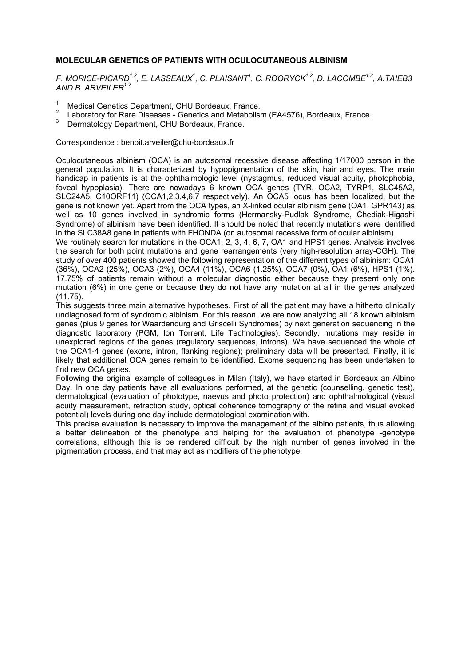## **MOLECULAR GENETICS OF PATIENTS WITH OCULOCUTANEOUS ALBINISM**

*F. MORICE-PICARD1,2, E. LASSEAUX<sup>1</sup> , C. PLAISANT<sup>1</sup> , C. ROORYCK1,2, D. LACOMBE1,2, A.TAIEB3 AND B. ARVEILER1,2*

- 1 Medical Genetics Department, CHU Bordeaux, France.
- $\overline{2}$ Laboratory for Rare Diseases - Genetics and Metabolism (EA4576), Bordeaux, France.
- 3 Dermatology Department, CHU Bordeaux, France.

Correspondence : benoit.arveiler@chu-bordeaux.fr

Oculocutaneous albinism (OCA) is an autosomal recessive disease affecting 1/17000 person in the general population. It is characterized by hypopigmentation of the skin, hair and eyes. The main handicap in patients is at the ophthalmologic level (nystagmus, reduced visual acuity, photophobia, foveal hypoplasia). There are nowadays 6 known OCA genes (TYR, OCA2, TYRP1, SLC45A2, SLC24A5, C10ORF11) (OCA1,2,3,4,6,7 respectively). An OCA5 locus has been localized, but the gene is not known yet. Apart from the OCA types, an X-linked ocular albinism gene (OA1, GPR143) as well as 10 genes involved in syndromic forms (Hermansky-Pudlak Syndrome, Chediak-Higashi Syndrome) of albinism have been identified. It should be noted that recently mutations were identified in the SLC38A8 gene in patients with FHONDA (on autosomal recessive form of ocular albinism).

We routinely search for mutations in the OCA1, 2, 3, 4, 6, 7, OA1 and HPS1 genes. Analysis involves the search for both point mutations and gene rearrangements (very high-resolution array-CGH). The study of over 400 patients showed the following representation of the different types of albinism: OCA1 (36%), OCA2 (25%), OCA3 (2%), OCA4 (11%), OCA6 (1.25%), OCA7 (0%), OA1 (6%), HPS1 (1%). 17.75% of patients remain without a molecular diagnostic either because they present only one mutation (6%) in one gene or because they do not have any mutation at all in the genes analyzed (11.75).

This suggests three main alternative hypotheses. First of all the patient may have a hitherto clinically undiagnosed form of syndromic albinism. For this reason, we are now analyzing all 18 known albinism genes (plus 9 genes for Waardendurg and Griscelli Syndromes) by next generation sequencing in the diagnostic laboratory (PGM, Ion Torrent, Life Technologies). Secondly, mutations may reside in unexplored regions of the genes (regulatory sequences, introns). We have sequenced the whole of the OCA1-4 genes (exons, intron, flanking regions); preliminary data will be presented. Finally, it is likely that additional OCA genes remain to be identified. Exome sequencing has been undertaken to find new OCA genes.

Following the original example of colleagues in Milan (Italy), we have started in Bordeaux an Albino Day. In one day patients have all evaluations performed, at the genetic (counselling, genetic test), dermatological (evaluation of phototype, naevus and photo protection) and ophthalmological (visual acuity measurement, refraction study, optical coherence tomography of the retina and visual evoked potential) levels during one day include dermatological examination with.

This precise evaluation is necessary to improve the management of the albino patients, thus allowing a better delineation of the phenotype and helping for the evaluation of phenotype -genotype correlations, although this is be rendered difficult by the high number of genes involved in the pigmentation process, and that may act as modifiers of the phenotype.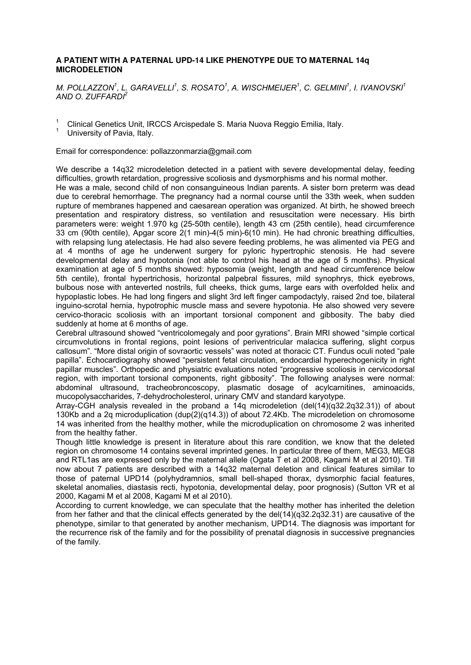## **A PATIENT WITH A PATERNAL UPD-14 LIKE PHENOTYPE DUE TO MATERNAL 14q MICRODELETION**

*M. POLLAZZON<sup>1</sup> , L. GARAVELLI<sup>1</sup> , S. ROSATO<sup>1</sup> , A. WISCHMEIJER<sup>1</sup> , C. GELMINI<sup>1</sup> , I. IVANOVSKI<sup>1</sup> AND O. ZUFFARDI<sup>2</sup>*

1 Clinical Genetics Unit, IRCCS Arcispedale S. Maria Nuova Reggio Emilia, Italy.

1 University of Pavia, Italy.

Email for correspondence: pollazzonmarzia@gmail.com

We describe a 14q32 microdeletion detected in a patient with severe developmental delay, feeding difficulties, growth retardation, progressive scoliosis and dysmorphisms and his normal mother.

He was a male, second child of non consanguineous Indian parents. A sister born preterm was dead due to cerebral hemorrhage. The pregnancy had a normal course until the 33th week, when sudden rupture of membranes happened and caesarean operation was organized. At birth, he showed breech presentation and respiratory distress, so ventilation and resuscitation were necessary. His birth parameters were: weight 1.970 kg (25-50th centile), length 43 cm (25th centile), head circumference 33 cm (90th centile), Apgar score 2(1 min)-4(5 min)-6(10 min). He had chronic breathing difficulties, with relapsing lung atelectasis. He had also severe feeding problems, he was alimented via PEG and at 4 months of age he underwent surgery for pyloric hypertrophic stenosis. He had severe developmental delay and hypotonia (not able to control his head at the age of 5 months). Physical examination at age of 5 months showed: hyposomia (weight, length and head circumference below 5th centile), frontal hypertrichosis, horizontal palpebral fissures, mild synophrys, thick eyebrows, bulbous nose with anteverted nostrils, full cheeks, thick gums, large ears with overfolded helix and hypoplastic lobes. He had long fingers and slight 3rd left finger campodactyly, raised 2nd toe, bilateral inguino-scrotal hernia, hypotrophic muscle mass and severe hypotonia. He also showed very severe cervico-thoracic scoliosis with an important torsional component and gibbosity. The baby died suddenly at home at 6 months of age.

Cerebral ultrasound showed "ventricolomegaly and poor gyrations". Brain MRI showed "simple cortical circumvolutions in frontal regions, point lesions of periventricular malacica suffering, slight corpus callosum". "More distal origin of sovraortic vessels" was noted at thoracic CT. Fundus oculi noted "pale papilla". Echocardiography showed "persistent fetal circulation, endocardial hyperechogenicity in right papillar muscles". Orthopedic and physiatric evaluations noted "progressive scoliosis in cervicodorsal region, with important torsional components, right gibbosity". The following analyses were normal: abdominal ultrasound, tracheobroncoscopy, plasmatic dosage of acylcarnitines, aminoacids, mucopolysaccharides, 7-dehydrocholesterol, urinary CMV and standard karyotype.

Array-CGH analysis revealed in the proband a 14q microdeletion (del(14)(q32.2q32.31)) of about 130Kb and a 2q microduplication (dup(2)(q14.3)) of about 72.4Kb. The microdeletion on chromosome 14 was inherited from the healthy mother, while the microduplication on chromosome 2 was inherited from the healthy father.

Though little knowledge is present in literature about this rare condition, we know that the deleted region on chromosome 14 contains several imprinted genes. In particular three of them, MEG3, MEG8 and RTL1as are expressed only by the maternal allele (Ogata T et al 2008, Kagami M et al 2010). Till now about 7 patients are described with a 14q32 maternal deletion and clinical features similar to those of paternal UPD14 (polyhydramnios, small bell-shaped thorax, dysmorphic facial features, skeletal anomalies, diastasis recti, hypotonia, developmental delay, poor prognosis) (Sutton VR et al 2000, Kagami M et al 2008, Kagami M et al 2010).

According to current knowledge, we can speculate that the healthy mother has inherited the deletion from her father and that the clinical effects generated by the del(14)(q32.2q32.31) are causative of the phenotype, similar to that generated by another mechanism, UPD14. The diagnosis was important for the recurrence risk of the family and for the possibility of prenatal diagnosis in successive pregnancies of the family.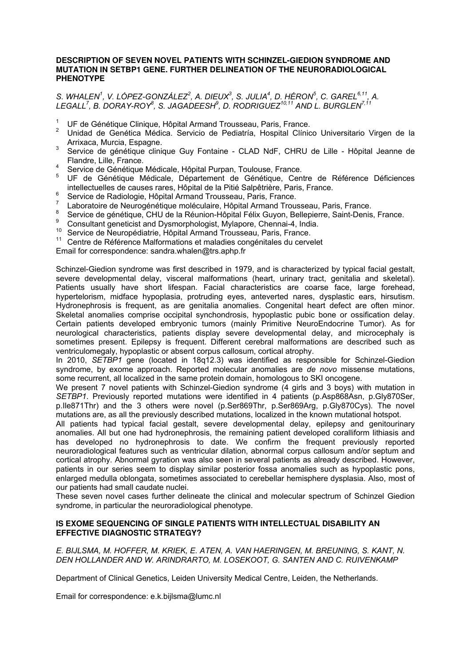#### **DESCRIPTION OF SEVEN NOVEL PATIENTS WITH SCHINZEL-GIEDION SYNDROME AND MUTATION IN SETBP1 GENE. FURTHER DELINEATION OF THE NEURORADIOLOGICAL PHENOTYPE**

## *S. WHALEN<sup>1</sup>, V. LÓPEZ-GONZÁLEZ<sup>2</sup>, A. DIEUX<sup>3</sup>, S. JULIA<sup>4</sup>, D. HÉRON<sup>5</sup>, C. GAREL<sup>6,11</sup>, A. LEGALL<sup>7</sup> , B. DORAY-ROY<sup>8</sup> , S. JAGADEESH<sup>9</sup> , D. RODRIGUEZ10,11 AND L. BURGLEN7,11*

- 1 UF de Génétique Clinique, Hôpital Armand Trousseau, Paris, France.
- <sup>2</sup> Unidad de Genética Médica. Servicio de Pediatría, Hospital Clínico Universitario Virgen de la Arrixaca, Murcia, Espagne.
- 3 Service de génétique clinique Guy Fontaine - CLAD NdF, CHRU de Lille - Hôpital Jeanne de Flandre, Lille, France.
- 4 Service de Génétique Médicale, Hôpital Purpan, Toulouse, France.
- 5 UF de Génétique Médicale, Département de Génétique, Centre de Référence Déficiences intellectuelles de causes rares, Hôpital de la Pitié Salpêtrière, Paris, France.
- 6 Service de Radiologie, Hôpital Armand Trousseau, Paris, France.
- 7 Laboratoire de Neurogénétique moléculaire, Hôpital Armand Trousseau, Paris, France.
- 8 Service de génétique, CHU de la Réunion-Hôpital Félix Guyon, Bellepierre, Saint-Denis, France.
- $\alpha$ Consultant geneticist and Dysmorphologist, Mylapore, Chennai-4, India.
- 10 Service de Neuropédiatrie, Hôpital Armand Trousseau, Paris, France.<br>11 Centre de Péférence Melformations et melodies consépiteles du conve
- Centre de Référence Malformations et maladies congénitales du cervelet

Email for correspondence: sandra.whalen@trs.aphp.fr

Schinzel-Giedion syndrome was first described in 1979, and is characterized by typical facial gestalt, severe developmental delay, visceral malformations (heart, urinary tract, genitalia and skeletal). Patients usually have short lifespan. Facial characteristics are coarse face, large forehead, hypertelorism, midface hypoplasia, protruding eyes, anteverted nares, dysplastic ears, hirsutism. Hydronephrosis is frequent, as are genitalia anomalies. Congenital heart defect are often minor. Skeletal anomalies comprise occipital synchondrosis, hypoplastic pubic bone or ossification delay. Certain patients developed embryonic tumors (mainly Primitive NeuroEndocrine Tumor). As for neurological characteristics, patients display severe developmental delay, and microcephaly is sometimes present. Epilepsy is frequent. Different cerebral malformations are described such as ventriculomegaly, hypoplastic or absent corpus callosum, cortical atrophy.

In 2010, *SETBP1* gene (located in 18q12.3) was identified as responsible for Schinzel-Giedion syndrome, by exome approach. Reported molecular anomalies are *de novo* missense mutations, some recurrent, all localized in the same protein domain, homologous to SKI oncogene.

We present 7 novel patients with Schinzel-Giedion syndrome (4 girls and 3 boys) with mutation in *SETBP1*. Previously reported mutations were identified in 4 patients (p.Asp868Asn, p.Gly870Ser, p.Ile871Thr) and the 3 others were novel (p.Ser869Thr, p.Ser869Arg, p.Gly870Cys). The novel mutations are, as all the previously described mutations, localized in the known mutational hotspot.

All patients had typical facial gestalt, severe developmental delay, epilepsy and genitourinary anomalies. All but one had hydronephrosis, the remaining patient developed coralliform lithiasis and has developed no hydronephrosis to date. We confirm the frequent previously reported neuroradiological features such as ventricular dilation, abnormal corpus callosum and/or septum and cortical atrophy. Abnormal gyration was also seen in several patients as already described. However, patients in our series seem to display similar posterior fossa anomalies such as hypoplastic pons, enlarged medulla oblongata, sometimes associated to cerebellar hemisphere dysplasia. Also, most of our patients had small caudate nuclei.

These seven novel cases further delineate the clinical and molecular spectrum of Schinzel Giedion syndrome, in particular the neuroradiological phenotype.

## **IS EXOME SEQUENCING OF SINGLE PATIENTS WITH INTELLECTUAL DISABILITY AN EFFECTIVE DIAGNOSTIC STRATEGY?**

*E. BIJLSMA, M. HOFFER, M. KRIEK, E. ATEN, A. VAN HAERINGEN, M. BREUNING, S. KANT, N.*  DEN HOLLANDER AND W. ARINDRARTO, M. LOSEKOOT, G. SANTEN AND C. RUIVENKAMP

Department of Clinical Genetics, Leiden University Medical Centre, Leiden, the Netherlands.

Email for correspondence: e.k.bijlsma@lumc.nl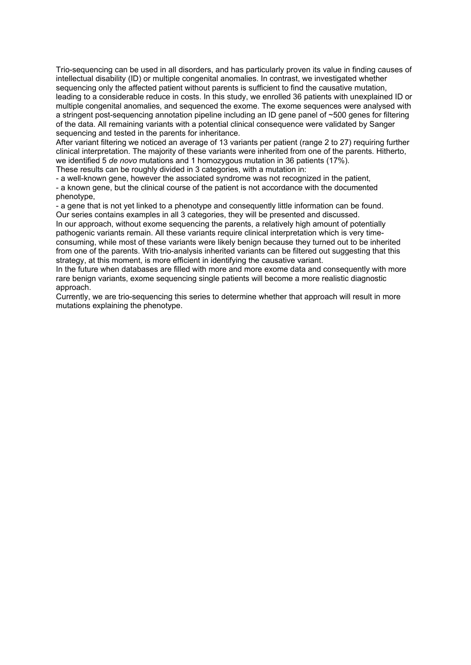Trio-sequencing can be used in all disorders, and has particularly proven its value in finding causes of intellectual disability (ID) or multiple congenital anomalies. In contrast, we investigated whether sequencing only the affected patient without parents is sufficient to find the causative mutation, leading to a considerable reduce in costs. In this study, we enrolled 36 patients with unexplained ID or multiple congenital anomalies, and sequenced the exome. The exome sequences were analysed with a stringent post-sequencing annotation pipeline including an ID gene panel of ~500 genes for filtering of the data. All remaining variants with a potential clinical consequence were validated by Sanger sequencing and tested in the parents for inheritance.

After variant filtering we noticed an average of 13 variants per patient (range 2 to 27) requiring further clinical interpretation. The majority of these variants were inherited from one of the parents. Hitherto, we identified 5 *de novo* mutations and 1 homozygous mutation in 36 patients (17%).

These results can be roughly divided in 3 categories, with a mutation in:

- a well-known gene, however the associated syndrome was not recognized in the patient,

- a known gene, but the clinical course of the patient is not accordance with the documented phenotype,

- a gene that is not yet linked to a phenotype and consequently little information can be found. Our series contains examples in all 3 categories, they will be presented and discussed.

In our approach, without exome sequencing the parents, a relatively high amount of potentially pathogenic variants remain. All these variants require clinical interpretation which is very timeconsuming, while most of these variants were likely benign because they turned out to be inherited from one of the parents. With trio-analysis inherited variants can be filtered out suggesting that this strategy, at this moment, is more efficient in identifying the causative variant.

In the future when databases are filled with more and more exome data and consequently with more rare benign variants, exome sequencing single patients will become a more realistic diagnostic approach.

Currently, we are trio-sequencing this series to determine whether that approach will result in more mutations explaining the phenotype.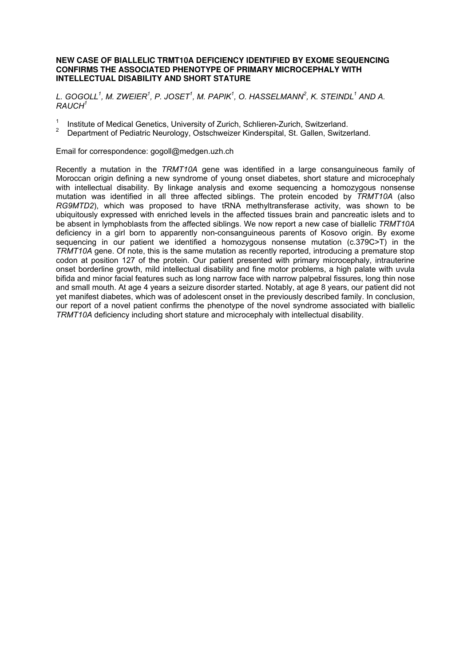#### **NEW CASE OF BIALLELIC TRMT10A DEFICIENCY IDENTIFIED BY EXOME SEQUENCING CONFIRMS THE ASSOCIATED PHENOTYPE OF PRIMARY MICROCEPHALY WITH INTELLECTUAL DISABILITY AND SHORT STATURE**

*L. GOGOLL<sup>1</sup> , M. ZWEIER<sup>1</sup> , P. JOSET<sup>1</sup> , M. PAPIK<sup>1</sup> , O. HASSELMANN<sup>2</sup> , K. STEINDL<sup>1</sup> AND A. RAUCH<sup>1</sup>*

- <sup>1</sup>Institute of Medical Genetics, University of Zurich, Schlieren-Zurich, Switzerland.
- <sup>2</sup>Department of Pediatric Neurology, Ostschweizer Kinderspital, St. Gallen, Switzerland.

Email for correspondence: gogoll@medgen.uzh.ch

Recently a mutation in the *TRMT10A* gene was identified in a large consanguineous family of Moroccan origin defining a new syndrome of young onset diabetes, short stature and microcephaly with intellectual disability. By linkage analysis and exome sequencing a homozygous nonsense mutation was identified in all three affected siblings. The protein encoded by *TRMT10A* (also *RG9MTD2*), which was proposed to have tRNA methyltransferase activity, was shown to be ubiquitously expressed with enriched levels in the affected tissues brain and pancreatic islets and to be absent in lymphoblasts from the affected siblings. We now report a new case of biallelic *TRMT10A*  deficiency in a girl born to apparently non-consanguineous parents of Kosovo origin. By exome sequencing in our patient we identified a homozygous nonsense mutation (c.379C>T) in the *TRMT10A* gene. Of note, this is the same mutation as recently reported, introducing a premature stop codon at position 127 of the protein. Our patient presented with primary microcephaly, intrauterine onset borderline growth, mild intellectual disability and fine motor problems, a high palate with uvula bifida and minor facial features such as long narrow face with narrow palpebral fissures, long thin nose and small mouth. At age 4 years a seizure disorder started. Notably, at age 8 years, our patient did not yet manifest diabetes, which was of adolescent onset in the previously described family. In conclusion, our report of a novel patient confirms the phenotype of the novel syndrome associated with biallelic *TRMT10A* deficiency including short stature and microcephaly with intellectual disability.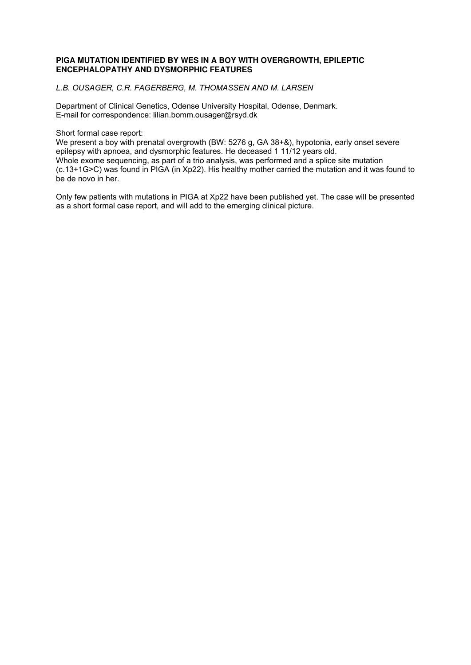## **PIGA MUTATION IDENTIFIED BY WES IN A BOY WITH OVERGROWTH, EPILEPTIC ENCEPHALOPATHY AND DYSMORPHIC FEATURES**

*L.B. OUSAGER, C.R. FAGERBERG, M. THOMASSEN AND M. LARSEN* 

Department of Clinical Genetics, Odense University Hospital, Odense, Denmark. E-mail for correspondence: lilian.bomm.ousager@rsyd.dk

Short formal case report:

We present a boy with prenatal overgrowth (BW: 5276 g, GA 38+&), hypotonia, early onset severe epilepsy with apnoea, and dysmorphic features. He deceased 1 11/12 years old. Whole exome sequencing, as part of a trio analysis, was performed and a splice site mutation (c.13+1G>C) was found in PIGA (in Xp22). His healthy mother carried the mutation and it was found to be de novo in her.

Only few patients with mutations in PIGA at Xp22 have been published yet. The case will be presented as a short formal case report, and will add to the emerging clinical picture.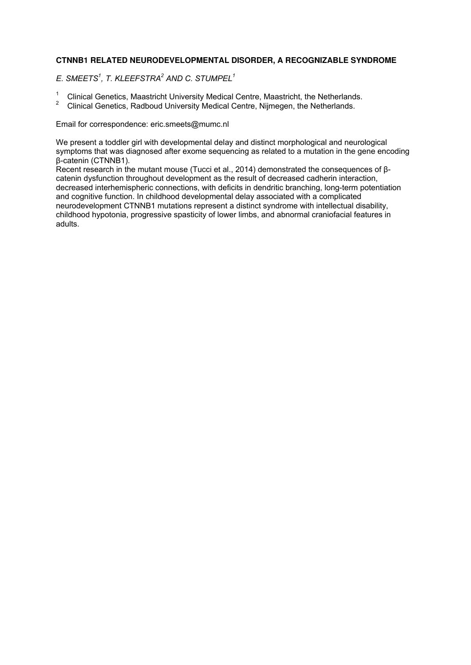## **CTNNB1 RELATED NEURODEVELOPMENTAL DISORDER, A RECOGNIZABLE SYNDROME**

*E. SMEETS<sup>1</sup> , T. KLEEFSTRA<sup>2</sup> AND C. STUMPEL<sup>1</sup>*

- <sup>1</sup> Clinical Genetics, Maastricht University Medical Centre, Maastricht, the Netherlands.
- <sup>2</sup>Clinical Genetics, Radboud University Medical Centre, Nijmegen, the Netherlands.

Email for correspondence: eric.smeets@mumc.nl

We present a toddler girl with developmental delay and distinct morphological and neurological symptoms that was diagnosed after exome sequencing as related to a mutation in the gene encoding β-catenin (CTNNB1).

Recent research in the mutant mouse (Tucci et al., 2014) demonstrated the consequences of βcatenin dysfunction throughout development as the result of decreased cadherin interaction, decreased interhemispheric connections, with deficits in dendritic branching, long-term potentiation and cognitive function. In childhood developmental delay associated with a complicated neurodevelopment CTNNB1 mutations represent a distinct syndrome with intellectual disability, childhood hypotonia, progressive spasticity of lower limbs, and abnormal craniofacial features in adults.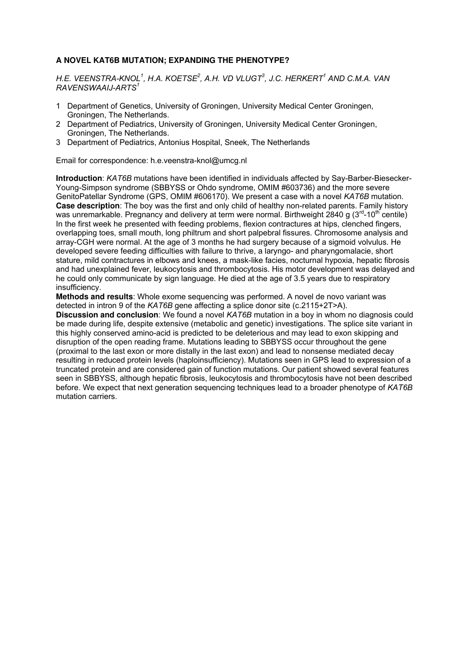## **A NOVEL KAT6B MUTATION; EXPANDING THE PHENOTYPE?**

*H.E. VEENSTRA-KNOL<sup>1</sup> , H.A. KOETSE<sup>2</sup> , A.H. VD VLUGT<sup>3</sup> , J.C. HERKERT<sup>1</sup> AND C.M.A. VAN RAVENSWAAIJ-ARTS<sup>1</sup>*

- 1 Department of Genetics, University of Groningen, University Medical Center Groningen, Groningen, The Netherlands.
- 2 Department of Pediatrics, University of Groningen, University Medical Center Groningen, Groningen, The Netherlands.
- 3 Department of Pediatrics, Antonius Hospital, Sneek, The Netherlands

Email for correspondence: h.e.veenstra-knol@umcg.nl

**Introduction**: *KAT6B* mutations have been identified in individuals affected by Say-Barber-Biesecker-Young-Simpson syndrome (SBBYSS or Ohdo syndrome, OMIM #603736) and the more severe GenitoPatellar Syndrome (GPS, OMIM #606170). We present a case with a novel *KAT6B* mutation. **Case description**: The boy was the first and only child of healthy non-related parents. Family history was unremarkable. Pregnancy and delivery at term were normal. Birthweight 2840 g ( $3<sup>rd</sup>$ -10<sup>th</sup> centile) In the first week he presented with feeding problems, flexion contractures at hips, clenched fingers, overlapping toes, small mouth, long philtrum and short palpebral fissures. Chromosome analysis and array-CGH were normal. At the age of 3 months he had surgery because of a sigmoid volvulus. He developed severe feeding difficulties with failure to thrive, a laryngo- and pharyngomalacie, short stature, mild contractures in elbows and knees, a mask-like facies, nocturnal hypoxia, hepatic fibrosis and had unexplained fever, leukocytosis and thrombocytosis. His motor development was delayed and he could only communicate by sign language. He died at the age of 3.5 years due to respiratory insufficiency.

**Methods and results**: Whole exome sequencing was performed. A novel de novo variant was detected in intron 9 of the *KAT6B* gene affecting a splice donor site (c.2115+2T>A).

**Discussion and conclusion**: We found a novel *KAT6B* mutation in a boy in whom no diagnosis could be made during life, despite extensive (metabolic and genetic) investigations. The splice site variant in this highly conserved amino-acid is predicted to be deleterious and may lead to exon skipping and disruption of the open reading frame. Mutations leading to SBBYSS occur throughout the gene (proximal to the last exon or more distally in the last exon) and lead to nonsense mediated decay resulting in reduced protein levels (haploinsufficiency). Mutations seen in GPS lead to expression of a truncated protein and are considered gain of function mutations. Our patient showed several features seen in SBBYSS, although hepatic fibrosis, leukocytosis and thrombocytosis have not been described before. We expect that next generation sequencing techniques lead to a broader phenotype of *KAT6B*  mutation carriers.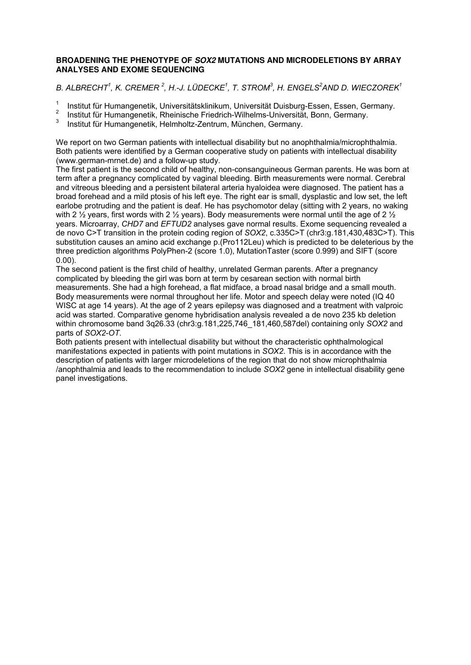## **BROADENING THE PHENOTYPE OF SOX2 MUTATIONS AND MICRODELETIONS BY ARRAY ANALYSES AND EXOME SEQUENCING**

## *B. ALBRECHT<sup>1</sup> , K. CREMER <sup>2</sup> , H.-J. LÜDECKE<sup>1</sup> , T. STROM<sup>3</sup> , H. ENGELS<sup>2</sup>AND D. WIECZOREK<sup>1</sup>*

- 1 Institut für Humangenetik, Universitätsklinikum, Universität Duisburg-Essen, Essen, Germany.
- 2 Institut für Humangenetik, Rheinische Friedrich-Wilhelms-Universität, Bonn, Germany.
- 3 Institut für Humangenetik, Helmholtz-Zentrum, München, Germany.

We report on two German patients with intellectual disability but no anophthalmia/microphthalmia. Both patients were identified by a German cooperative study on patients with intellectual disability (www.german-mrnet.de) and a follow-up study.

The first patient is the second child of healthy, non-consanguineous German parents. He was born at term after a pregnancy complicated by vaginal bleeding. Birth measurements were normal. Cerebral and vitreous bleeding and a persistent bilateral arteria hyaloidea were diagnosed. The patient has a broad forehead and a mild ptosis of his left eye. The right ear is small, dysplastic and low set, the left earlobe protruding and the patient is deaf. He has psychomotor delay (sitting with 2 years, no waking with 2  $\frac{1}{2}$  years, first words with 2  $\frac{1}{2}$  years). Body measurements were normal until the age of 2  $\frac{1}{2}$ years. Microarray, *CHD7* and *EFTUD2* analyses gave normal results. Exome sequencing revealed a de novo C>T transition in the protein coding region of *SOX2*, c.335C>T (chr3:g.181,430,483C>T). This substitution causes an amino acid exchange p.(Pro112Leu) which is predicted to be deleterious by the three prediction algorithms PolyPhen-2 (score 1.0), MutationTaster (score 0.999) and SIFT (score 0.00).

The second patient is the first child of healthy, unrelated German parents. After a pregnancy complicated by bleeding the girl was born at term by cesarean section with normal birth measurements. She had a high forehead, a flat midface, a broad nasal bridge and a small mouth. Body measurements were normal throughout her life. Motor and speech delay were noted (IQ 40 WISC at age 14 years). At the age of 2 years epilepsy was diagnosed and a treatment with valproic acid was started. Comparative genome hybridisation analysis revealed a de novo 235 kb deletion within chromosome band 3q26.33 (chr3:g.181,225,746\_181,460,587del) containing only *SOX2* and parts of *SOX2-OT*.

Both patients present with intellectual disability but without the characteristic ophthalmological manifestations expected in patients with point mutations in *SOX2*. This is in accordance with the description of patients with larger microdeletions of the region that do not show microphthalmia /anophthalmia and leads to the recommendation to include *SOX2* gene in intellectual disability gene panel investigations.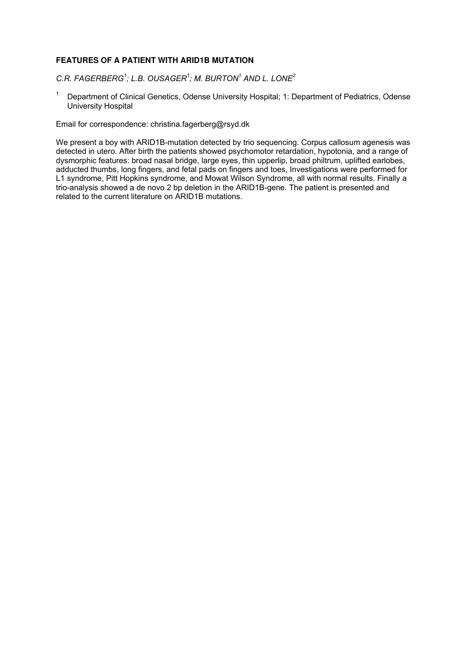## **FEATURES OF A PATIENT WITH ARID1B MUTATION**

*C.R. FAGERBERG<sup>1</sup> ; L.B. OUSAGER<sup>1</sup> ; M. BURTON<sup>1</sup> AND L. LONE<sup>2</sup>*

1 Department of Clinical Genetics, Odense University Hospital; 1: Department of Pediatrics, Odense University Hospital

Email for correspondence: christina.fagerberg@rsyd.dk

We present a boy with ARID1B-mutation detected by trio sequencing. Corpus callosum agenesis was detected in utero. After birth the patients showed psychomotor retardation, hypotonia, and a range of dysmorphic features: broad nasal bridge, large eyes, thin upperlip, broad philtrum, uplifted earlobes, adducted thumbs, long fingers, and fetal pads on fingers and toes, Investigations were performed for L1 syndrome, Pitt Hopkins syndrome, and Mowat Wilson Syndrome, all with normal results. Finally a trio-analysis showed a de novo 2 bp deletion in the ARID1B-gene. The patient is presented and related to the current literature on ARID1B mutations.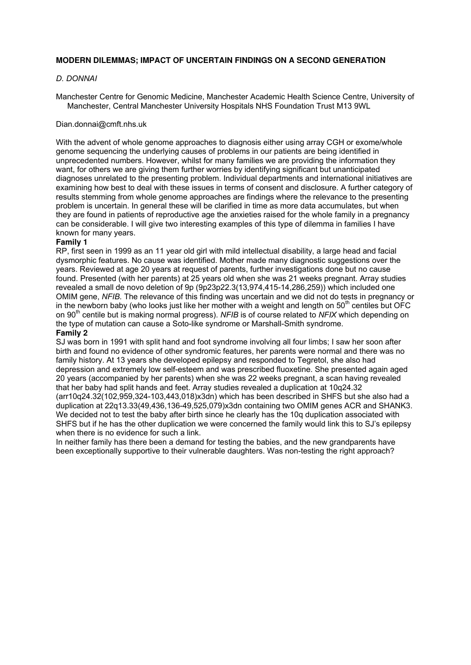## **MODERN DILEMMAS; IMPACT OF UNCERTAIN FINDINGS ON A SECOND GENERATION**

## *D. DONNAI*

Manchester Centre for Genomic Medicine, Manchester Academic Health Science Centre, University of Manchester, Central Manchester University Hospitals NHS Foundation Trust M13 9WL

#### Dian.donnai@cmft.nhs.uk

With the advent of whole genome approaches to diagnosis either using array CGH or exome/whole genome sequencing the underlying causes of problems in our patients are being identified in unprecedented numbers. However, whilst for many families we are providing the information they want, for others we are giving them further worries by identifying significant but unanticipated diagnoses unrelated to the presenting problem. Individual departments and international initiatives are examining how best to deal with these issues in terms of consent and disclosure. A further category of results stemming from whole genome approaches are findings where the relevance to the presenting problem is uncertain. In general these will be clarified in time as more data accumulates, but when they are found in patients of reproductive age the anxieties raised for the whole family in a pregnancy can be considerable. I will give two interesting examples of this type of dilemma in families I have known for many years.

#### **Family 1**

RP, first seen in 1999 as an 11 year old girl with mild intellectual disability, a large head and facial dysmorphic features. No cause was identified. Mother made many diagnostic suggestions over the years. Reviewed at age 20 years at request of parents, further investigations done but no cause found. Presented (with her parents) at 25 years old when she was 21 weeks pregnant. Array studies revealed a small de novo deletion of 9p (9p23p22.3(13,974,415-14,286,259)) which included one OMIM gene, *NFIB.* The relevance of this finding was uncertain and we did not do tests in pregnancy or in the newborn baby (who looks just like her mother with a weight and length on  $50<sup>th</sup>$  centiles but OFC on 90th centile but is making normal progress). *NFIB* is of course related to *NFIX* which depending on the type of mutation can cause a Soto-like syndrome or Marshall-Smith syndrome. **Family 2** 

SJ was born in 1991 with split hand and foot syndrome involving all four limbs; I saw her soon after birth and found no evidence of other syndromic features, her parents were normal and there was no family history. At 13 years she developed epilepsy and responded to Tegretol, she also had depression and extremely low self-esteem and was prescribed fluoxetine. She presented again aged 20 years (accompanied by her parents) when she was 22 weeks pregnant, a scan having revealed that her baby had split hands and feet. Array studies revealed a duplication at 10q24.32 (arr10q24.32(102,959,324-103,443,018)x3dn) which has been described in SHFS but she also had a duplication at 22q13.33(49,436,136-49,525,079)x3dn containing two OMIM genes ACR and SHANK3. We decided not to test the baby after birth since he clearly has the 10q duplication associated with SHFS but if he has the other duplication we were concerned the family would link this to SJ's epilepsy when there is no evidence for such a link.

In neither family has there been a demand for testing the babies, and the new grandparents have been exceptionally supportive to their vulnerable daughters. Was non-testing the right approach?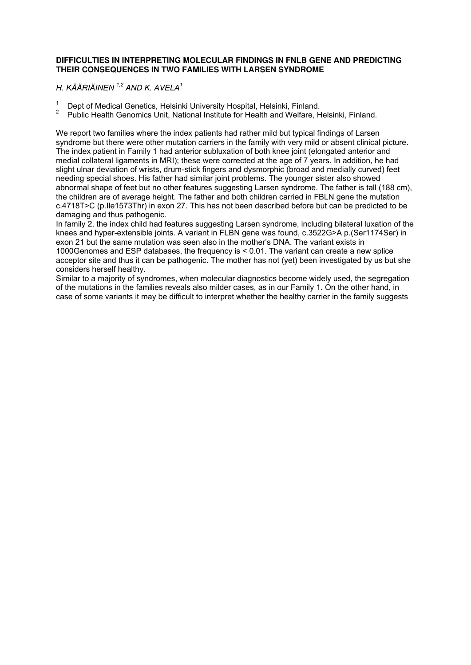## **DIFFICULTIES IN INTERPRETING MOLECULAR FINDINGS IN FNLB GENE AND PREDICTING THEIR CONSEQUENCES IN TWO FAMILIES WITH LARSEN SYNDROME**

*H. KÄÄRIÄINEN 1,2 AND K. AVELA<sup>1</sup>*

- <sup>1</sup> Dept of Medical Genetics, Helsinki University Hospital, Helsinki, Finland.<br><sup>2</sup> Dublie Hostin Generation Unit National Institute for Hostin and Welfare, H
- <sup>2</sup>Public Health Genomics Unit, National Institute for Health and Welfare, Helsinki, Finland.

We report two families where the index patients had rather mild but typical findings of Larsen syndrome but there were other mutation carriers in the family with very mild or absent clinical picture. The index patient in Family 1 had anterior subluxation of both knee joint (elongated anterior and medial collateral ligaments in MRI); these were corrected at the age of 7 years. In addition, he had slight ulnar deviation of wrists, drum-stick fingers and dysmorphic (broad and medially curved) feet needing special shoes. His father had similar joint problems. The younger sister also showed abnormal shape of feet but no other features suggesting Larsen syndrome. The father is tall (188 cm), the children are of average height. The father and both children carried in FBLN gene the mutation c.4718T>C (p.Ile1573Thr) in exon 27. This has not been described before but can be predicted to be damaging and thus pathogenic.

In family 2, the index child had features suggesting Larsen syndrome, including bilateral luxation of the knees and hyper-extensible joints. A variant in FLBN gene was found, c.3522G>A p.(Ser1174Ser) in exon 21 but the same mutation was seen also in the mother's DNA. The variant exists in 1000Genomes and ESP databases, the frequency is < 0.01. The variant can create a new splice acceptor site and thus it can be pathogenic. The mother has not (yet) been investigated by us but she considers herself healthy.

Similar to a majority of syndromes, when molecular diagnostics become widely used, the segregation of the mutations in the families reveals also milder cases, as in our Family 1. On the other hand, in case of some variants it may be difficult to interpret whether the healthy carrier in the family suggests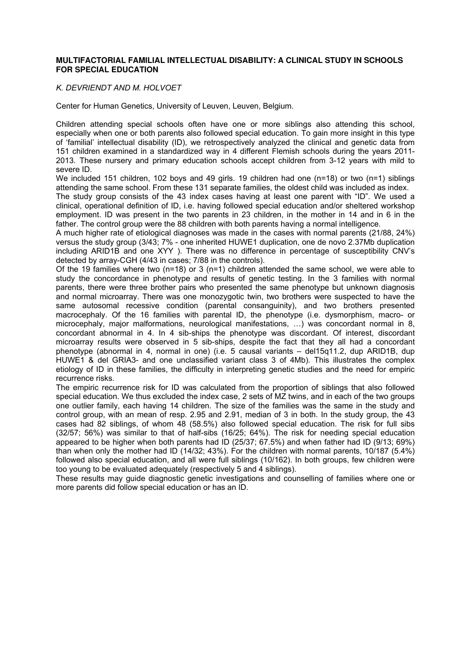#### **MULTIFACTORIAL FAMILIAL INTELLECTUAL DISABILITY: A CLINICAL STUDY IN SCHOOLS FOR SPECIAL EDUCATION**

#### *K. DEVRIENDT AND M. HOLVOET*

Center for Human Genetics, University of Leuven, Leuven, Belgium.

Children attending special schools often have one or more siblings also attending this school, especially when one or both parents also followed special education. To gain more insight in this type of 'familial' intellectual disability (ID), we retrospectively analyzed the clinical and genetic data from 151 children examined in a standardized way in 4 different Flemish schools during the years 2011- 2013. These nursery and primary education schools accept children from 3-12 years with mild to severe ID.

We included 151 children, 102 boys and 49 girls. 19 children had one (n=18) or two (n=1) siblings attending the same school. From these 131 separate families, the oldest child was included as index.

The study group consists of the 43 index cases having at least one parent with "ID". We used a clinical, operational definition of ID, i.e. having followed special education and/or sheltered workshop employment. ID was present in the two parents in 23 children, in the mother in 14 and in 6 in the father. The control group were the 88 children with both parents having a normal intelligence.

A much higher rate of etiological diagnoses was made in the cases with normal parents (21/88, 24%) versus the study group (3/43; 7% - one inherited HUWE1 duplication, one de novo 2.37Mb duplication including ARID1B and one XYY ). There was no difference in percentage of susceptibility CNV's detected by array-CGH (4/43 in cases; 7/88 in the controls).

Of the 19 families where two  $(n=18)$  or 3  $(n=1)$  children attended the same school, we were able to study the concordance in phenotype and results of genetic testing. In the 3 families with normal parents, there were three brother pairs who presented the same phenotype but unknown diagnosis and normal microarray. There was one monozygotic twin, two brothers were suspected to have the same autosomal recessive condition (parental consanguinity), and two brothers presented macrocephaly. Of the 16 families with parental ID, the phenotype (i.e. dysmorphism, macro- or microcephaly, major malformations, neurological manifestations, …) was concordant normal in 8, concordant abnormal in 4. In 4 sib-ships the phenotype was discordant. Of interest, discordant microarray results were observed in 5 sib-ships, despite the fact that they all had a concordant phenotype (abnormal in 4, normal in one) (i.e. 5 causal variants – del15q11.2, dup ARID1B, dup HUWE1 & del GRIA3- and one unclassified variant class 3 of 4Mb). This illustrates the complex etiology of ID in these families, the difficulty in interpreting genetic studies and the need for empiric recurrence risks.

The empiric recurrence risk for ID was calculated from the proportion of siblings that also followed special education. We thus excluded the index case, 2 sets of MZ twins, and in each of the two groups one outlier family, each having 14 children. The size of the families was the same in the study and control group, with an mean of resp. 2.95 and 2.91, median of 3 in both. In the study group, the 43 cases had 82 siblings, of whom 48 (58.5%) also followed special education. The risk for full sibs (32/57; 56%) was similar to that of half-sibs (16/25; 64%). The risk for needing special education appeared to be higher when both parents had ID (25/37; 67.5%) and when father had ID (9/13; 69%) than when only the mother had ID (14/32; 43%). For the children with normal parents, 10/187 (5.4%) followed also special education, and all were full siblings (10/162). In both groups, few children were too young to be evaluated adequately (respectively 5 and 4 siblings).

These results may guide diagnostic genetic investigations and counselling of families where one or more parents did follow special education or has an ID.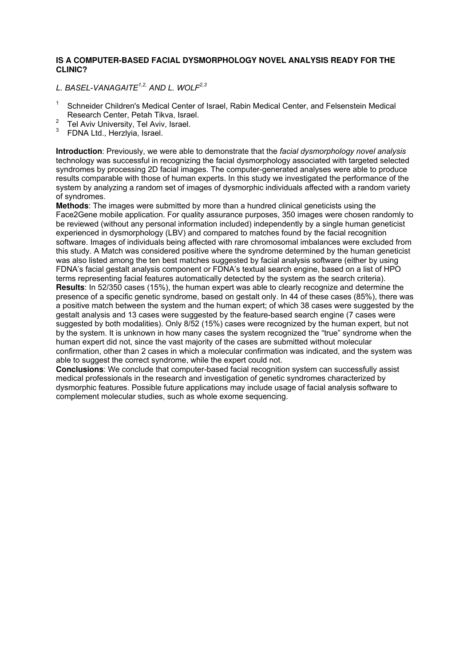## **IS A COMPUTER-BASED FACIAL DYSMORPHOLOGY NOVEL ANALYSIS READY FOR THE CLINIC?**

*L. BASEL-VANAGAITE1,2, AND L. WOLF2,3*

- <sup>1</sup>Schneider Children's Medical Center of Israel, Rabin Medical Center, and Felsenstein Medical Research Center, Petah Tikva, Israel.
- <sup>2</sup> Tel Aviv University, Tel Aviv, Israel.
- <sup>3</sup> FDNA Ltd., Herzlyia, Israel.

**Introduction**: Previously, we were able to demonstrate that the *facial dysmorphology novel analysis* technology was successful in recognizing the facial dysmorphology associated with targeted selected syndromes by processing 2D facial images. The computer-generated analyses were able to produce results comparable with those of human experts. In this study we investigated the performance of the system by analyzing a random set of images of dysmorphic individuals affected with a random variety of syndromes.

**Methods**: The images were submitted by more than a hundred clinical geneticists using the Face2Gene mobile application. For quality assurance purposes, 350 images were chosen randomly to be reviewed (without any personal information included) independently by a single human geneticist experienced in dysmorphology (LBV) and compared to matches found by the facial recognition software. Images of individuals being affected with rare chromosomal imbalances were excluded from this study. A Match was considered positive where the syndrome determined by the human geneticist was also listed among the ten best matches suggested by facial analysis software (either by using FDNA's facial gestalt analysis component or FDNA's textual search engine, based on a list of HPO terms representing facial features automatically detected by the system as the search criteria). **Results**: In 52/350 cases (15%), the human expert was able to clearly recognize and determine the presence of a specific genetic syndrome, based on gestalt only. In 44 of these cases (85%), there was a positive match between the system and the human expert; of which 38 cases were suggested by the gestalt analysis and 13 cases were suggested by the feature-based search engine (7 cases were suggested by both modalities). Only 8/52 (15%) cases were recognized by the human expert, but not by the system. It is unknown in how many cases the system recognized the "true" syndrome when the human expert did not, since the vast majority of the cases are submitted without molecular confirmation, other than 2 cases in which a molecular confirmation was indicated, and the system was able to suggest the correct syndrome, while the expert could not.

**Conclusions**: We conclude that computer-based facial recognition system can successfully assist medical professionals in the research and investigation of genetic syndromes characterized by dysmorphic features. Possible future applications may include usage of facial analysis software to complement molecular studies, such as whole exome sequencing.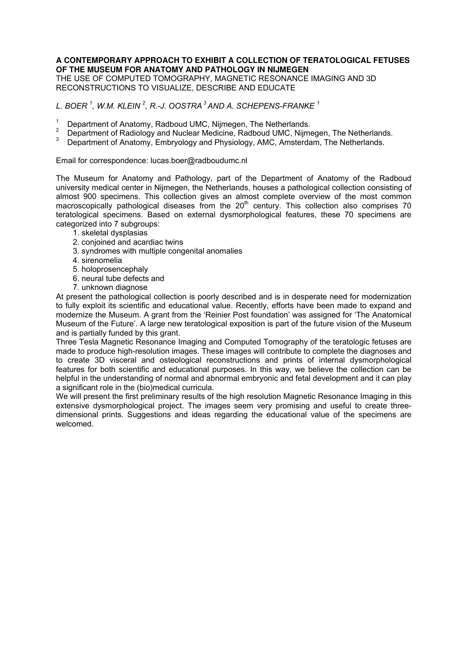## **A CONTEMPORARY APPROACH TO EXHIBIT A COLLECTION OF TERATOLOGICAL FETUSES OF THE MUSEUM FOR ANATOMY AND PATHOLOGY IN NIJMEGEN**

THE USE OF COMPUTED TOMOGRAPHY, MAGNETIC RESONANCE IMAGING AND 3D RECONSTRUCTIONS TO VISUALIZE, DESCRIBE AND EDUCATE

*L. BOER <sup>1</sup> , W.M. KLEIN <sup>2</sup> , R.-J. OOSTRA<sup>3</sup> AND A. SCHEPENS-FRANKE <sup>1</sup>*

- <sup>1</sup> Department of Anatomy, Radboud UMC, Nijmegen, The Netherlands.
- <sup>2</sup>Department of Radiology and Nuclear Medicine, Radboud UMC, Nijmegen, The Netherlands*.*
- Department of Anatomy, Embryology and Physiology, AMC, Amsterdam, The Netherlands.

Email for correspondence: lucas.boer@radboudumc.nl

The Museum for Anatomy and Pathology, part of the Department of Anatomy of the Radboud university medical center in Nijmegen, the Netherlands, houses a pathological collection consisting of almost 900 specimens. This collection gives an almost complete overview of the most common macroscopically pathological diseases from the  $20<sup>th</sup>$  century. This collection also comprises 70 teratological specimens. Based on external dysmorphological features, these 70 specimens are categorized into 7 subgroups:

- 1. skeletal dysplasias
- 2. conjoined and acardiac twins
- 3. syndromes with multiple congenital anomalies
- 4. sirenomelia
- 5. holoprosencephaly
- 6. neural tube defects and
- 7. unknown diagnose

At present the pathological collection is poorly described and is in desperate need for modernization to fully exploit its scientific and educational value. Recently, efforts have been made to expand and modernize the Museum. A grant from the 'Reinier Post foundation' was assigned for 'The Anatomical Museum of the Future'. A large new teratological exposition is part of the future vision of the Museum and is partially funded by this grant.

Three Tesla Magnetic Resonance Imaging and Computed Tomography of the teratologic fetuses are made to produce high-resolution images. These images will contribute to complete the diagnoses and to create 3D visceral and osteological reconstructions and prints of internal dysmorphological features for both scientific and educational purposes. In this way, we believe the collection can be helpful in the understanding of normal and abnormal embryonic and fetal development and it can play a significant role in the (bio)medical curricula.

We will present the first preliminary results of the high resolution Magnetic Resonance Imaging in this extensive dysmorphological project. The images seem very promising and useful to create threedimensional prints. Suggestions and ideas regarding the educational value of the specimens are welcomed.